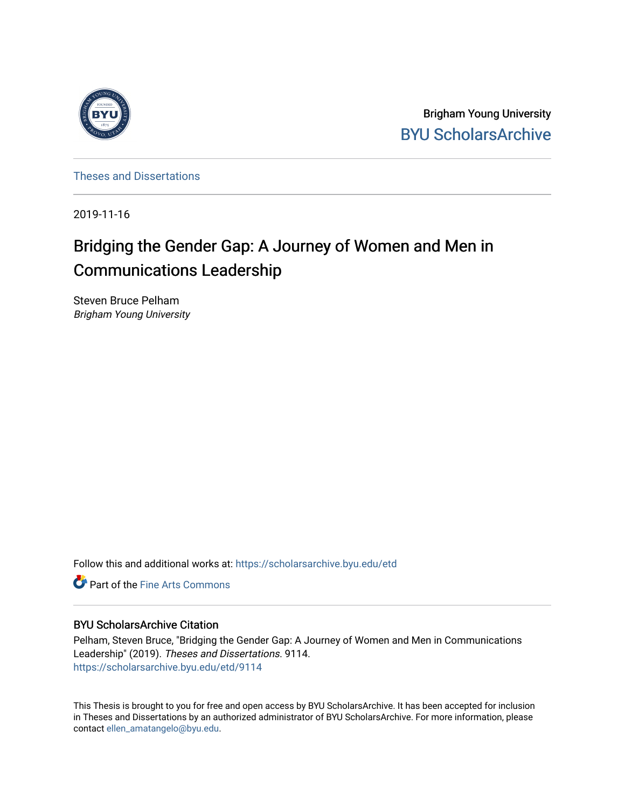

Brigham Young University [BYU ScholarsArchive](https://scholarsarchive.byu.edu/) 

[Theses and Dissertations](https://scholarsarchive.byu.edu/etd)

2019-11-16

# Bridging the Gender Gap: A Journey of Women and Men in Communications Leadership

Steven Bruce Pelham Brigham Young University

Follow this and additional works at: [https://scholarsarchive.byu.edu/etd](https://scholarsarchive.byu.edu/etd?utm_source=scholarsarchive.byu.edu%2Fetd%2F9114&utm_medium=PDF&utm_campaign=PDFCoverPages)

**C** Part of the Fine Arts Commons

# BYU ScholarsArchive Citation

Pelham, Steven Bruce, "Bridging the Gender Gap: A Journey of Women and Men in Communications Leadership" (2019). Theses and Dissertations. 9114. [https://scholarsarchive.byu.edu/etd/9114](https://scholarsarchive.byu.edu/etd/9114?utm_source=scholarsarchive.byu.edu%2Fetd%2F9114&utm_medium=PDF&utm_campaign=PDFCoverPages) 

This Thesis is brought to you for free and open access by BYU ScholarsArchive. It has been accepted for inclusion in Theses and Dissertations by an authorized administrator of BYU ScholarsArchive. For more information, please contact [ellen\\_amatangelo@byu.edu.](mailto:ellen_amatangelo@byu.edu)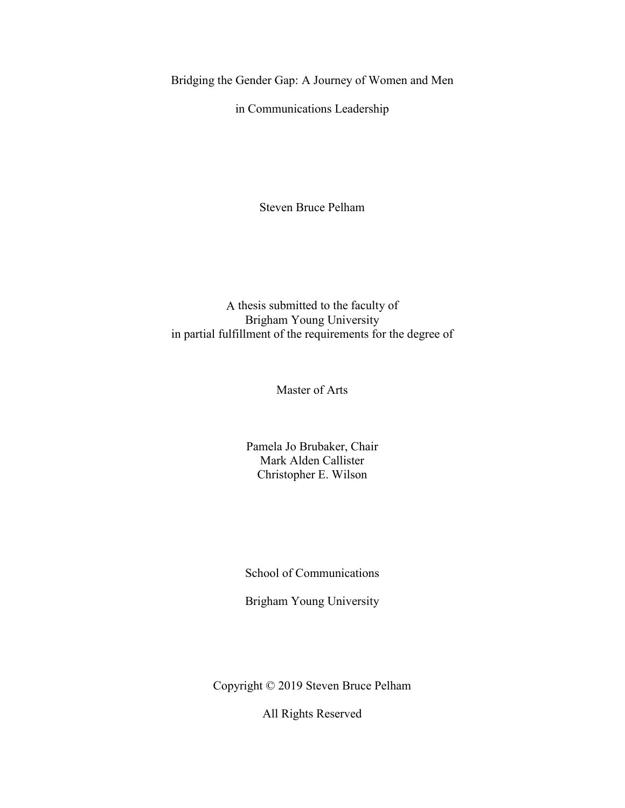<span id="page-1-0"></span>Bridging the Gender Gap: A Journey of Women and Men

in Communications Leadership

Steven Bruce Pelham

A thesis submitted to the faculty of Brigham Young University in partial fulfillment of the requirements for the degree of

Master of Arts

Pamela Jo Brubaker, Chair Mark Alden Callister Christopher E. Wilson

School of Communications

Brigham Young University

Copyright © 2019 Steven Bruce Pelham

All Rights Reserved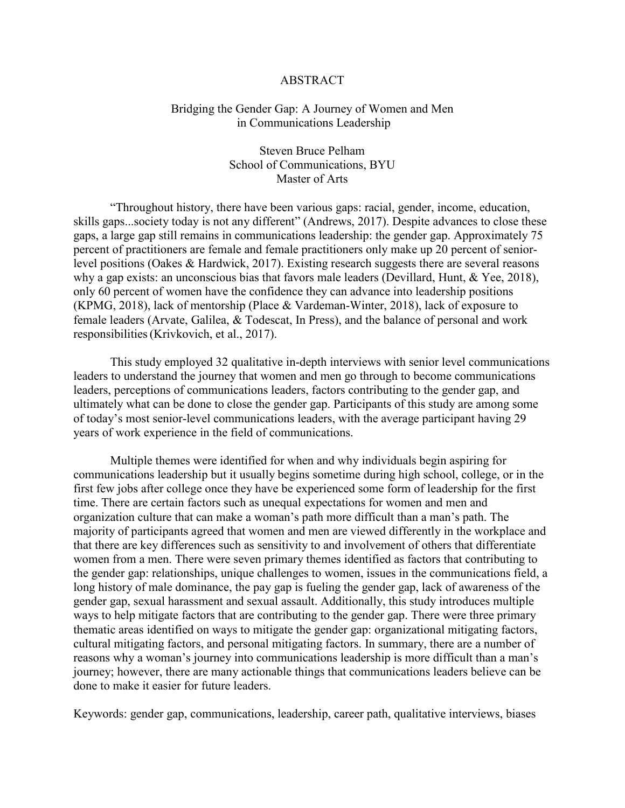#### ABSTRACT

# <span id="page-2-0"></span>Bridging the Gender Gap: A Journey of Women and Men in Communications Leadership

Steven Bruce Pelham School of Communications, BYU Master of Arts

"Throughout history, there have been various gaps: racial, gender, income, education, skills gaps...society today is not any different" (Andrews, 2017). Despite advances to close these gaps, a large gap still remains in communications leadership: the gender gap. Approximately 75 percent of practitioners are female and female practitioners only make up 20 percent of seniorlevel positions (Oakes & Hardwick, 2017). Existing research suggests there are several reasons why a gap exists: an unconscious bias that favors male leaders (Devillard, Hunt, & Yee, 2018), only 60 percent of women have the confidence they can advance into leadership positions (KPMG, 2018), lack of mentorship (Place & Vardeman-Winter, 2018), lack of exposure to female leaders (Arvate, Galilea, & Todescat, In Press), and the balance of personal and work responsibilities(Krivkovich, et al., 2017).

This study employed 32 qualitative in-depth interviews with senior level communications leaders to understand the journey that women and men go through to become communications leaders, perceptions of communications leaders, factors contributing to the gender gap, and ultimately what can be done to close the gender gap. Participants of this study are among some of today's most senior-level communications leaders, with the average participant having 29 years of work experience in the field of communications.

Multiple themes were identified for when and why individuals begin aspiring for communications leadership but it usually begins sometime during high school, college, or in the first few jobs after college once they have be experienced some form of leadership for the first time. There are certain factors such as unequal expectations for women and men and organization culture that can make a woman's path more difficult than a man's path. The majority of participants agreed that women and men are viewed differently in the workplace and that there are key differences such as sensitivity to and involvement of others that differentiate women from a men. There were seven primary themes identified as factors that contributing to the gender gap: relationships, unique challenges to women, issues in the communications field, a long history of male dominance, the pay gap is fueling the gender gap, lack of awareness of the gender gap, sexual harassment and sexual assault. Additionally, this study introduces multiple ways to help mitigate factors that are contributing to the gender gap. There were three primary thematic areas identified on ways to mitigate the gender gap: organizational mitigating factors, cultural mitigating factors, and personal mitigating factors. In summary, there are a number of reasons why a woman's journey into communications leadership is more difficult than a man's journey; however, there are many actionable things that communications leaders believe can be done to make it easier for future leaders.

Keywords: gender gap, communications, leadership, career path, qualitative interviews, biases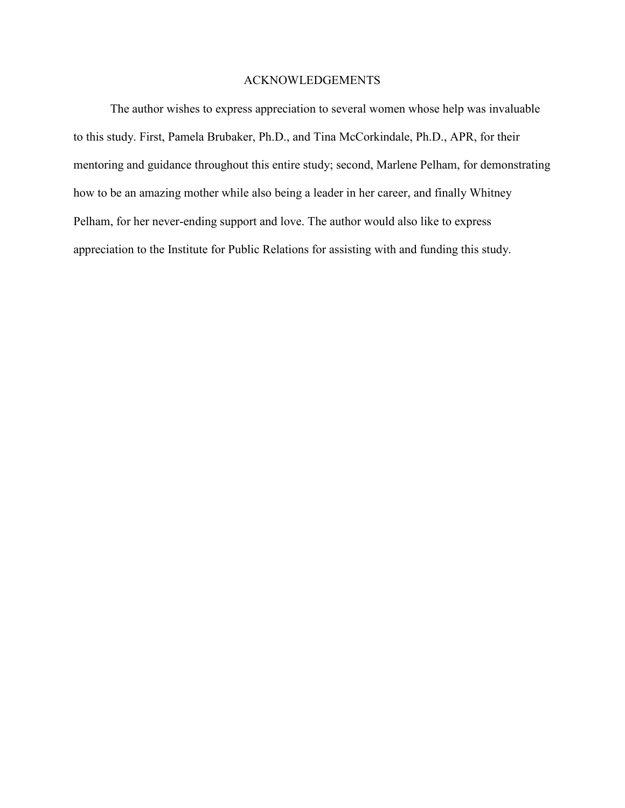# ACKNOWLEDGEMENTS

<span id="page-3-0"></span>The author wishes to express appreciation to several women whose help was invaluable to this study. First, Pamela Brubaker, Ph.D., and Tina McCorkindale, Ph.D., APR, for their mentoring and guidance throughout this entire study; second, Marlene Pelham, for demonstrating how to be an amazing mother while also being a leader in her career, and finally Whitney Pelham, for her never-ending support and love. The author would also like to express appreciation to the Institute for Public Relations for assisting with and funding this study.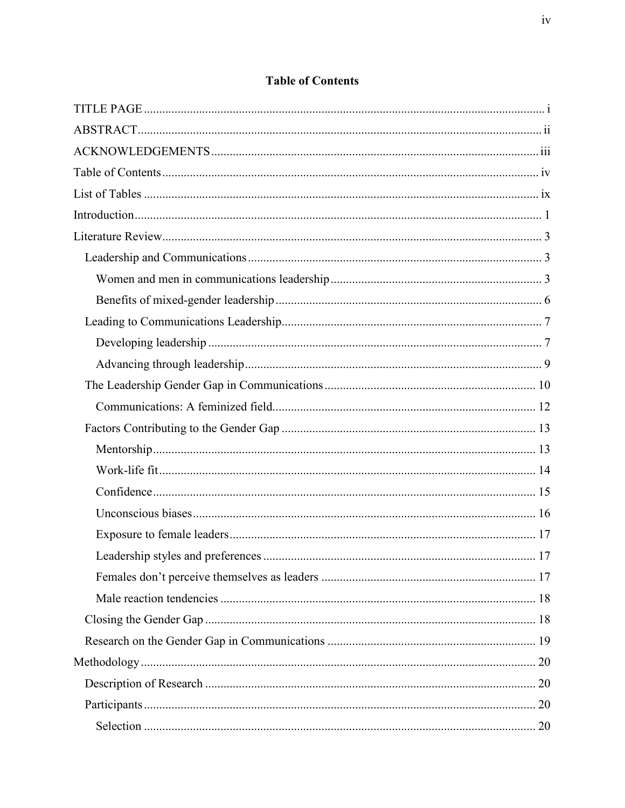<span id="page-4-0"></span>

# **Table of Contents**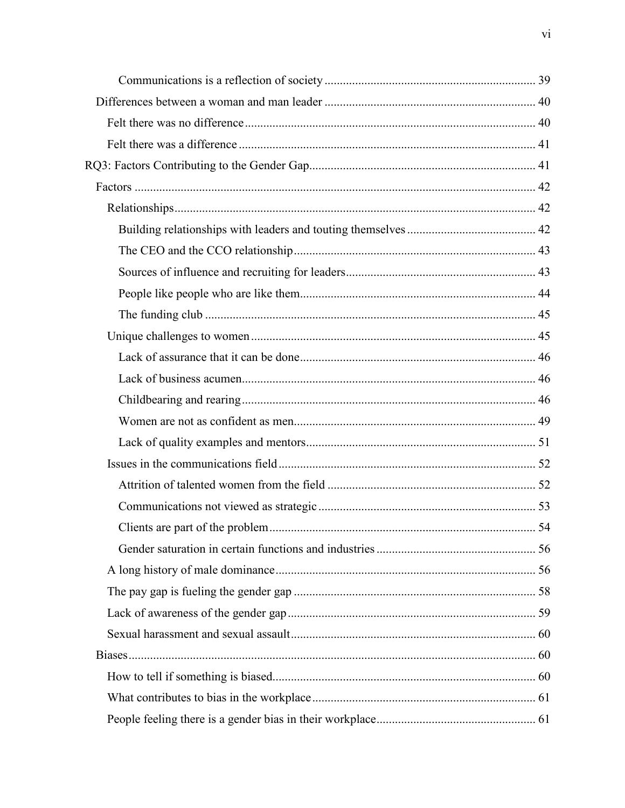| $\dots$ 54 |
|------------|
|            |
|            |
|            |
|            |
|            |
|            |
|            |
|            |
|            |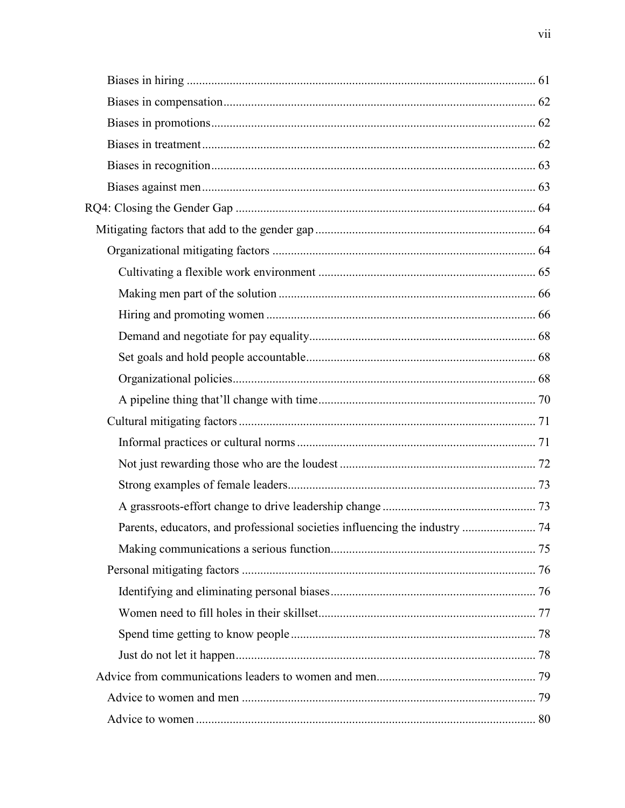| Parents, educators, and professional societies influencing the industry  74 |  |
|-----------------------------------------------------------------------------|--|
|                                                                             |  |
|                                                                             |  |
|                                                                             |  |
|                                                                             |  |
|                                                                             |  |
|                                                                             |  |
|                                                                             |  |
|                                                                             |  |
|                                                                             |  |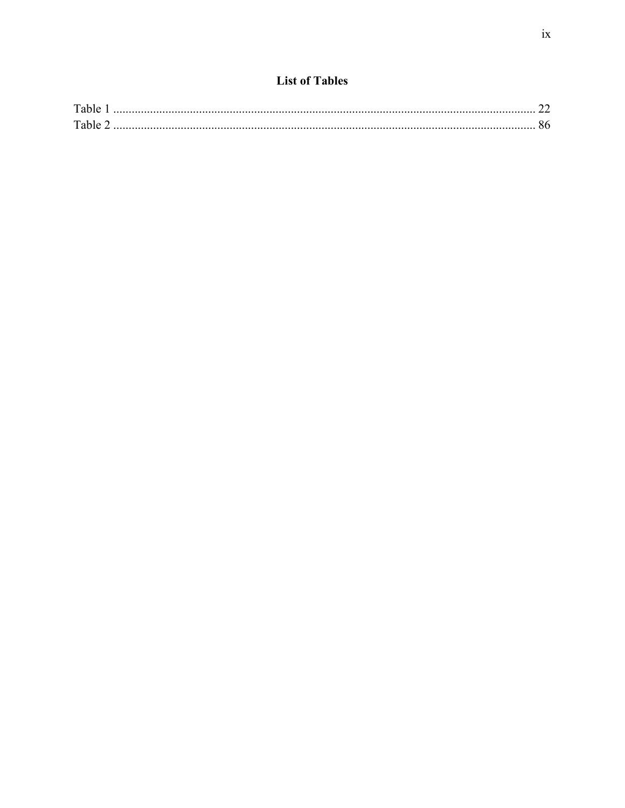<span id="page-9-0"></span>

| Table |  |
|-------|--|
| Table |  |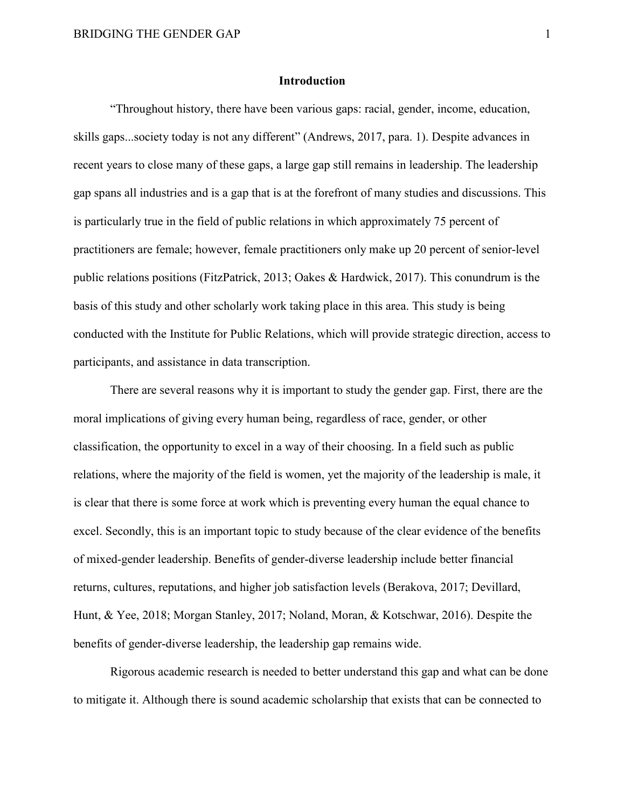#### **Introduction**

<span id="page-10-0"></span>"Throughout history, there have been various gaps: racial, gender, income, education, skills gaps...society today is not any different" (Andrews, 2017, para. 1). Despite advances in recent years to close many of these gaps, a large gap still remains in leadership. The leadership gap spans all industries and is a gap that is at the forefront of many studies and discussions. This is particularly true in the field of public relations in which approximately 75 percent of practitioners are female; however, female practitioners only make up 20 percent of senior-level public relations positions (FitzPatrick, 2013; Oakes & Hardwick, 2017). This conundrum is the basis of this study and other scholarly work taking place in this area. This study is being conducted with the Institute for Public Relations, which will provide strategic direction, access to participants, and assistance in data transcription.

There are several reasons why it is important to study the gender gap. First, there are the moral implications of giving every human being, regardless of race, gender, or other classification, the opportunity to excel in a way of their choosing. In a field such as public relations, where the majority of the field is women, yet the majority of the leadership is male, it is clear that there is some force at work which is preventing every human the equal chance to excel. Secondly, this is an important topic to study because of the clear evidence of the benefits of mixed-gender leadership. Benefits of gender-diverse leadership include better financial returns, cultures, reputations, and higher job satisfaction levels (Berakova, 2017; Devillard, Hunt, & Yee, 2018; Morgan Stanley, 2017; Noland, Moran, & Kotschwar, 2016). Despite the benefits of gender-diverse leadership, the leadership gap remains wide.

Rigorous academic research is needed to better understand this gap and what can be done to mitigate it. Although there is sound academic scholarship that exists that can be connected to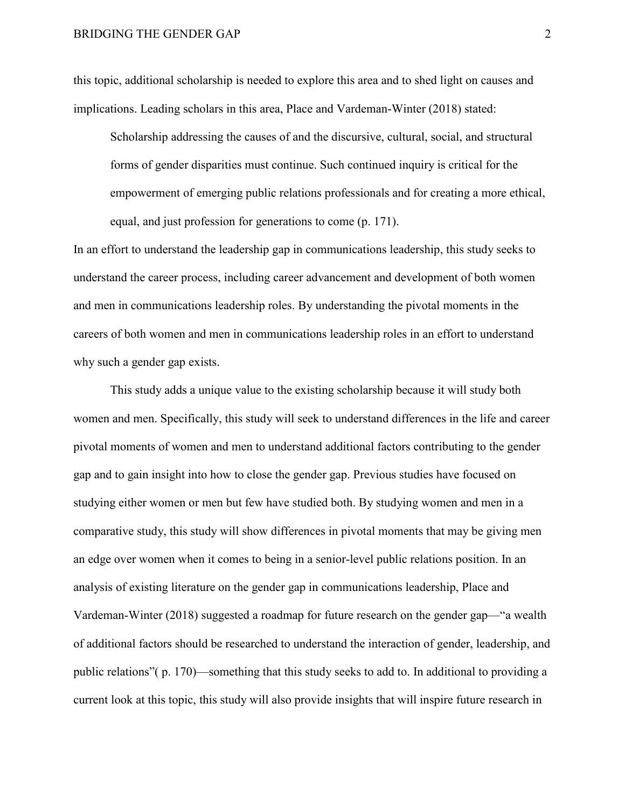this topic, additional scholarship is needed to explore this area and to shed light on causes and implications. Leading scholars in this area, Place and Vardeman-Winter (2018) stated:

Scholarship addressing the causes of and the discursive, cultural, social, and structural forms of gender disparities must continue. Such continued inquiry is critical for the empowerment of emerging public relations professionals and for creating a more ethical, equal, and just profession for generations to come (p. 171).

In an effort to understand the leadership gap in communications leadership, this study seeks to understand the career process, including career advancement and development of both women and men in communications leadership roles. By understanding the pivotal moments in the careers of both women and men in communications leadership roles in an effort to understand why such a gender gap exists.

This study adds a unique value to the existing scholarship because it will study both women and men. Specifically, this study will seek to understand differences in the life and career pivotal moments of women and men to understand additional factors contributing to the gender gap and to gain insight into how to close the gender gap. Previous studies have focused on studying either women or men but few have studied both. By studying women and men in a comparative study, this study will show differences in pivotal moments that may be giving men an edge over women when it comes to being in a senior-level public relations position. In an analysis of existing literature on the gender gap in communications leadership, Place and Vardeman-Winter (2018) suggested a roadmap for future research on the gender gap—"a wealth of additional factors should be researched to understand the interaction of gender, leadership, and public relations"( p. 170)—something that this study seeks to add to. In additional to providing a current look at this topic, this study will also provide insights that will inspire future research in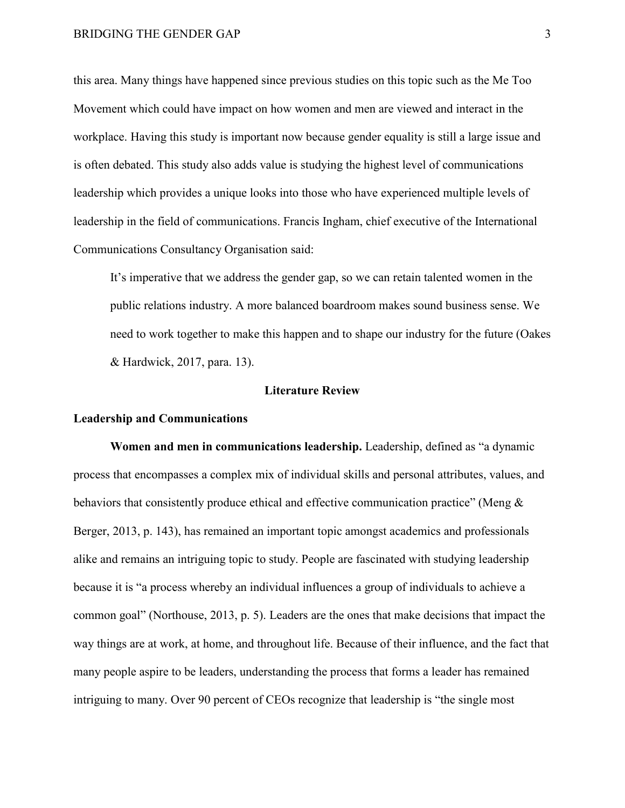this area. Many things have happened since previous studies on this topic such as the Me Too Movement which could have impact on how women and men are viewed and interact in the workplace. Having this study is important now because gender equality is still a large issue and is often debated. This study also adds value is studying the highest level of communications leadership which provides a unique looks into those who have experienced multiple levels of leadership in the field of communications. Francis Ingham, chief executive of the International Communications Consultancy Organisation said:

It's imperative that we address the gender gap, so we can retain talented women in the public relations industry. A more balanced boardroom makes sound business sense. We need to work together to make this happen and to shape our industry for the future (Oakes & Hardwick, 2017, para. 13).

#### **Literature Review**

# <span id="page-12-1"></span><span id="page-12-0"></span>**Leadership and Communications**

<span id="page-12-2"></span>**Women and men in communications leadership.** Leadership, defined as "a dynamic process that encompasses a complex mix of individual skills and personal attributes, values, and behaviors that consistently produce ethical and effective communication practice" (Meng & Berger, 2013, p. 143), has remained an important topic amongst academics and professionals alike and remains an intriguing topic to study. People are fascinated with studying leadership because it is "a process whereby an individual influences a group of individuals to achieve a common goal" (Northouse, 2013, p. 5). Leaders are the ones that make decisions that impact the way things are at work, at home, and throughout life. Because of their influence, and the fact that many people aspire to be leaders, understanding the process that forms a leader has remained intriguing to many. Over 90 percent of CEOs recognize that leadership is "the single most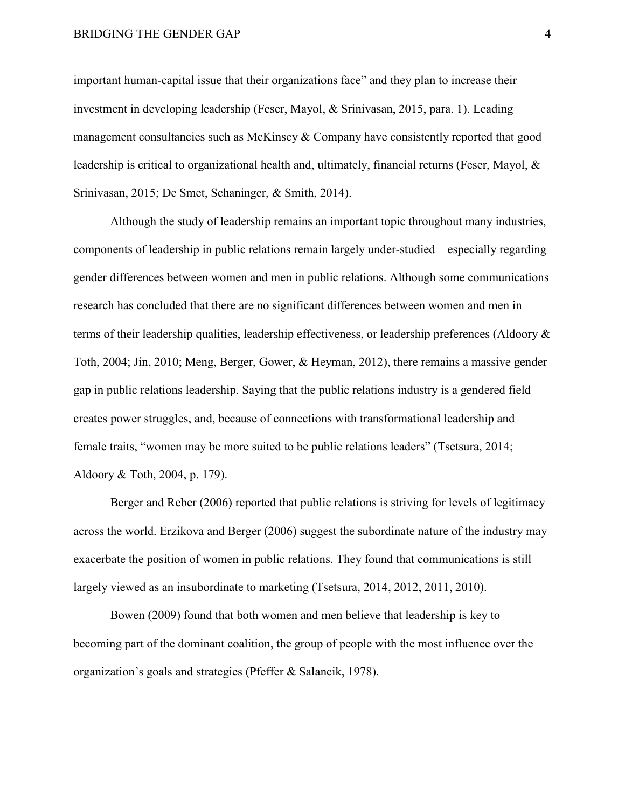#### BRIDGING THE GENDER GAP 4

important human-capital issue that their organizations face" and they plan to increase their investment in developing leadership (Feser, Mayol, & Srinivasan, 2015, para. 1). Leading management consultancies such as McKinsey & Company have consistently reported that good leadership is critical to organizational health and, ultimately, financial returns (Feser, Mayol, & Srinivasan, 2015; De Smet, Schaninger, & Smith, 2014).

Although the study of leadership remains an important topic throughout many industries, components of leadership in public relations remain largely under-studied—especially regarding gender differences between women and men in public relations. Although some communications research has concluded that there are no significant differences between women and men in terms of their leadership qualities, leadership effectiveness, or leadership preferences (Aldoory & Toth, 2004; Jin, 2010; Meng, Berger, Gower, & Heyman, 2012), there remains a massive gender gap in public relations leadership. Saying that the public relations industry is a gendered field creates power struggles, and, because of connections with transformational leadership and female traits, "women may be more suited to be public relations leaders" (Tsetsura, 2014; Aldoory & Toth, 2004, p. 179).

Berger and Reber (2006) reported that public relations is striving for levels of legitimacy across the world. Erzikova and Berger (2006) suggest the subordinate nature of the industry may exacerbate the position of women in public relations. They found that communications is still largely viewed as an insubordinate to marketing (Tsetsura, 2014, 2012, 2011, 2010).

Bowen (2009) found that both women and men believe that leadership is key to becoming part of the dominant coalition, the group of people with the most influence over the organization's goals and strategies (Pfeffer & Salancik, 1978).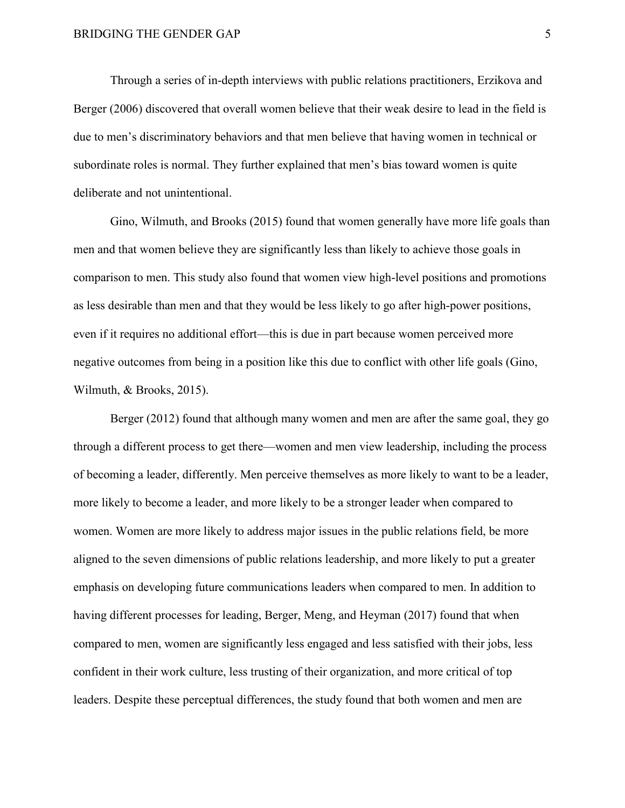Through a series of in-depth interviews with public relations practitioners, Erzikova and Berger (2006) discovered that overall women believe that their weak desire to lead in the field is due to men's discriminatory behaviors and that men believe that having women in technical or subordinate roles is normal. They further explained that men's bias toward women is quite deliberate and not unintentional.

Gino, Wilmuth, and Brooks (2015) found that women generally have more life goals than men and that women believe they are significantly less than likely to achieve those goals in comparison to men. This study also found that women view high-level positions and promotions as less desirable than men and that they would be less likely to go after high-power positions, even if it requires no additional effort—this is due in part because women perceived more negative outcomes from being in a position like this due to conflict with other life goals (Gino, Wilmuth, & Brooks, 2015).

Berger (2012) found that although many women and men are after the same goal, they go through a different process to get there—women and men view leadership, including the process of becoming a leader, differently. Men perceive themselves as more likely to want to be a leader, more likely to become a leader, and more likely to be a stronger leader when compared to women. Women are more likely to address major issues in the public relations field, be more aligned to the seven dimensions of public relations leadership, and more likely to put a greater emphasis on developing future communications leaders when compared to men. In addition to having different processes for leading, Berger, Meng, and Heyman (2017) found that when compared to men, women are significantly less engaged and less satisfied with their jobs, less confident in their work culture, less trusting of their organization, and more critical of top leaders. Despite these perceptual differences, the study found that both women and men are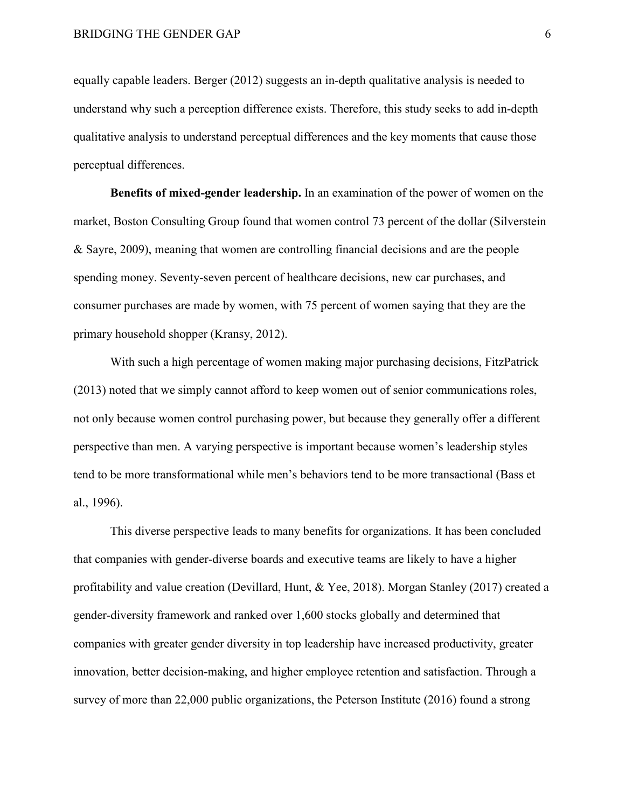equally capable leaders. Berger (2012) suggests an in-depth qualitative analysis is needed to understand why such a perception difference exists. Therefore, this study seeks to add in-depth qualitative analysis to understand perceptual differences and the key moments that cause those perceptual differences.

<span id="page-15-0"></span>**Benefits of mixed-gender leadership.** In an examination of the power of women on the market, Boston Consulting Group found that women control 73 percent of the dollar (Silverstein & Sayre, 2009), meaning that women are controlling financial decisions and are the people spending money. Seventy-seven percent of healthcare decisions, new car purchases, and consumer purchases are made by women, with 75 percent of women saying that they are the primary household shopper (Kransy, 2012).

With such a high percentage of women making major purchasing decisions, FitzPatrick (2013) noted that we simply cannot afford to keep women out of senior communications roles, not only because women control purchasing power, but because they generally offer a different perspective than men. A varying perspective is important because women's leadership styles tend to be more transformational while men's behaviors tend to be more transactional (Bass et al., 1996).

This diverse perspective leads to many benefits for organizations. It has been concluded that companies with gender-diverse boards and executive teams are likely to have a higher profitability and value creation (Devillard, Hunt, & Yee, 2018). Morgan Stanley (2017) created a gender-diversity framework and ranked over 1,600 stocks globally and determined that companies with greater gender diversity in top leadership have increased productivity, greater innovation, better decision-making, and higher employee retention and satisfaction. Through a survey of more than 22,000 public organizations, the Peterson Institute (2016) found a strong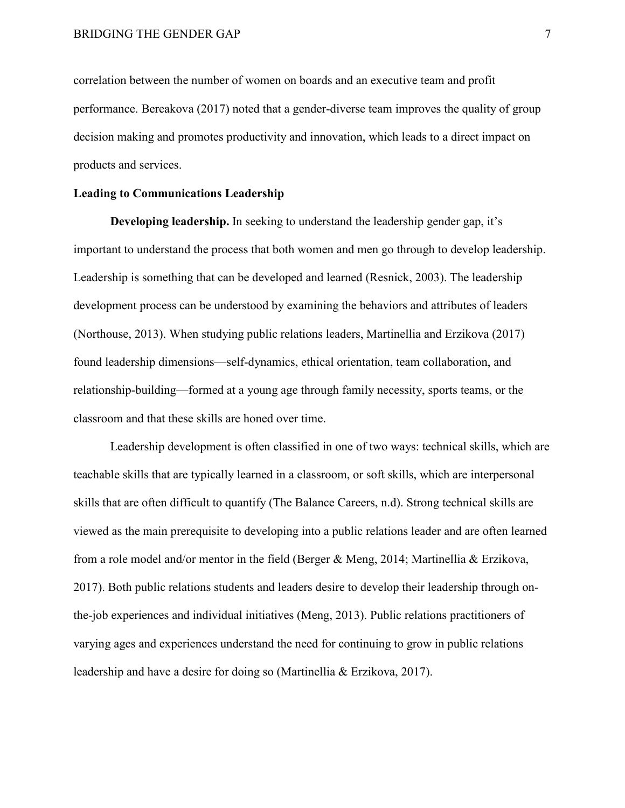correlation between the number of women on boards and an executive team and profit performance. Bereakova (2017) noted that a gender-diverse team improves the quality of group decision making and promotes productivity and innovation, which leads to a direct impact on products and services.

#### <span id="page-16-0"></span>**Leading to Communications Leadership**

<span id="page-16-1"></span>**Developing leadership.** In seeking to understand the leadership gender gap, it's important to understand the process that both women and men go through to develop leadership. Leadership is something that can be developed and learned (Resnick, 2003). The leadership development process can be understood by examining the behaviors and attributes of leaders (Northouse, 2013). When studying public relations leaders, Martinellia and Erzikova (2017) found leadership dimensions—self-dynamics, ethical orientation, team collaboration, and relationship-building—formed at a young age through family necessity, sports teams, or the classroom and that these skills are honed over time.

Leadership development is often classified in one of two ways: technical skills, which are teachable skills that are typically learned in a classroom, or soft skills, which are interpersonal skills that are often difficult to quantify (The Balance Careers, n.d). Strong technical skills are viewed as the main prerequisite to developing into a public relations leader and are often learned from a role model and/or mentor in the field (Berger & Meng, 2014; Martinellia & Erzikova, 2017). Both public relations students and leaders desire to develop their leadership through onthe-job experiences and individual initiatives (Meng, 2013). Public relations practitioners of varying ages and experiences understand the need for continuing to grow in public relations leadership and have a desire for doing so (Martinellia & Erzikova, 2017).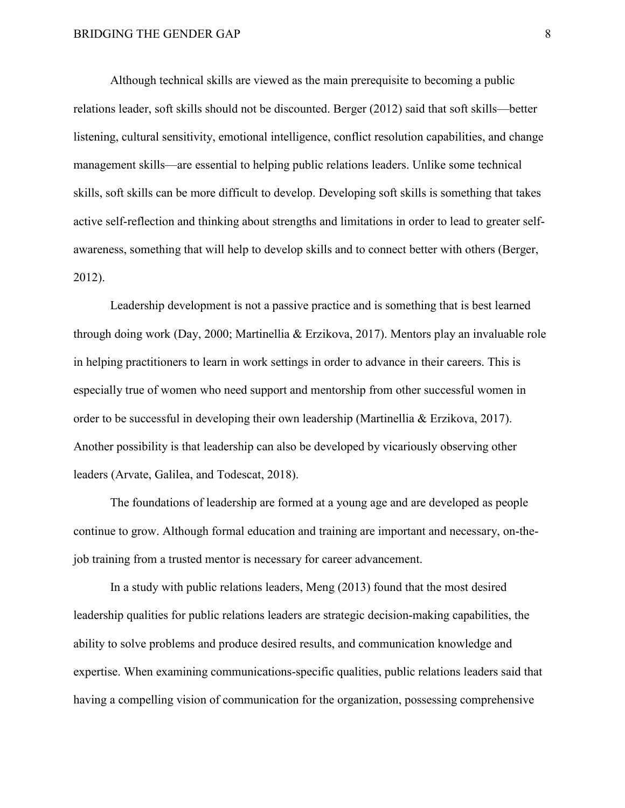Although technical skills are viewed as the main prerequisite to becoming a public relations leader, soft skills should not be discounted. Berger (2012) said that soft skills—better listening, cultural sensitivity, emotional intelligence, conflict resolution capabilities, and change management skills—are essential to helping public relations leaders. Unlike some technical skills, soft skills can be more difficult to develop. Developing soft skills is something that takes active self-reflection and thinking about strengths and limitations in order to lead to greater selfawareness, something that will help to develop skills and to connect better with others (Berger, 2012).

Leadership development is not a passive practice and is something that is best learned through doing work (Day, 2000; Martinellia & Erzikova, 2017). Mentors play an invaluable role in helping practitioners to learn in work settings in order to advance in their careers. This is especially true of women who need support and mentorship from other successful women in order to be successful in developing their own leadership (Martinellia & Erzikova, 2017). Another possibility is that leadership can also be developed by vicariously observing other leaders (Arvate, Galilea, and Todescat, 2018).

The foundations of leadership are formed at a young age and are developed as people continue to grow. Although formal education and training are important and necessary, on-thejob training from a trusted mentor is necessary for career advancement.

In a study with public relations leaders, Meng (2013) found that the most desired leadership qualities for public relations leaders are strategic decision-making capabilities, the ability to solve problems and produce desired results, and communication knowledge and expertise. When examining communications-specific qualities, public relations leaders said that having a compelling vision of communication for the organization, possessing comprehensive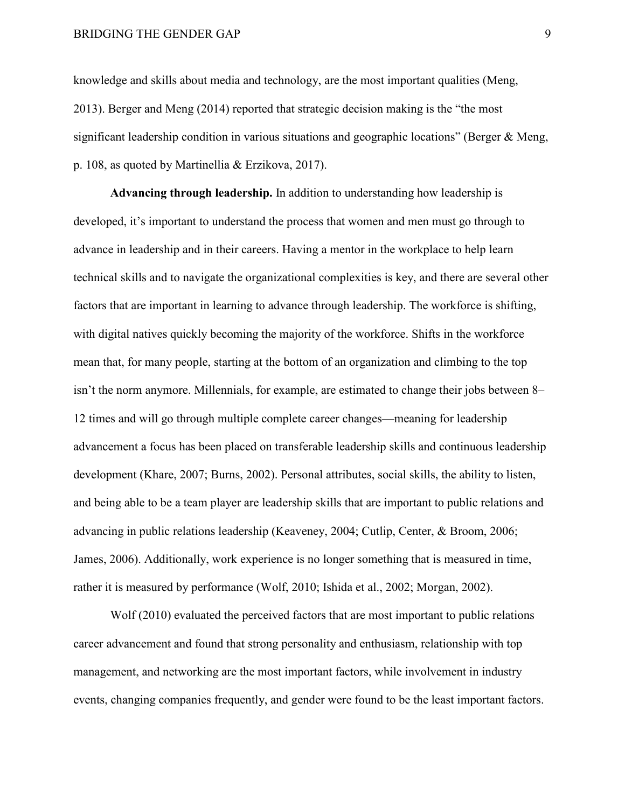knowledge and skills about media and technology, are the most important qualities (Meng, 2013). Berger and Meng (2014) reported that strategic decision making is the "the most significant leadership condition in various situations and geographic locations" (Berger & Meng, p. 108, as quoted by Martinellia & Erzikova, 2017).

<span id="page-18-0"></span>**Advancing through leadership.** In addition to understanding how leadership is developed, it's important to understand the process that women and men must go through to advance in leadership and in their careers. Having a mentor in the workplace to help learn technical skills and to navigate the organizational complexities is key, and there are several other factors that are important in learning to advance through leadership. The workforce is shifting, with digital natives quickly becoming the majority of the workforce. Shifts in the workforce mean that, for many people, starting at the bottom of an organization and climbing to the top isn't the norm anymore. Millennials, for example, are estimated to change their jobs between 8– 12 times and will go through multiple complete career changes—meaning for leadership advancement a focus has been placed on transferable leadership skills and continuous leadership development (Khare, 2007; Burns, 2002). Personal attributes, social skills, the ability to listen, and being able to be a team player are leadership skills that are important to public relations and advancing in public relations leadership (Keaveney, 2004; Cutlip, Center, & Broom, 2006; James, 2006). Additionally, work experience is no longer something that is measured in time, rather it is measured by performance (Wolf, 2010; Ishida et al., 2002; Morgan, 2002).

Wolf (2010) evaluated the perceived factors that are most important to public relations career advancement and found that strong personality and enthusiasm, relationship with top management, and networking are the most important factors, while involvement in industry events, changing companies frequently, and gender were found to be the least important factors.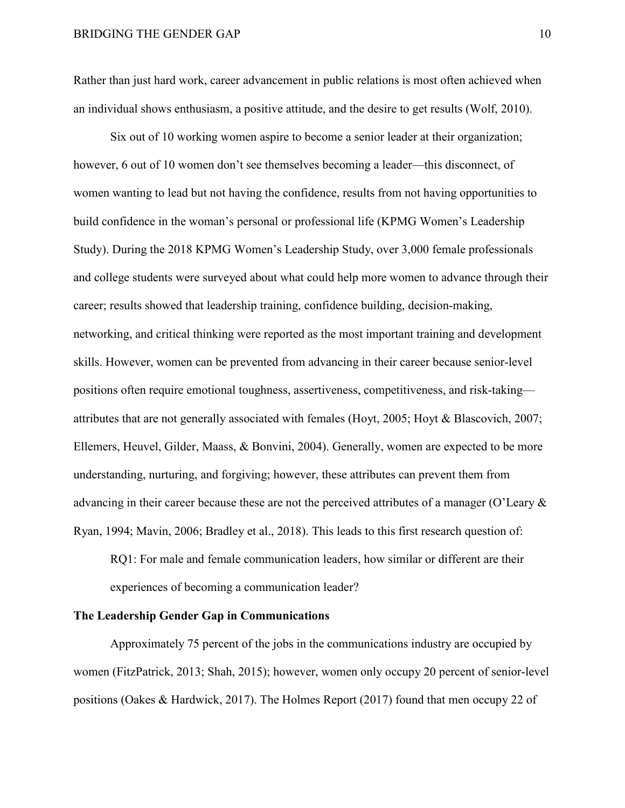Rather than just hard work, career advancement in public relations is most often achieved when an individual shows enthusiasm, a positive attitude, and the desire to get results (Wolf, 2010).

Six out of 10 working women aspire to become a senior leader at their organization; however, 6 out of 10 women don't see themselves becoming a leader—this disconnect, of women wanting to lead but not having the confidence, results from not having opportunities to build confidence in the woman's personal or professional life (KPMG Women's Leadership Study). During the 2018 KPMG Women's Leadership Study, over 3,000 female professionals and college students were surveyed about what could help more women to advance through their career; results showed that leadership training, confidence building, decision-making, networking, and critical thinking were reported as the most important training and development skills. However, women can be prevented from advancing in their career because senior-level positions often require emotional toughness, assertiveness, competitiveness, and risk-taking attributes that are not generally associated with females (Hoyt, 2005; Hoyt & Blascovich, 2007; Ellemers, Heuvel, Gilder, Maass, & Bonvini, 2004). Generally, women are expected to be more understanding, nurturing, and forgiving; however, these attributes can prevent them from advancing in their career because these are not the perceived attributes of a manager (O'Leary & Ryan, 1994; Mavin, 2006; Bradley et al., 2018). This leads to this first research question of:

RQ1: For male and female communication leaders, how similar or different are their experiences of becoming a communication leader?

#### <span id="page-19-0"></span>**The Leadership Gender Gap in Communications**

Approximately 75 percent of the jobs in the communications industry are occupied by women (FitzPatrick, 2013; Shah, 2015); however, women only occupy 20 percent of senior-level positions (Oakes & Hardwick, 2017). The Holmes Report (2017) found that men occupy 22 of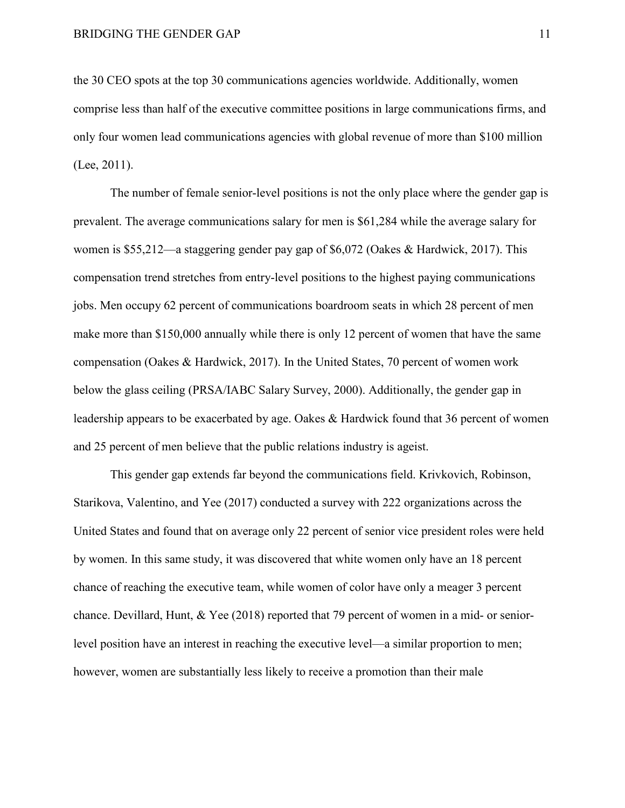the 30 CEO spots at the top 30 communications agencies worldwide. Additionally, women comprise less than half of the executive committee positions in large communications firms, and only four women lead communications agencies with global revenue of more than \$100 million (Lee, 2011).

The number of female senior-level positions is not the only place where the gender gap is prevalent. The average communications salary for men is \$61,284 while the average salary for women is \$55,212—a staggering gender pay gap of \$6,072 (Oakes & Hardwick, 2017). This compensation trend stretches from entry-level positions to the highest paying communications jobs. Men occupy 62 percent of communications boardroom seats in which 28 percent of men make more than \$150,000 annually while there is only 12 percent of women that have the same compensation (Oakes & Hardwick, 2017). In the United States, 70 percent of women work below the glass ceiling (PRSA/IABC Salary Survey, 2000). Additionally, the gender gap in leadership appears to be exacerbated by age. Oakes & Hardwick found that 36 percent of women and 25 percent of men believe that the public relations industry is ageist.

This gender gap extends far beyond the communications field. Krivkovich, Robinson, Starikova, Valentino, and Yee (2017) conducted a survey with 222 organizations across the United States and found that on average only 22 percent of senior vice president roles were held by women. In this same study, it was discovered that white women only have an 18 percent chance of reaching the executive team, while women of color have only a meager 3 percent chance. Devillard, Hunt, & Yee (2018) reported that 79 percent of women in a mid- or seniorlevel position have an interest in reaching the executive level—a similar proportion to men; however, women are substantially less likely to receive a promotion than their male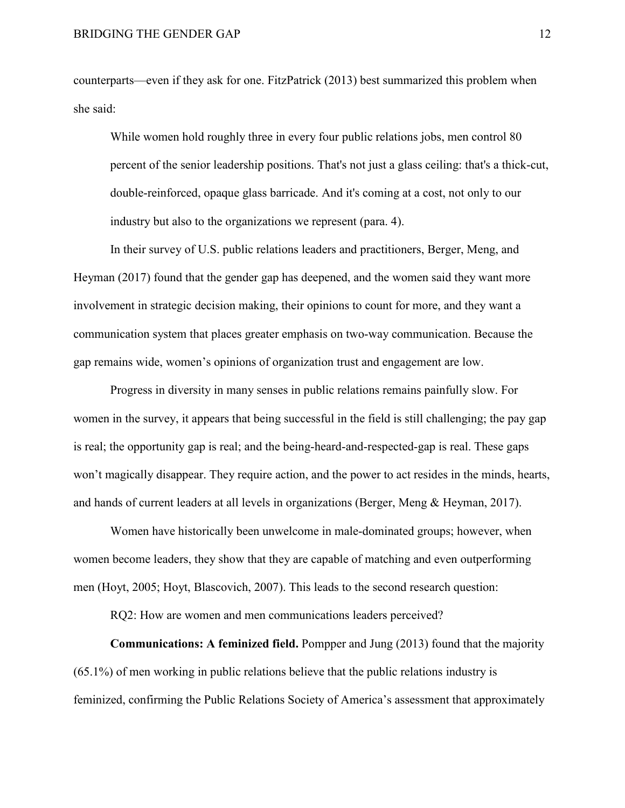counterparts—even if they ask for one. FitzPatrick (2013) best summarized this problem when she said:

While women hold roughly three in every four public relations jobs, men control 80 percent of the senior leadership positions. That's not just a glass ceiling: that's a thick-cut, double-reinforced, opaque glass barricade. And it's coming at a cost, not only to our industry but also to the organizations we represent (para. 4).

In their survey of U.S. public relations leaders and practitioners, Berger, Meng, and Heyman (2017) found that the gender gap has deepened, and the women said they want more involvement in strategic decision making, their opinions to count for more, and they want a communication system that places greater emphasis on two-way communication. Because the gap remains wide, women's opinions of organization trust and engagement are low.

Progress in diversity in many senses in public relations remains painfully slow. For women in the survey, it appears that being successful in the field is still challenging; the pay gap is real; the opportunity gap is real; and the being-heard-and-respected-gap is real. These gaps won't magically disappear. They require action, and the power to act resides in the minds, hearts, and hands of current leaders at all levels in organizations (Berger, Meng & Heyman, 2017).

Women have historically been unwelcome in male-dominated groups; however, when women become leaders, they show that they are capable of matching and even outperforming men (Hoyt, 2005; Hoyt, Blascovich, 2007). This leads to the second research question:

RQ2: How are women and men communications leaders perceived?

<span id="page-21-0"></span>**Communications: A feminized field.** Pompper and Jung (2013) found that the majority (65.1%) of men working in public relations believe that the public relations industry is feminized, confirming the Public Relations Society of America's assessment that approximately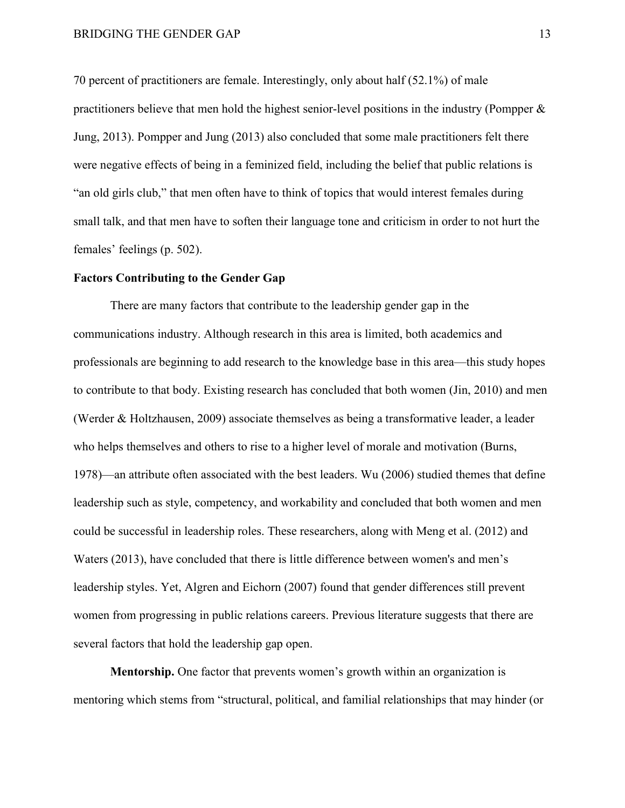70 percent of practitioners are female. Interestingly, only about half (52.1%) of male practitioners believe that men hold the highest senior-level positions in the industry (Pompper & Jung, 2013). Pompper and Jung (2013) also concluded that some male practitioners felt there were negative effects of being in a feminized field, including the belief that public relations is "an old girls club," that men often have to think of topics that would interest females during small talk, and that men have to soften their language tone and criticism in order to not hurt the females' feelings (p. 502).

## <span id="page-22-0"></span>**Factors Contributing to the Gender Gap**

There are many factors that contribute to the leadership gender gap in the communications industry. Although research in this area is limited, both academics and professionals are beginning to add research to the knowledge base in this area—this study hopes to contribute to that body. Existing research has concluded that both women (Jin, 2010) and men (Werder & Holtzhausen, 2009) associate themselves as being a transformative leader, a leader who helps themselves and others to rise to a higher level of morale and motivation (Burns, 1978)—an attribute often associated with the best leaders. Wu (2006) studied themes that define leadership such as style, competency, and workability and concluded that both women and men could be successful in leadership roles. These researchers, along with Meng et al. (2012) and Waters (2013), have concluded that there is little difference between women's and men's leadership styles. Yet, Algren and Eichorn (2007) found that gender differences still prevent women from progressing in public relations careers. Previous literature suggests that there are several factors that hold the leadership gap open.

<span id="page-22-1"></span>**Mentorship.** One factor that prevents women's growth within an organization is mentoring which stems from "structural, political, and familial relationships that may hinder (or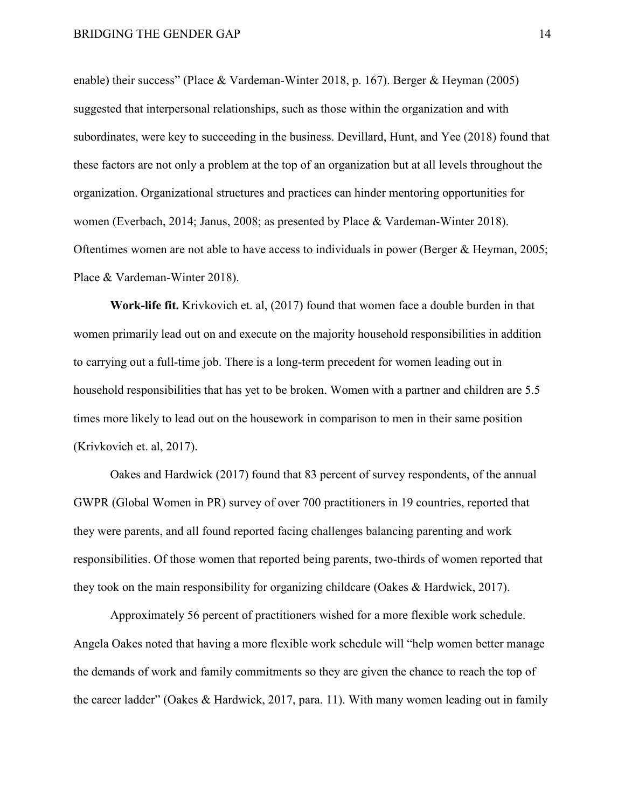enable) their success" (Place & Vardeman-Winter 2018, p. 167). Berger & Heyman (2005) suggested that interpersonal relationships, such as those within the organization and with subordinates, were key to succeeding in the business. Devillard, Hunt, and Yee (2018) found that these factors are not only a problem at the top of an organization but at all levels throughout the organization. Organizational structures and practices can hinder mentoring opportunities for women (Everbach, 2014; Janus, 2008; as presented by Place & Vardeman-Winter 2018). Oftentimes women are not able to have access to individuals in power (Berger & Heyman, 2005; Place & Vardeman-Winter 2018).

<span id="page-23-0"></span>**Work-life fit.** Krivkovich et. al, (2017) found that women face a double burden in that women primarily lead out on and execute on the majority household responsibilities in addition to carrying out a full-time job. There is a long-term precedent for women leading out in household responsibilities that has yet to be broken. Women with a partner and children are 5.5 times more likely to lead out on the housework in comparison to men in their same position (Krivkovich et. al, 2017).

Oakes and Hardwick (2017) found that 83 percent of survey respondents, of the annual GWPR (Global Women in PR) survey of over 700 practitioners in 19 countries, reported that they were parents, and all found reported facing challenges balancing parenting and work responsibilities. Of those women that reported being parents, two-thirds of women reported that they took on the main responsibility for organizing childcare (Oakes & Hardwick, 2017).

Approximately 56 percent of practitioners wished for a more flexible work schedule. Angela Oakes noted that having a more flexible work schedule will "help women better manage the demands of work and family commitments so they are given the chance to reach the top of the career ladder" (Oakes & Hardwick, 2017, para. 11). With many women leading out in family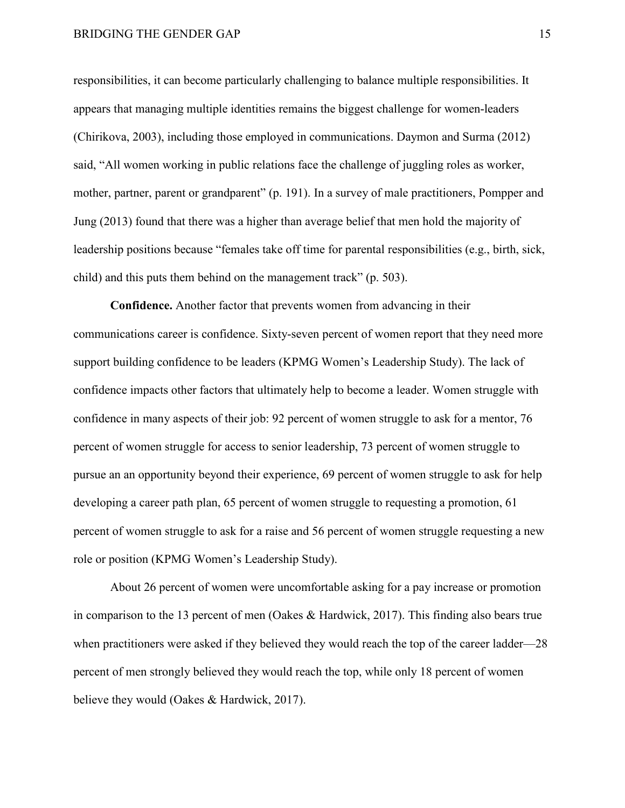# BRIDGING THE GENDER GAP 15

responsibilities, it can become particularly challenging to balance multiple responsibilities. It appears that managing multiple identities remains the biggest challenge for women-leaders (Chirikova, 2003), including those employed in communications. Daymon and Surma (2012) said, "All women working in public relations face the challenge of juggling roles as worker, mother, partner, parent or grandparent" (p. 191). In a survey of male practitioners, Pompper and Jung (2013) found that there was a higher than average belief that men hold the majority of leadership positions because "females take off time for parental responsibilities (e.g., birth, sick, child) and this puts them behind on the management track" (p. 503).

<span id="page-24-0"></span>**Confidence.** Another factor that prevents women from advancing in their communications career is confidence. Sixty-seven percent of women report that they need more support building confidence to be leaders (KPMG Women's Leadership Study). The lack of confidence impacts other factors that ultimately help to become a leader. Women struggle with confidence in many aspects of their job: 92 percent of women struggle to ask for a mentor, 76 percent of women struggle for access to senior leadership, 73 percent of women struggle to pursue an an opportunity beyond their experience, 69 percent of women struggle to ask for help developing a career path plan, 65 percent of women struggle to requesting a promotion, 61 percent of women struggle to ask for a raise and 56 percent of women struggle requesting a new role or position (KPMG Women's Leadership Study).

About 26 percent of women were uncomfortable asking for a pay increase or promotion in comparison to the 13 percent of men (Oakes & Hardwick, 2017). This finding also bears true when practitioners were asked if they believed they would reach the top of the career ladder—28 percent of men strongly believed they would reach the top, while only 18 percent of women believe they would (Oakes & Hardwick, 2017).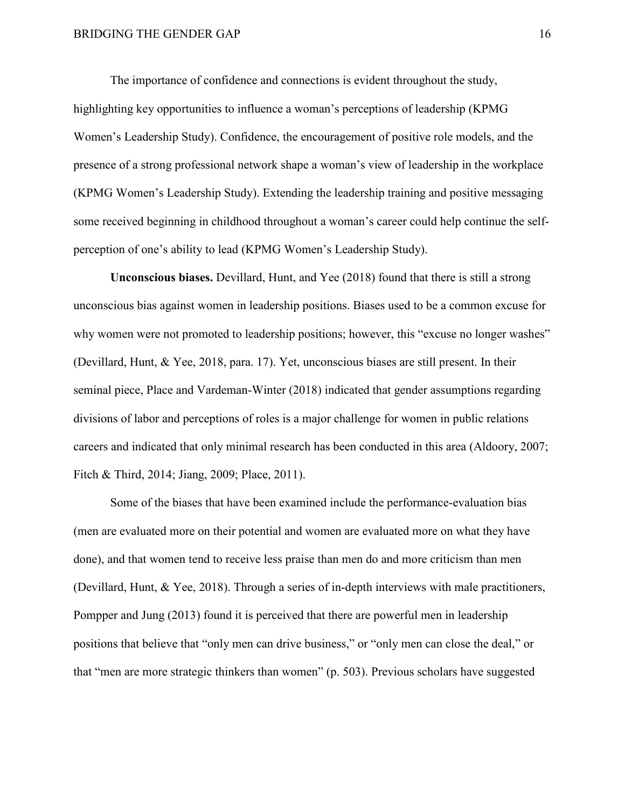The importance of confidence and connections is evident throughout the study, highlighting key opportunities to influence a woman's perceptions of leadership (KPMG Women's Leadership Study). Confidence, the encouragement of positive role models, and the presence of a strong professional network shape a woman's view of leadership in the workplace (KPMG Women's Leadership Study). Extending the leadership training and positive messaging some received beginning in childhood throughout a woman's career could help continue the selfperception of one's ability to lead (KPMG Women's Leadership Study).

<span id="page-25-0"></span>**Unconscious biases.** Devillard, Hunt, and Yee (2018) found that there is still a strong unconscious bias against women in leadership positions. Biases used to be a common excuse for why women were not promoted to leadership positions; however, this "excuse no longer washes" (Devillard, Hunt, & Yee, 2018, para. 17). Yet, unconscious biases are still present. In their seminal piece, Place and Vardeman-Winter (2018) indicated that gender assumptions regarding divisions of labor and perceptions of roles is a major challenge for women in public relations careers and indicated that only minimal research has been conducted in this area (Aldoory, 2007; Fitch & Third, 2014; Jiang, 2009; Place, 2011).

Some of the biases that have been examined include the performance-evaluation bias (men are evaluated more on their potential and women are evaluated more on what they have done), and that women tend to receive less praise than men do and more criticism than men (Devillard, Hunt, & Yee, 2018). Through a series of in-depth interviews with male practitioners, Pompper and Jung (2013) found it is perceived that there are powerful men in leadership positions that believe that "only men can drive business," or "only men can close the deal," or that "men are more strategic thinkers than women" (p. 503). Previous scholars have suggested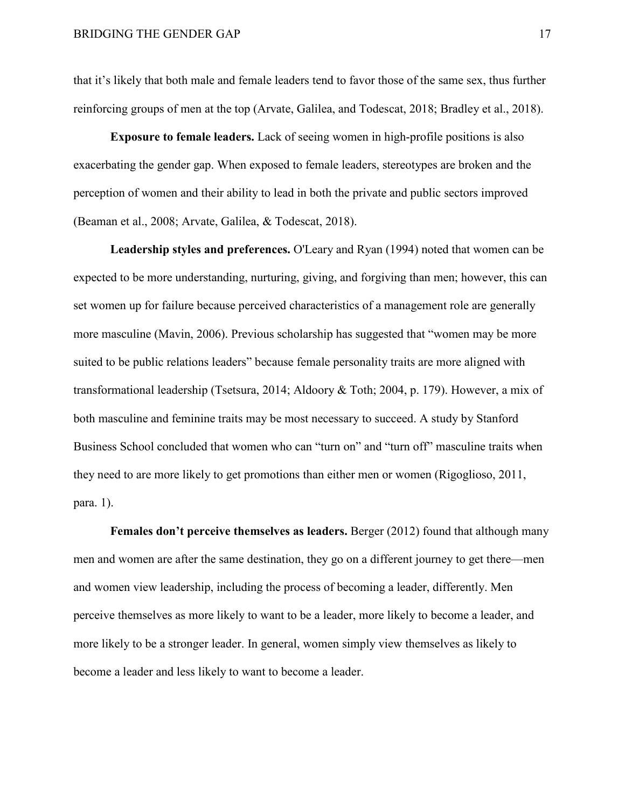that it's likely that both male and female leaders tend to favor those of the same sex, thus further reinforcing groups of men at the top (Arvate, Galilea, and Todescat, 2018; Bradley et al., 2018).

<span id="page-26-0"></span>**Exposure to female leaders.** Lack of seeing women in high-profile positions is also exacerbating the gender gap. When exposed to female leaders, stereotypes are broken and the perception of women and their ability to lead in both the private and public sectors improved (Beaman et al., 2008; Arvate, Galilea, & Todescat, 2018).

<span id="page-26-1"></span>**Leadership styles and preferences.** O'Leary and Ryan (1994) noted that women can be expected to be more understanding, nurturing, giving, and forgiving than men; however, this can set women up for failure because perceived characteristics of a management role are generally more masculine (Mavin, 2006). Previous scholarship has suggested that "women may be more suited to be public relations leaders" because female personality traits are more aligned with transformational leadership (Tsetsura, 2014; Aldoory & Toth; 2004, p. 179). However, a mix of both masculine and feminine traits may be most necessary to succeed. A study by Stanford Business School concluded that women who can "turn on" and "turn off" masculine traits when they need to are more likely to get promotions than either men or women (Rigoglioso, 2011, para. 1).

<span id="page-26-2"></span>**Females don't perceive themselves as leaders.** Berger (2012) found that although many men and women are after the same destination, they go on a different journey to get there—men and women view leadership, including the process of becoming a leader, differently. Men perceive themselves as more likely to want to be a leader, more likely to become a leader, and more likely to be a stronger leader. In general, women simply view themselves as likely to become a leader and less likely to want to become a leader.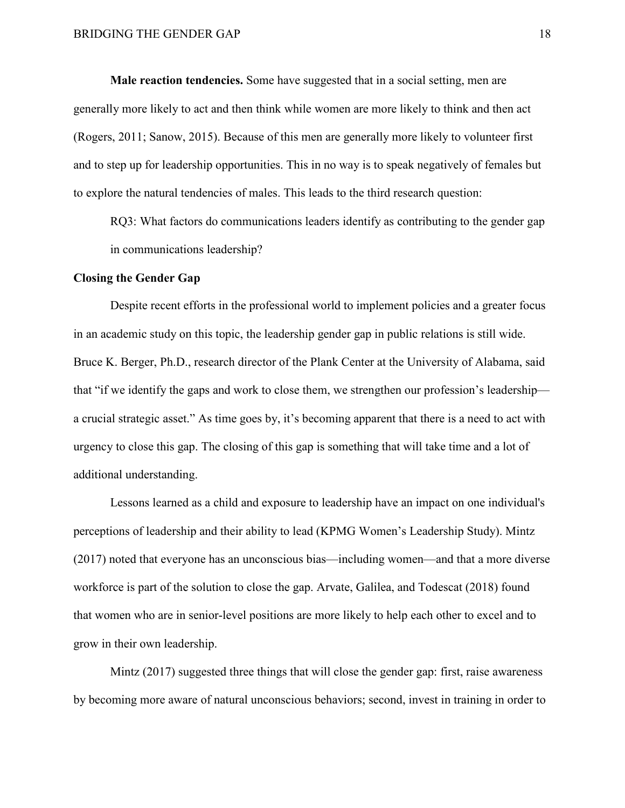<span id="page-27-0"></span>**Male reaction tendencies.** Some have suggested that in a social setting, men are generally more likely to act and then think while women are more likely to think and then act (Rogers, 2011; Sanow, 2015). Because of this men are generally more likely to volunteer first and to step up for leadership opportunities. This in no way is to speak negatively of females but to explore the natural tendencies of males. This leads to the third research question:

RQ3: What factors do communications leaders identify as contributing to the gender gap in communications leadership?

#### <span id="page-27-1"></span>**Closing the Gender Gap**

Despite recent efforts in the professional world to implement policies and a greater focus in an academic study on this topic, the leadership gender gap in public relations is still wide. Bruce K. Berger, Ph.D., research director of the Plank Center at the University of Alabama, said that "if we identify the gaps and work to close them, we strengthen our profession's leadership a crucial strategic asset." As time goes by, it's becoming apparent that there is a need to act with urgency to close this gap. The closing of this gap is something that will take time and a lot of additional understanding.

Lessons learned as a child and exposure to leadership have an impact on one individual's perceptions of leadership and their ability to lead (KPMG Women's Leadership Study). Mintz (2017) noted that everyone has an unconscious bias—including women—and that a more diverse workforce is part of the solution to close the gap. Arvate, Galilea, and Todescat (2018) found that women who are in senior-level positions are more likely to help each other to excel and to grow in their own leadership.

Mintz (2017) suggested three things that will close the gender gap: first, raise awareness by becoming more aware of natural unconscious behaviors; second, invest in training in order to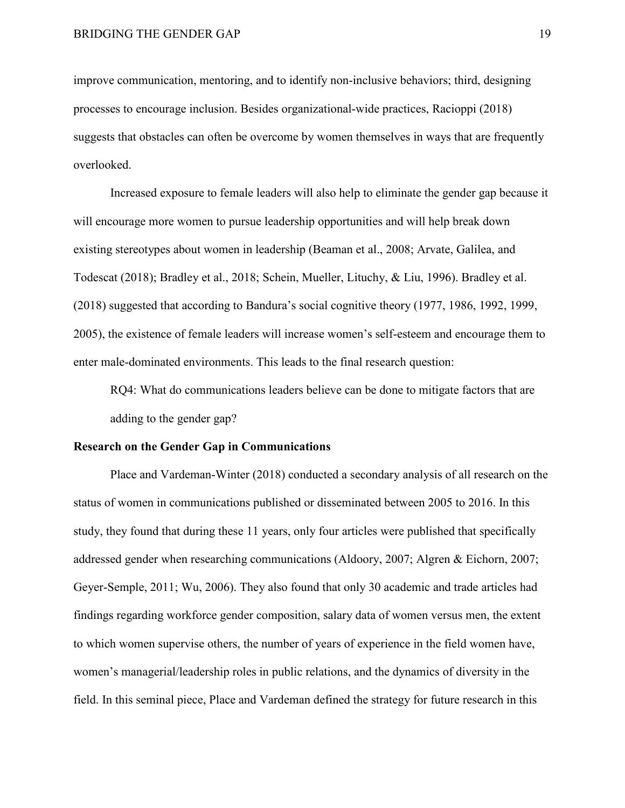improve communication, mentoring, and to identify non-inclusive behaviors; third, designing processes to encourage inclusion. Besides organizational-wide practices, Racioppi (2018) suggests that obstacles can often be overcome by women themselves in ways that are frequently overlooked.

Increased exposure to female leaders will also help to eliminate the gender gap because it will encourage more women to pursue leadership opportunities and will help break down existing stereotypes about women in leadership (Beaman et al., 2008; Arvate, Galilea, and Todescat (2018); Bradley et al., 2018; Schein, Mueller, Lituchy, & Liu, 1996). Bradley et al. (2018) suggested that according to Bandura's social cognitive theory (1977, 1986, 1992, 1999, 2005), the existence of female leaders will increase women's self-esteem and encourage them to enter male-dominated environments. This leads to the final research question:

RQ4: What do communications leaders believe can be done to mitigate factors that are adding to the gender gap?

# <span id="page-28-0"></span>**Research on the Gender Gap in Communications**

Place and Vardeman-Winter (2018) conducted a secondary analysis of all research on the status of women in communications published or disseminated between 2005 to 2016. In this study, they found that during these 11 years, only four articles were published that specifically addressed gender when researching communications (Aldoory, 2007; Algren & Eichorn, 2007; Geyer-Semple, 2011; Wu, 2006). They also found that only 30 academic and trade articles had findings regarding workforce gender composition, salary data of women versus men, the extent to which women supervise others, the number of years of experience in the field women have, women's managerial/leadership roles in public relations, and the dynamics of diversity in the field. In this seminal piece, Place and Vardeman defined the strategy for future research in this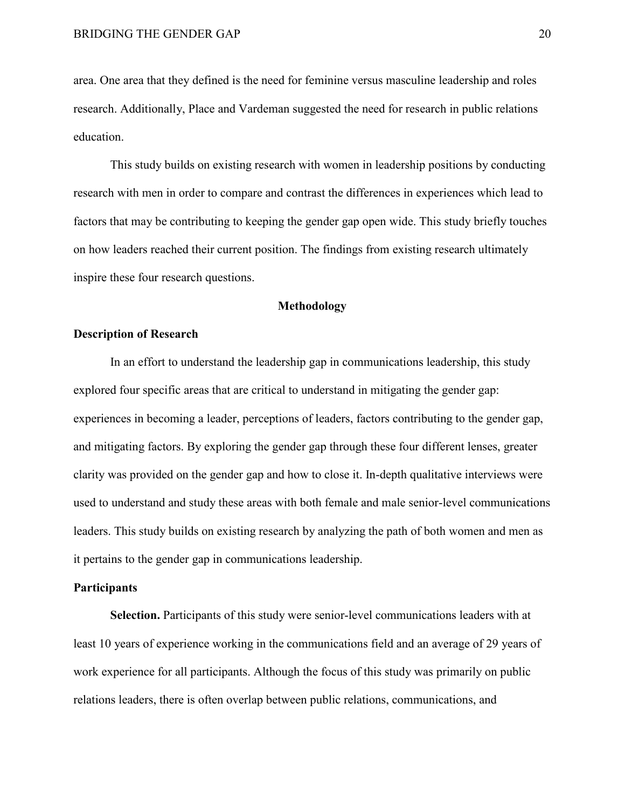area. One area that they defined is the need for feminine versus masculine leadership and roles research. Additionally, Place and Vardeman suggested the need for research in public relations education.

This study builds on existing research with women in leadership positions by conducting research with men in order to compare and contrast the differences in experiences which lead to factors that may be contributing to keeping the gender gap open wide. This study briefly touches on how leaders reached their current position. The findings from existing research ultimately inspire these four research questions.

# **Methodology**

# <span id="page-29-1"></span><span id="page-29-0"></span>**Description of Research**

In an effort to understand the leadership gap in communications leadership, this study explored four specific areas that are critical to understand in mitigating the gender gap: experiences in becoming a leader, perceptions of leaders, factors contributing to the gender gap, and mitigating factors. By exploring the gender gap through these four different lenses, greater clarity was provided on the gender gap and how to close it. In-depth qualitative interviews were used to understand and study these areas with both female and male senior-level communications leaders. This study builds on existing research by analyzing the path of both women and men as it pertains to the gender gap in communications leadership.

# <span id="page-29-2"></span>**Participants**

<span id="page-29-3"></span>**Selection.** Participants of this study were senior-level communications leaders with at least 10 years of experience working in the communications field and an average of 29 years of work experience for all participants. Although the focus of this study was primarily on public relations leaders, there is often overlap between public relations, communications, and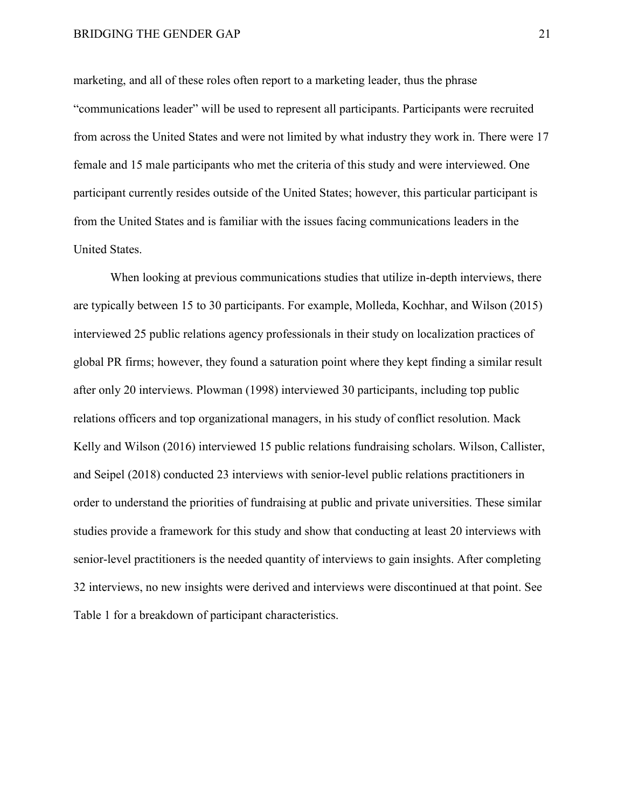# BRIDGING THE GENDER GAP 21

marketing, and all of these roles often report to a marketing leader, thus the phrase "communications leader" will be used to represent all participants. Participants were recruited from across the United States and were not limited by what industry they work in. There were 17 female and 15 male participants who met the criteria of this study and were interviewed. One participant currently resides outside of the United States; however, this particular participant is from the United States and is familiar with the issues facing communications leaders in the United States.

When looking at previous communications studies that utilize in-depth interviews, there are typically between 15 to 30 participants. For example, Molleda, Kochhar, and Wilson (2015) interviewed 25 public relations agency professionals in their study on localization practices of global PR firms; however, they found a saturation point where they kept finding a similar result after only 20 interviews. Plowman (1998) interviewed 30 participants, including top public relations officers and top organizational managers, in his study of conflict resolution. Mack Kelly and Wilson (2016) interviewed 15 public relations fundraising scholars. Wilson, Callister, and Seipel (2018) conducted 23 interviews with senior-level public relations practitioners in order to understand the priorities of fundraising at public and private universities. These similar studies provide a framework for this study and show that conducting at least 20 interviews with senior-level practitioners is the needed quantity of interviews to gain insights. After completing 32 interviews, no new insights were derived and interviews were discontinued at that point. See Table 1 for a breakdown of participant characteristics.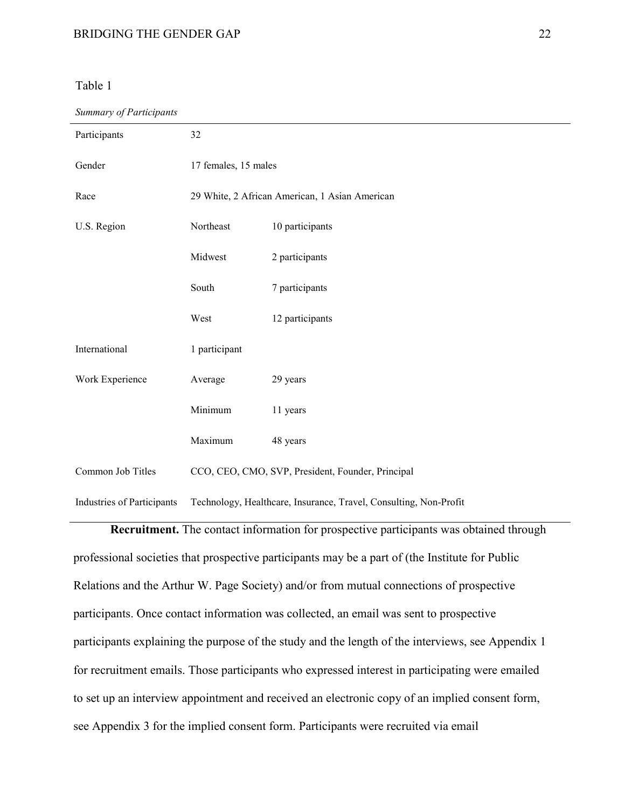# <span id="page-31-1"></span>Table 1

#### *Summary of Participants*

| Participants               | 32                                                                |                 |  |
|----------------------------|-------------------------------------------------------------------|-----------------|--|
| Gender                     | 17 females, 15 males                                              |                 |  |
| Race                       | 29 White, 2 African American, 1 Asian American                    |                 |  |
| U.S. Region                | Northeast                                                         | 10 participants |  |
|                            | Midwest                                                           | 2 participants  |  |
|                            | South                                                             | 7 participants  |  |
|                            | West                                                              | 12 participants |  |
| International              | 1 participant                                                     |                 |  |
| Work Experience            | Average                                                           | 29 years        |  |
|                            | Minimum                                                           | 11 years        |  |
|                            | Maximum                                                           | 48 years        |  |
| Common Job Titles          | CCO, CEO, CMO, SVP, President, Founder, Principal                 |                 |  |
| Industries of Participants | Technology, Healthcare, Insurance, Travel, Consulting, Non-Profit |                 |  |

<span id="page-31-0"></span>**Recruitment.** The contact information for prospective participants was obtained through professional societies that prospective participants may be a part of (the Institute for Public Relations and the Arthur W. Page Society) and/or from mutual connections of prospective participants. Once contact information was collected, an email was sent to prospective participants explaining the purpose of the study and the length of the interviews, see Appendix 1 for recruitment emails. Those participants who expressed interest in participating were emailed to set up an interview appointment and received an electronic copy of an implied consent form, see Appendix 3 for the implied consent form. Participants were recruited via email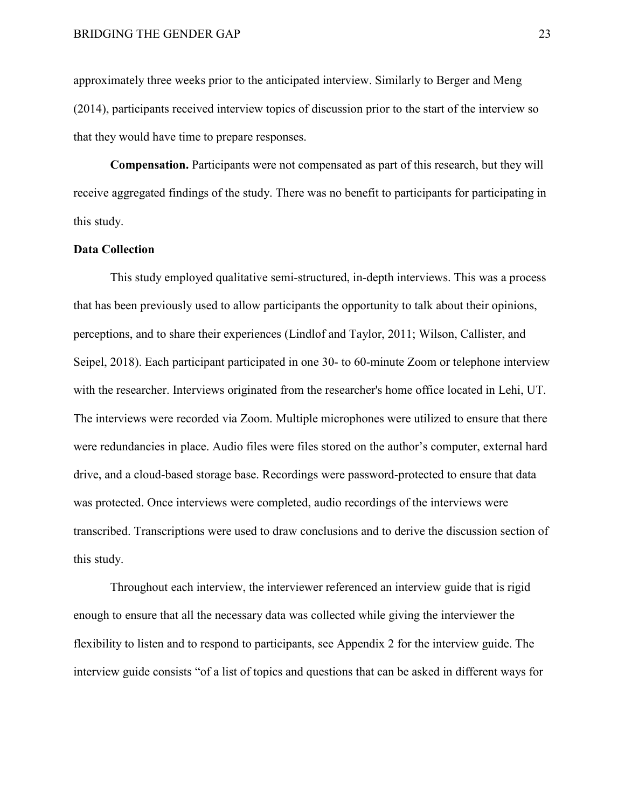approximately three weeks prior to the anticipated interview. Similarly to Berger and Meng (2014), participants received interview topics of discussion prior to the start of the interview so that they would have time to prepare responses.

<span id="page-32-0"></span>**Compensation.** Participants were not compensated as part of this research, but they will receive aggregated findings of the study. There was no benefit to participants for participating in this study.

# <span id="page-32-1"></span>**Data Collection**

This study employed qualitative semi-structured, in-depth interviews. This was a process that has been previously used to allow participants the opportunity to talk about their opinions, perceptions, and to share their experiences (Lindlof and Taylor, 2011; Wilson, Callister, and Seipel, 2018). Each participant participated in one 30- to 60-minute Zoom or telephone interview with the researcher. Interviews originated from the researcher's home office located in Lehi, UT. The interviews were recorded via Zoom. Multiple microphones were utilized to ensure that there were redundancies in place. Audio files were files stored on the author's computer, external hard drive, and a cloud-based storage base. Recordings were password-protected to ensure that data was protected. Once interviews were completed, audio recordings of the interviews were transcribed. Transcriptions were used to draw conclusions and to derive the discussion section of this study.

Throughout each interview, the interviewer referenced an interview guide that is rigid enough to ensure that all the necessary data was collected while giving the interviewer the flexibility to listen and to respond to participants, see Appendix 2 for the interview guide. The interview guide consists "of a list of topics and questions that can be asked in different ways for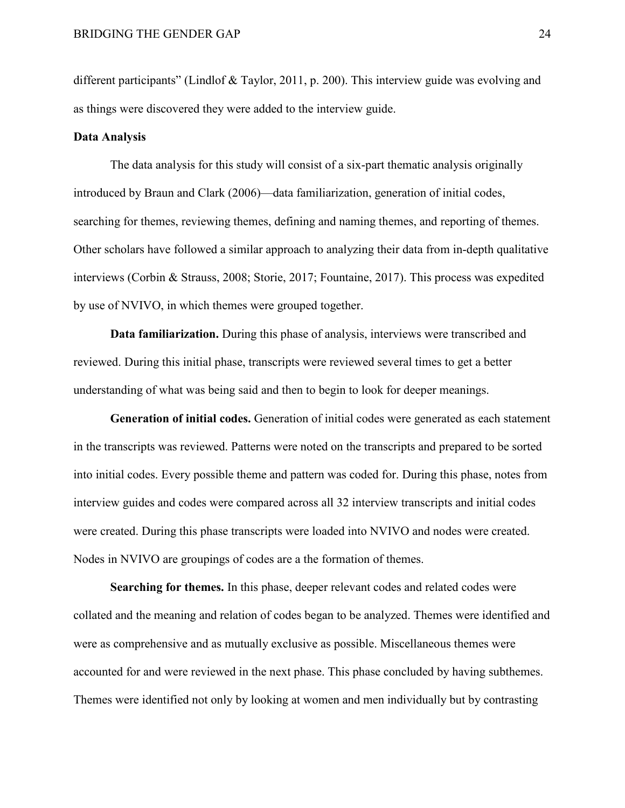different participants" (Lindlof & Taylor, 2011, p. 200). This interview guide was evolving and as things were discovered they were added to the interview guide.

#### <span id="page-33-0"></span>**Data Analysis**

The data analysis for this study will consist of a six-part thematic analysis originally introduced by Braun and Clark (2006)—data familiarization, generation of initial codes, searching for themes, reviewing themes, defining and naming themes, and reporting of themes. Other scholars have followed a similar approach to analyzing their data from in-depth qualitative interviews (Corbin & Strauss, 2008; Storie, 2017; Fountaine, 2017). This process was expedited by use of NVIVO, in which themes were grouped together.

**Data familiarization.** During this phase of analysis, interviews were transcribed and reviewed. During this initial phase, transcripts were reviewed several times to get a better understanding of what was being said and then to begin to look for deeper meanings.

**Generation of initial codes.** Generation of initial codes were generated as each statement in the transcripts was reviewed. Patterns were noted on the transcripts and prepared to be sorted into initial codes. Every possible theme and pattern was coded for. During this phase, notes from interview guides and codes were compared across all 32 interview transcripts and initial codes were created. During this phase transcripts were loaded into NVIVO and nodes were created. Nodes in NVIVO are groupings of codes are a the formation of themes.

**Searching for themes.** In this phase, deeper relevant codes and related codes were collated and the meaning and relation of codes began to be analyzed. Themes were identified and were as comprehensive and as mutually exclusive as possible. Miscellaneous themes were accounted for and were reviewed in the next phase. This phase concluded by having subthemes. Themes were identified not only by looking at women and men individually but by contrasting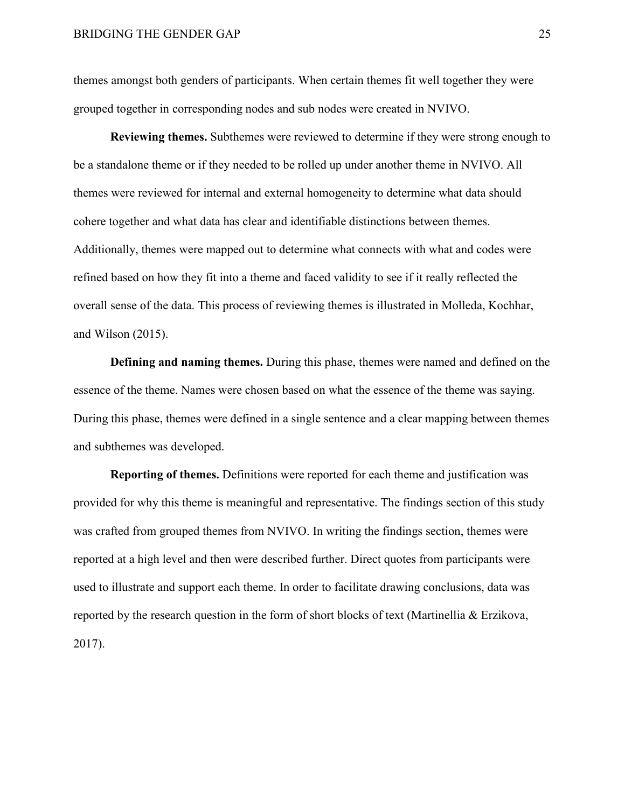themes amongst both genders of participants. When certain themes fit well together they were grouped together in corresponding nodes and sub nodes were created in NVIVO.

**Reviewing themes.** Subthemes were reviewed to determine if they were strong enough to be a standalone theme or if they needed to be rolled up under another theme in NVIVO. All themes were reviewed for internal and external homogeneity to determine what data should cohere together and what data has clear and identifiable distinctions between themes. Additionally, themes were mapped out to determine what connects with what and codes were refined based on how they fit into a theme and faced validity to see if it really reflected the overall sense of the data. This process of reviewing themes is illustrated in Molleda, Kochhar, and Wilson (2015).

**Defining and naming themes.** During this phase, themes were named and defined on the essence of the theme. Names were chosen based on what the essence of the theme was saying. During this phase, themes were defined in a single sentence and a clear mapping between themes and subthemes was developed.

**Reporting of themes.** Definitions were reported for each theme and justification was provided for why this theme is meaningful and representative. The findings section of this study was crafted from grouped themes from NVIVO. In writing the findings section, themes were reported at a high level and then were described further. Direct quotes from participants were used to illustrate and support each theme. In order to facilitate drawing conclusions, data was reported by the research question in the form of short blocks of text (Martinellia & Erzikova, 2017).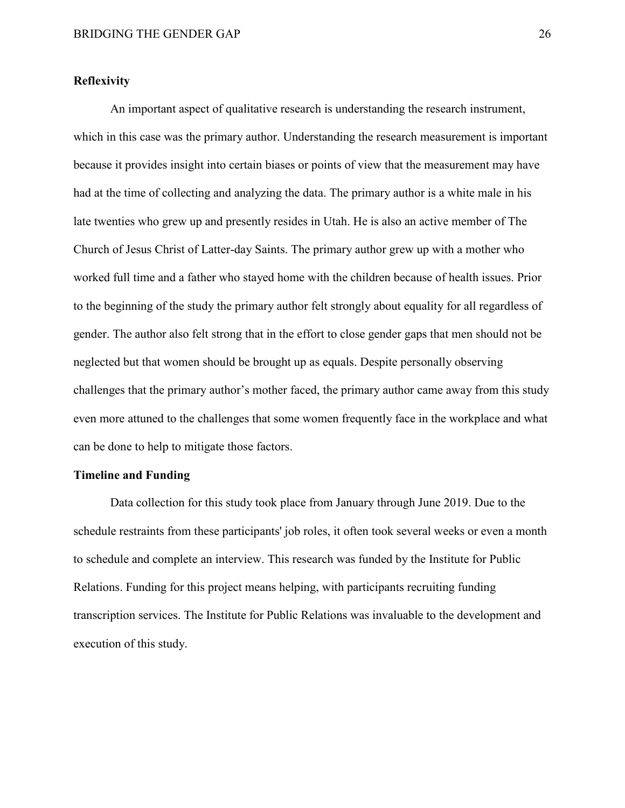# <span id="page-35-0"></span>**Reflexivity**

An important aspect of qualitative research is understanding the research instrument, which in this case was the primary author. Understanding the research measurement is important because it provides insight into certain biases or points of view that the measurement may have had at the time of collecting and analyzing the data. The primary author is a white male in his late twenties who grew up and presently resides in Utah. He is also an active member of The Church of Jesus Christ of Latter-day Saints. The primary author grew up with a mother who worked full time and a father who stayed home with the children because of health issues. Prior to the beginning of the study the primary author felt strongly about equality for all regardless of gender. The author also felt strong that in the effort to close gender gaps that men should not be neglected but that women should be brought up as equals. Despite personally observing challenges that the primary author's mother faced, the primary author came away from this study even more attuned to the challenges that some women frequently face in the workplace and what can be done to help to mitigate those factors.

#### <span id="page-35-1"></span>**Timeline and Funding**

Data collection for this study took place from January through June 2019. Due to the schedule restraints from these participants' job roles, it often took several weeks or even a month to schedule and complete an interview. This research was funded by the Institute for Public Relations. Funding for this project means helping, with participants recruiting funding transcription services. The Institute for Public Relations was invaluable to the development and execution of this study.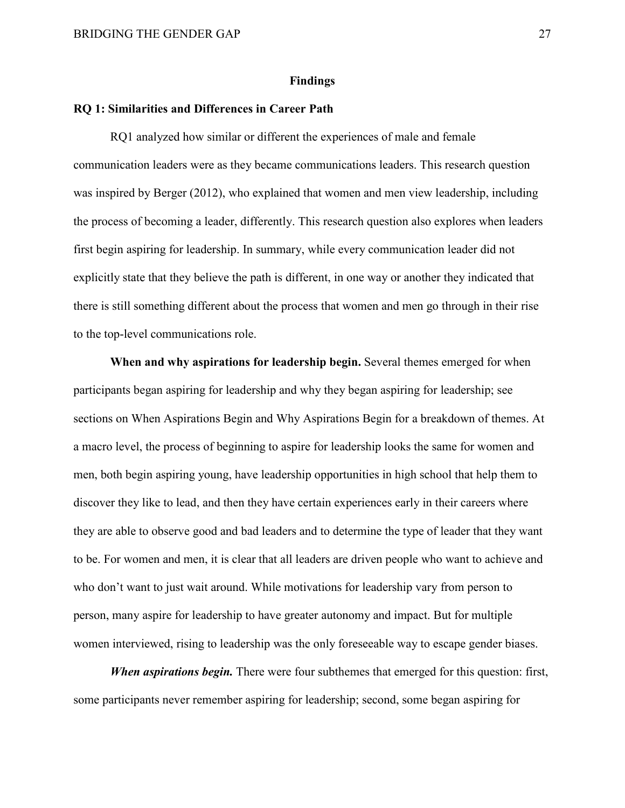#### **Findings**

### **RQ 1: Similarities and Differences in Career Path**

RQ1 analyzed how similar or different the experiences of male and female communication leaders were as they became communications leaders. This research question was inspired by Berger (2012), who explained that women and men view leadership, including the process of becoming a leader, differently. This research question also explores when leaders first begin aspiring for leadership. In summary, while every communication leader did not explicitly state that they believe the path is different, in one way or another they indicated that there is still something different about the process that women and men go through in their rise to the top-level communications role.

**When and why aspirations for leadership begin.** Several themes emerged for when participants began aspiring for leadership and why they began aspiring for leadership; see sections on When Aspirations Begin and Why Aspirations Begin for a breakdown of themes. At a macro level, the process of beginning to aspire for leadership looks the same for women and men, both begin aspiring young, have leadership opportunities in high school that help them to discover they like to lead, and then they have certain experiences early in their careers where they are able to observe good and bad leaders and to determine the type of leader that they want to be. For women and men, it is clear that all leaders are driven people who want to achieve and who don't want to just wait around. While motivations for leadership vary from person to person, many aspire for leadership to have greater autonomy and impact. But for multiple women interviewed, rising to leadership was the only foreseeable way to escape gender biases.

*When aspirations begin.* There were four subthemes that emerged for this question: first, some participants never remember aspiring for leadership; second, some began aspiring for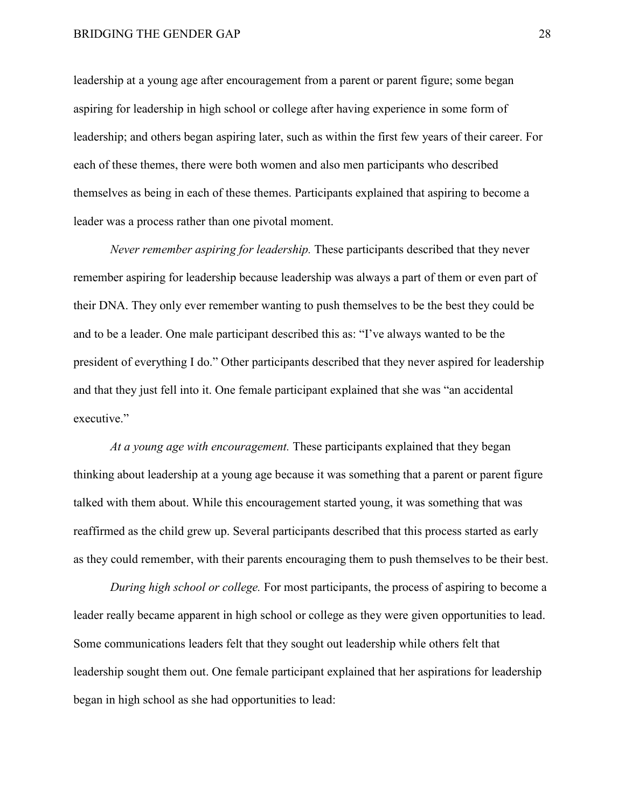leadership at a young age after encouragement from a parent or parent figure; some began aspiring for leadership in high school or college after having experience in some form of leadership; and others began aspiring later, such as within the first few years of their career. For each of these themes, there were both women and also men participants who described themselves as being in each of these themes. Participants explained that aspiring to become a leader was a process rather than one pivotal moment.

*Never remember aspiring for leadership.* These participants described that they never remember aspiring for leadership because leadership was always a part of them or even part of their DNA. They only ever remember wanting to push themselves to be the best they could be and to be a leader. One male participant described this as: "I've always wanted to be the president of everything I do." Other participants described that they never aspired for leadership and that they just fell into it. One female participant explained that she was "an accidental executive."

*At a young age with encouragement.* These participants explained that they began thinking about leadership at a young age because it was something that a parent or parent figure talked with them about. While this encouragement started young, it was something that was reaffirmed as the child grew up. Several participants described that this process started as early as they could remember, with their parents encouraging them to push themselves to be their best.

*During high school or college.* For most participants, the process of aspiring to become a leader really became apparent in high school or college as they were given opportunities to lead. Some communications leaders felt that they sought out leadership while others felt that leadership sought them out. One female participant explained that her aspirations for leadership began in high school as she had opportunities to lead: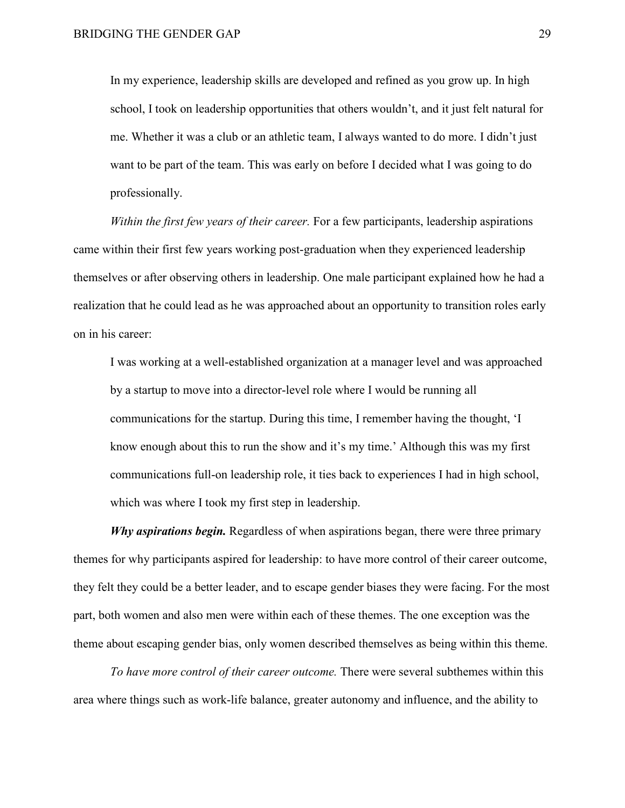In my experience, leadership skills are developed and refined as you grow up. In high school, I took on leadership opportunities that others wouldn't, and it just felt natural for me. Whether it was a club or an athletic team, I always wanted to do more. I didn't just want to be part of the team. This was early on before I decided what I was going to do professionally.

*Within the first few years of their career.* For a few participants, leadership aspirations came within their first few years working post-graduation when they experienced leadership themselves or after observing others in leadership. One male participant explained how he had a realization that he could lead as he was approached about an opportunity to transition roles early on in his career:

I was working at a well-established organization at a manager level and was approached by a startup to move into a director-level role where I would be running all communications for the startup. During this time, I remember having the thought, 'I know enough about this to run the show and it's my time.' Although this was my first communications full-on leadership role, it ties back to experiences I had in high school, which was where I took my first step in leadership.

*Why aspirations begin.* Regardless of when aspirations began, there were three primary themes for why participants aspired for leadership: to have more control of their career outcome, they felt they could be a better leader, and to escape gender biases they were facing. For the most part, both women and also men were within each of these themes. The one exception was the theme about escaping gender bias, only women described themselves as being within this theme.

*To have more control of their career outcome.* There were several subthemes within this area where things such as work-life balance, greater autonomy and influence, and the ability to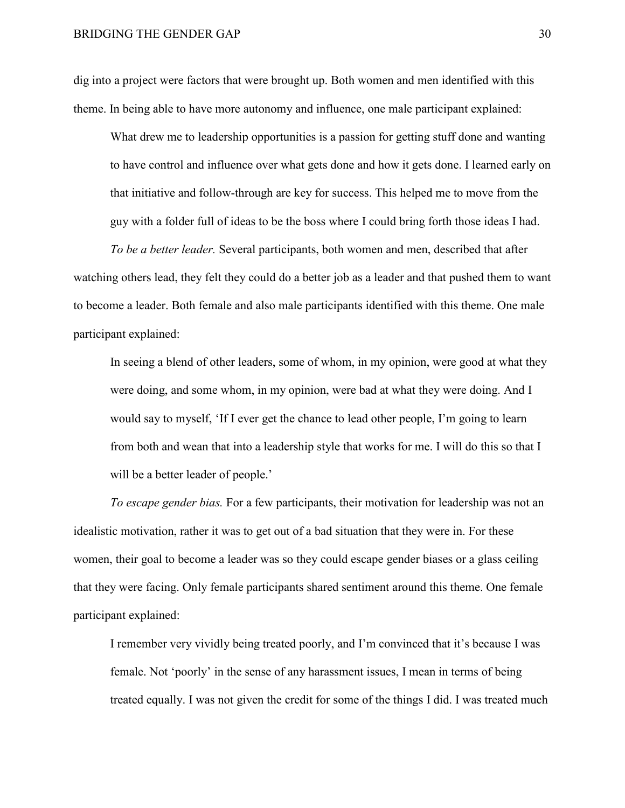dig into a project were factors that were brought up. Both women and men identified with this theme. In being able to have more autonomy and influence, one male participant explained:

What drew me to leadership opportunities is a passion for getting stuff done and wanting to have control and influence over what gets done and how it gets done. I learned early on that initiative and follow-through are key for success. This helped me to move from the guy with a folder full of ideas to be the boss where I could bring forth those ideas I had.

*To be a better leader.* Several participants, both women and men, described that after watching others lead, they felt they could do a better job as a leader and that pushed them to want to become a leader. Both female and also male participants identified with this theme. One male participant explained:

In seeing a blend of other leaders, some of whom, in my opinion, were good at what they were doing, and some whom, in my opinion, were bad at what they were doing. And I would say to myself, 'If I ever get the chance to lead other people, I'm going to learn from both and wean that into a leadership style that works for me. I will do this so that I will be a better leader of people.'

*To escape gender bias.* For a few participants, their motivation for leadership was not an idealistic motivation, rather it was to get out of a bad situation that they were in. For these women, their goal to become a leader was so they could escape gender biases or a glass ceiling that they were facing. Only female participants shared sentiment around this theme. One female participant explained:

I remember very vividly being treated poorly, and I'm convinced that it's because I was female. Not 'poorly' in the sense of any harassment issues, I mean in terms of being treated equally. I was not given the credit for some of the things I did. I was treated much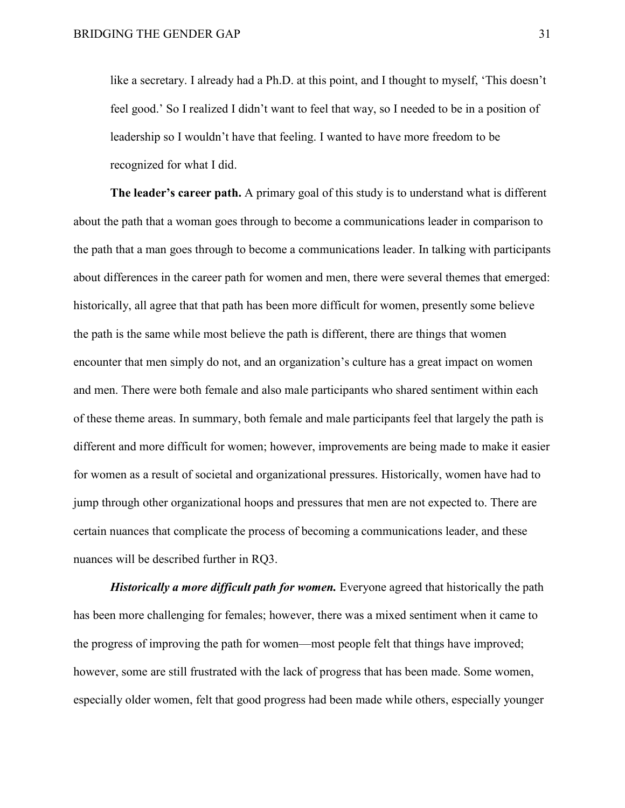like a secretary. I already had a Ph.D. at this point, and I thought to myself, 'This doesn't feel good.' So I realized I didn't want to feel that way, so I needed to be in a position of leadership so I wouldn't have that feeling. I wanted to have more freedom to be recognized for what I did.

**The leader's career path.** A primary goal of this study is to understand what is different about the path that a woman goes through to become a communications leader in comparison to the path that a man goes through to become a communications leader. In talking with participants about differences in the career path for women and men, there were several themes that emerged: historically, all agree that that path has been more difficult for women, presently some believe the path is the same while most believe the path is different, there are things that women encounter that men simply do not, and an organization's culture has a great impact on women and men. There were both female and also male participants who shared sentiment within each of these theme areas. In summary, both female and male participants feel that largely the path is different and more difficult for women; however, improvements are being made to make it easier for women as a result of societal and organizational pressures. Historically, women have had to jump through other organizational hoops and pressures that men are not expected to. There are certain nuances that complicate the process of becoming a communications leader, and these nuances will be described further in RQ3.

*Historically a more difficult path for women.* Everyone agreed that historically the path has been more challenging for females; however, there was a mixed sentiment when it came to the progress of improving the path for women—most people felt that things have improved; however, some are still frustrated with the lack of progress that has been made. Some women, especially older women, felt that good progress had been made while others, especially younger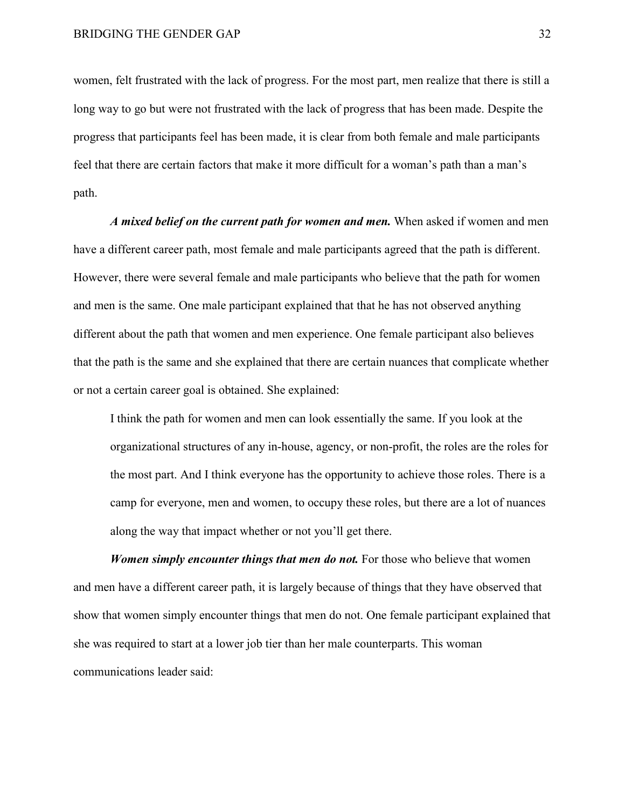women, felt frustrated with the lack of progress. For the most part, men realize that there is still a long way to go but were not frustrated with the lack of progress that has been made. Despite the progress that participants feel has been made, it is clear from both female and male participants feel that there are certain factors that make it more difficult for a woman's path than a man's path.

*A mixed belief on the current path for women and men.* When asked if women and men have a different career path, most female and male participants agreed that the path is different. However, there were several female and male participants who believe that the path for women and men is the same. One male participant explained that that he has not observed anything different about the path that women and men experience. One female participant also believes that the path is the same and she explained that there are certain nuances that complicate whether or not a certain career goal is obtained. She explained:

I think the path for women and men can look essentially the same. If you look at the organizational structures of any in-house, agency, or non-profit, the roles are the roles for the most part. And I think everyone has the opportunity to achieve those roles. There is a camp for everyone, men and women, to occupy these roles, but there are a lot of nuances along the way that impact whether or not you'll get there.

*Women simply encounter things that men do not.* For those who believe that women and men have a different career path, it is largely because of things that they have observed that show that women simply encounter things that men do not. One female participant explained that she was required to start at a lower job tier than her male counterparts. This woman communications leader said: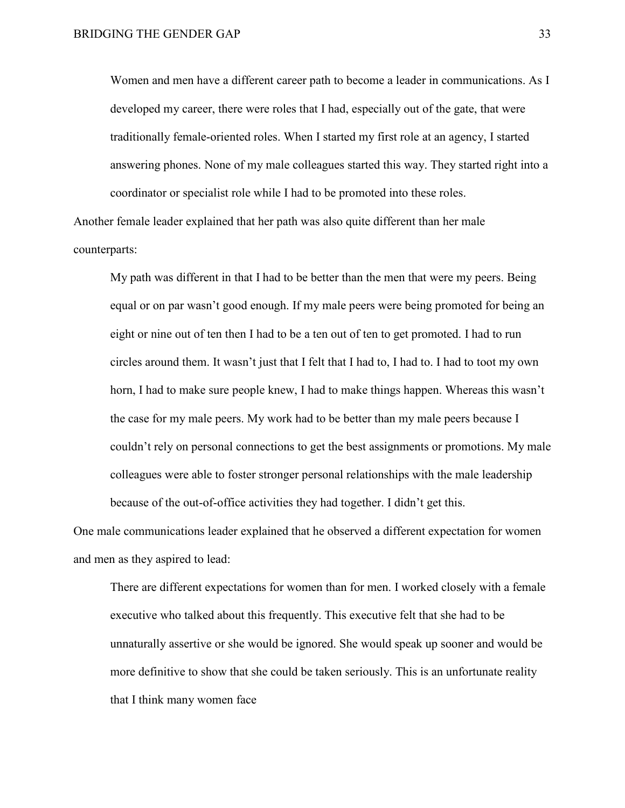Women and men have a different career path to become a leader in communications. As I developed my career, there were roles that I had, especially out of the gate, that were traditionally female-oriented roles. When I started my first role at an agency, I started answering phones. None of my male colleagues started this way. They started right into a coordinator or specialist role while I had to be promoted into these roles.

Another female leader explained that her path was also quite different than her male counterparts:

My path was different in that I had to be better than the men that were my peers. Being equal or on par wasn't good enough. If my male peers were being promoted for being an eight or nine out of ten then I had to be a ten out of ten to get promoted. I had to run circles around them. It wasn't just that I felt that I had to, I had to. I had to toot my own horn, I had to make sure people knew, I had to make things happen. Whereas this wasn't the case for my male peers. My work had to be better than my male peers because I couldn't rely on personal connections to get the best assignments or promotions. My male colleagues were able to foster stronger personal relationships with the male leadership because of the out-of-office activities they had together. I didn't get this.

One male communications leader explained that he observed a different expectation for women and men as they aspired to lead:

There are different expectations for women than for men. I worked closely with a female executive who talked about this frequently. This executive felt that she had to be unnaturally assertive or she would be ignored. She would speak up sooner and would be more definitive to show that she could be taken seriously. This is an unfortunate reality that I think many women face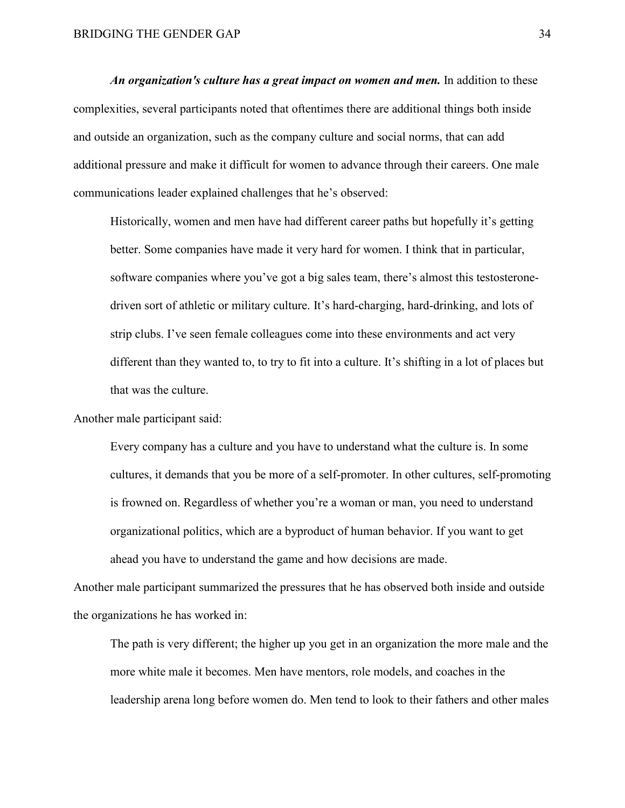*An organization's culture has a great impact on women and men.* In addition to these complexities, several participants noted that oftentimes there are additional things both inside and outside an organization, such as the company culture and social norms, that can add additional pressure and make it difficult for women to advance through their careers. One male communications leader explained challenges that he's observed:

Historically, women and men have had different career paths but hopefully it's getting better. Some companies have made it very hard for women. I think that in particular, software companies where you've got a big sales team, there's almost this testosteronedriven sort of athletic or military culture. It's hard-charging, hard-drinking, and lots of strip clubs. I've seen female colleagues come into these environments and act very different than they wanted to, to try to fit into a culture. It's shifting in a lot of places but that was the culture.

Another male participant said:

Every company has a culture and you have to understand what the culture is. In some cultures, it demands that you be more of a self-promoter. In other cultures, self-promoting is frowned on. Regardless of whether you're a woman or man, you need to understand organizational politics, which are a byproduct of human behavior. If you want to get ahead you have to understand the game and how decisions are made.

Another male participant summarized the pressures that he has observed both inside and outside the organizations he has worked in:

The path is very different; the higher up you get in an organization the more male and the more white male it becomes. Men have mentors, role models, and coaches in the leadership arena long before women do. Men tend to look to their fathers and other males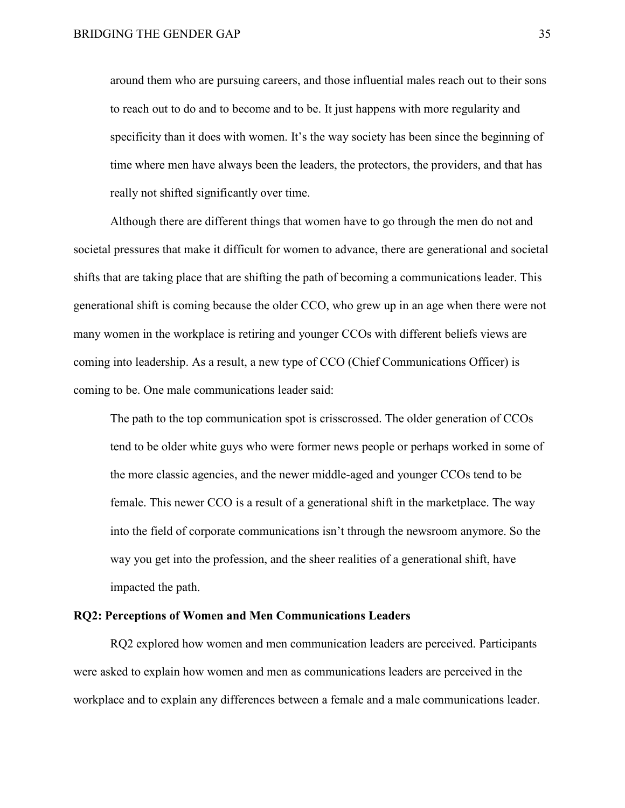around them who are pursuing careers, and those influential males reach out to their sons to reach out to do and to become and to be. It just happens with more regularity and specificity than it does with women. It's the way society has been since the beginning of time where men have always been the leaders, the protectors, the providers, and that has really not shifted significantly over time.

Although there are different things that women have to go through the men do not and societal pressures that make it difficult for women to advance, there are generational and societal shifts that are taking place that are shifting the path of becoming a communications leader. This generational shift is coming because the older CCO, who grew up in an age when there were not many women in the workplace is retiring and younger CCOs with different beliefs views are coming into leadership. As a result, a new type of CCO (Chief Communications Officer) is coming to be. One male communications leader said:

The path to the top communication spot is crisscrossed. The older generation of CCOs tend to be older white guys who were former news people or perhaps worked in some of the more classic agencies, and the newer middle-aged and younger CCOs tend to be female. This newer CCO is a result of a generational shift in the marketplace. The way into the field of corporate communications isn't through the newsroom anymore. So the way you get into the profession, and the sheer realities of a generational shift, have impacted the path.

### **RQ2: Perceptions of Women and Men Communications Leaders**

RQ2 explored how women and men communication leaders are perceived. Participants were asked to explain how women and men as communications leaders are perceived in the workplace and to explain any differences between a female and a male communications leader.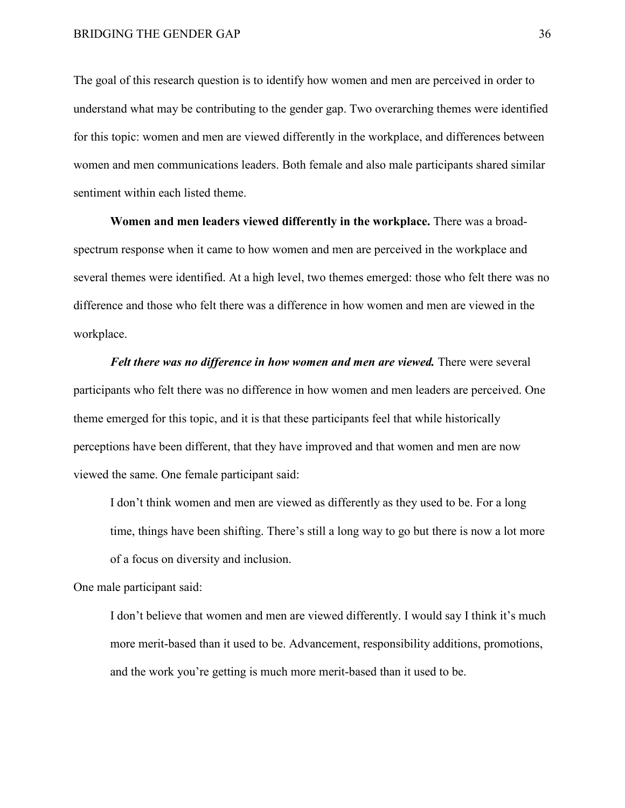The goal of this research question is to identify how women and men are perceived in order to understand what may be contributing to the gender gap. Two overarching themes were identified for this topic: women and men are viewed differently in the workplace, and differences between women and men communications leaders. Both female and also male participants shared similar sentiment within each listed theme.

**Women and men leaders viewed differently in the workplace.** There was a broadspectrum response when it came to how women and men are perceived in the workplace and several themes were identified. At a high level, two themes emerged: those who felt there was no difference and those who felt there was a difference in how women and men are viewed in the workplace.

*Felt there was no difference in how women and men are viewed.* There were several participants who felt there was no difference in how women and men leaders are perceived. One theme emerged for this topic, and it is that these participants feel that while historically perceptions have been different, that they have improved and that women and men are now viewed the same. One female participant said:

I don't think women and men are viewed as differently as they used to be. For a long time, things have been shifting. There's still a long way to go but there is now a lot more of a focus on diversity and inclusion.

One male participant said:

I don't believe that women and men are viewed differently. I would say I think it's much more merit-based than it used to be. Advancement, responsibility additions, promotions, and the work you're getting is much more merit-based than it used to be.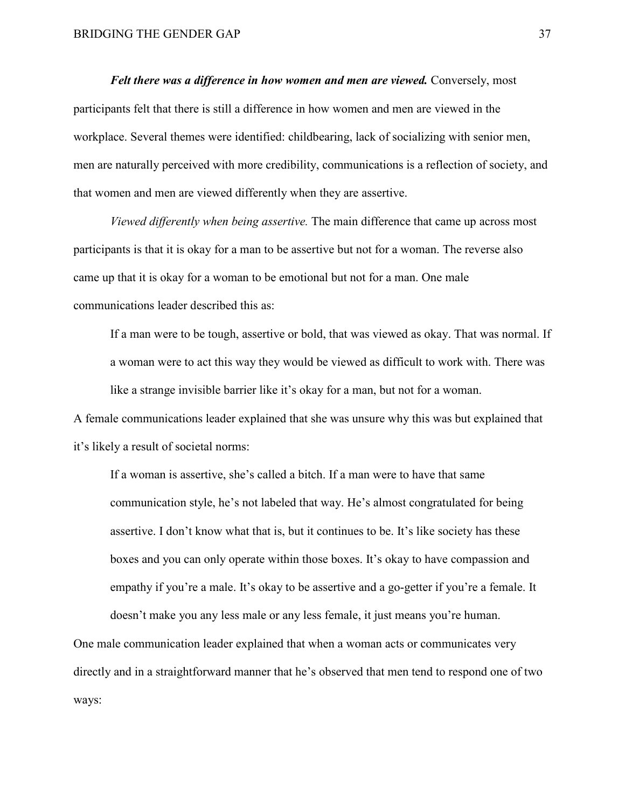*Felt there was a difference in how women and men are viewed.* Conversely, most participants felt that there is still a difference in how women and men are viewed in the workplace. Several themes were identified: childbearing, lack of socializing with senior men, men are naturally perceived with more credibility, communications is a reflection of society, and that women and men are viewed differently when they are assertive.

*Viewed differently when being assertive.* The main difference that came up across most participants is that it is okay for a man to be assertive but not for a woman. The reverse also came up that it is okay for a woman to be emotional but not for a man. One male communications leader described this as:

If a man were to be tough, assertive or bold, that was viewed as okay. That was normal. If a woman were to act this way they would be viewed as difficult to work with. There was like a strange invisible barrier like it's okay for a man, but not for a woman.

A female communications leader explained that she was unsure why this was but explained that it's likely a result of societal norms:

If a woman is assertive, she's called a bitch. If a man were to have that same communication style, he's not labeled that way. He's almost congratulated for being assertive. I don't know what that is, but it continues to be. It's like society has these boxes and you can only operate within those boxes. It's okay to have compassion and empathy if you're a male. It's okay to be assertive and a go-getter if you're a female. It doesn't make you any less male or any less female, it just means you're human.

One male communication leader explained that when a woman acts or communicates very directly and in a straightforward manner that he's observed that men tend to respond one of two ways: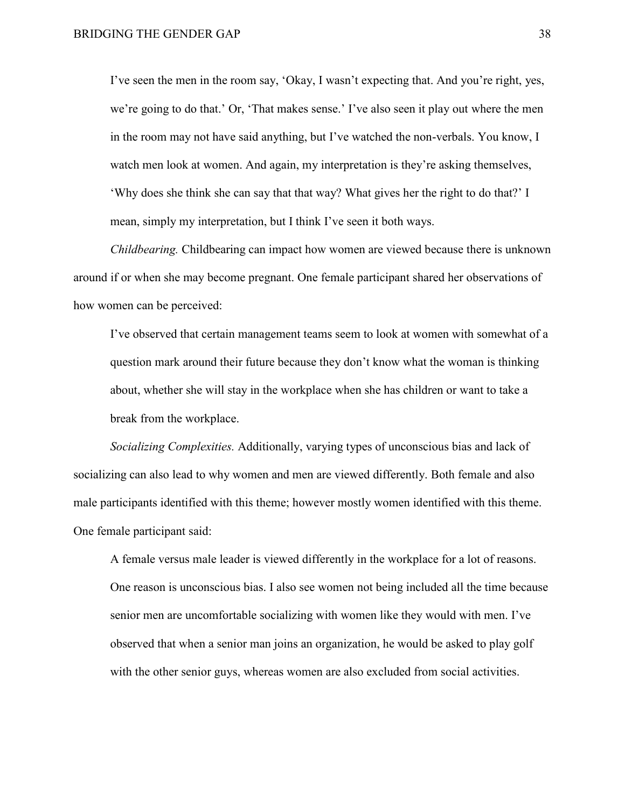I've seen the men in the room say, 'Okay, I wasn't expecting that. And you're right, yes, we're going to do that.' Or, 'That makes sense.' I've also seen it play out where the men in the room may not have said anything, but I've watched the non-verbals. You know, I watch men look at women. And again, my interpretation is they're asking themselves, 'Why does she think she can say that that way? What gives her the right to do that?' I mean, simply my interpretation, but I think I've seen it both ways.

*Childbearing.* Childbearing can impact how women are viewed because there is unknown around if or when she may become pregnant. One female participant shared her observations of how women can be perceived:

I've observed that certain management teams seem to look at women with somewhat of a question mark around their future because they don't know what the woman is thinking about, whether she will stay in the workplace when she has children or want to take a break from the workplace.

*Socializing Complexities.* Additionally, varying types of unconscious bias and lack of socializing can also lead to why women and men are viewed differently. Both female and also male participants identified with this theme; however mostly women identified with this theme. One female participant said:

A female versus male leader is viewed differently in the workplace for a lot of reasons. One reason is unconscious bias. I also see women not being included all the time because senior men are uncomfortable socializing with women like they would with men. I've observed that when a senior man joins an organization, he would be asked to play golf with the other senior guys, whereas women are also excluded from social activities.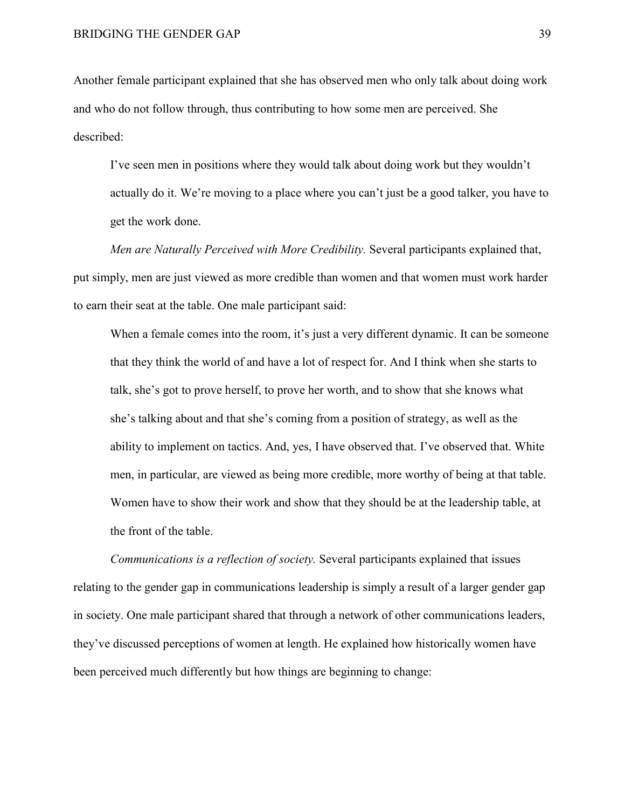Another female participant explained that she has observed men who only talk about doing work and who do not follow through, thus contributing to how some men are perceived. She described:

I've seen men in positions where they would talk about doing work but they wouldn't actually do it. We're moving to a place where you can't just be a good talker, you have to get the work done.

*Men are Naturally Perceived with More Credibility.* Several participants explained that, put simply, men are just viewed as more credible than women and that women must work harder to earn their seat at the table. One male participant said:

When a female comes into the room, it's just a very different dynamic. It can be someone that they think the world of and have a lot of respect for. And I think when she starts to talk, she's got to prove herself, to prove her worth, and to show that she knows what she's talking about and that she's coming from a position of strategy, as well as the ability to implement on tactics. And, yes, I have observed that. I've observed that. White men, in particular, are viewed as being more credible, more worthy of being at that table. Women have to show their work and show that they should be at the leadership table, at the front of the table.

*Communications is a reflection of society.* Several participants explained that issues relating to the gender gap in communications leadership is simply a result of a larger gender gap in society. One male participant shared that through a network of other communications leaders, they've discussed perceptions of women at length. He explained how historically women have been perceived much differently but how things are beginning to change: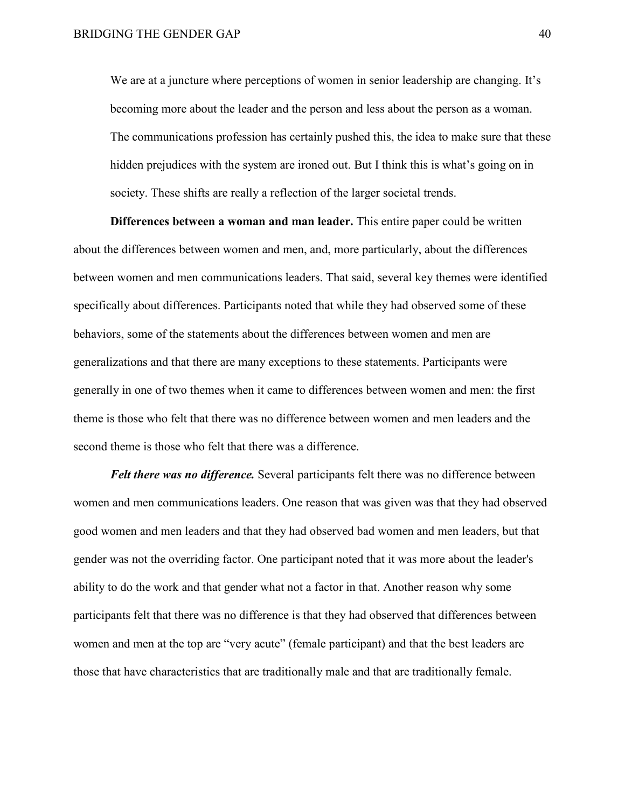We are at a juncture where perceptions of women in senior leadership are changing. It's becoming more about the leader and the person and less about the person as a woman. The communications profession has certainly pushed this, the idea to make sure that these hidden prejudices with the system are ironed out. But I think this is what's going on in society. These shifts are really a reflection of the larger societal trends.

**Differences between a woman and man leader.** This entire paper could be written about the differences between women and men, and, more particularly, about the differences between women and men communications leaders. That said, several key themes were identified specifically about differences. Participants noted that while they had observed some of these behaviors, some of the statements about the differences between women and men are generalizations and that there are many exceptions to these statements. Participants were generally in one of two themes when it came to differences between women and men: the first theme is those who felt that there was no difference between women and men leaders and the second theme is those who felt that there was a difference.

*Felt there was no difference.* Several participants felt there was no difference between women and men communications leaders. One reason that was given was that they had observed good women and men leaders and that they had observed bad women and men leaders, but that gender was not the overriding factor. One participant noted that it was more about the leader's ability to do the work and that gender what not a factor in that. Another reason why some participants felt that there was no difference is that they had observed that differences between women and men at the top are "very acute" (female participant) and that the best leaders are those that have characteristics that are traditionally male and that are traditionally female.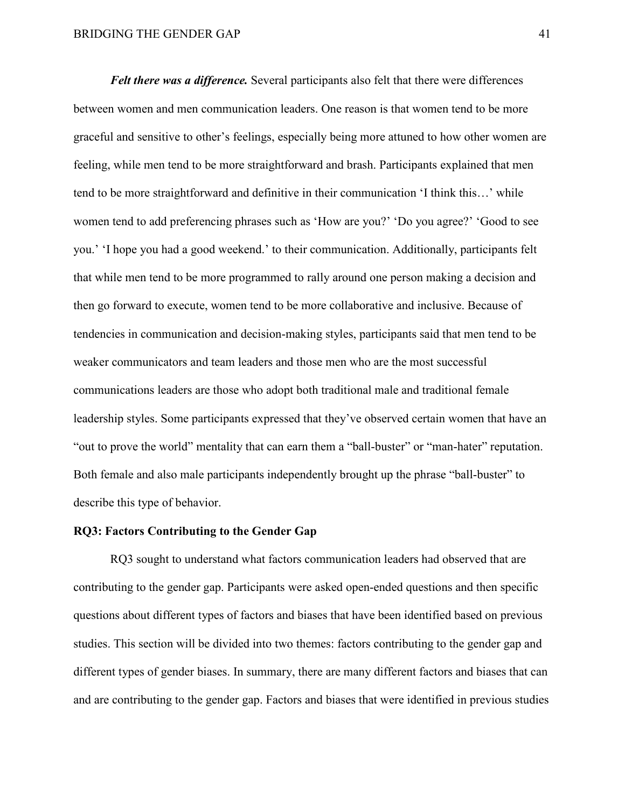*Felt there was a difference.* Several participants also felt that there were differences between women and men communication leaders. One reason is that women tend to be more graceful and sensitive to other's feelings, especially being more attuned to how other women are feeling, while men tend to be more straightforward and brash. Participants explained that men tend to be more straightforward and definitive in their communication 'I think this…' while women tend to add preferencing phrases such as 'How are you?' 'Do you agree?' 'Good to see you.' 'I hope you had a good weekend.' to their communication. Additionally, participants felt that while men tend to be more programmed to rally around one person making a decision and then go forward to execute, women tend to be more collaborative and inclusive. Because of tendencies in communication and decision-making styles, participants said that men tend to be weaker communicators and team leaders and those men who are the most successful communications leaders are those who adopt both traditional male and traditional female leadership styles. Some participants expressed that they've observed certain women that have an "out to prove the world" mentality that can earn them a "ball-buster" or "man-hater" reputation. Both female and also male participants independently brought up the phrase "ball-buster" to describe this type of behavior.

### **RQ3: Factors Contributing to the Gender Gap**

RQ3 sought to understand what factors communication leaders had observed that are contributing to the gender gap. Participants were asked open-ended questions and then specific questions about different types of factors and biases that have been identified based on previous studies. This section will be divided into two themes: factors contributing to the gender gap and different types of gender biases. In summary, there are many different factors and biases that can and are contributing to the gender gap. Factors and biases that were identified in previous studies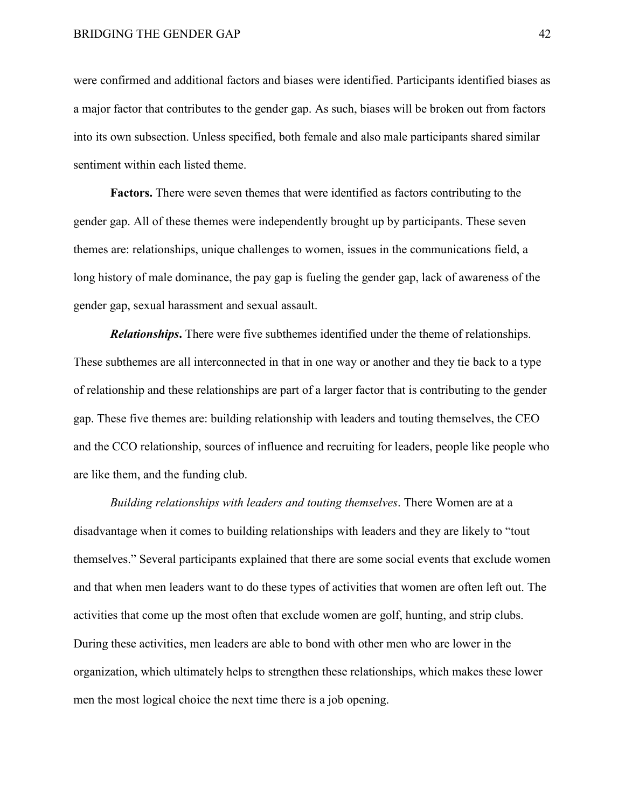were confirmed and additional factors and biases were identified. Participants identified biases as a major factor that contributes to the gender gap. As such, biases will be broken out from factors into its own subsection. Unless specified, both female and also male participants shared similar sentiment within each listed theme.

**Factors.** There were seven themes that were identified as factors contributing to the gender gap. All of these themes were independently brought up by participants. These seven themes are: relationships, unique challenges to women, issues in the communications field, a long history of male dominance, the pay gap is fueling the gender gap, lack of awareness of the gender gap, sexual harassment and sexual assault.

*Relationships***.** There were five subthemes identified under the theme of relationships. These subthemes are all interconnected in that in one way or another and they tie back to a type of relationship and these relationships are part of a larger factor that is contributing to the gender gap. These five themes are: building relationship with leaders and touting themselves, the CEO and the CCO relationship, sources of influence and recruiting for leaders, people like people who are like them, and the funding club.

*Building relationships with leaders and touting themselves*. There Women are at a disadvantage when it comes to building relationships with leaders and they are likely to "tout themselves." Several participants explained that there are some social events that exclude women and that when men leaders want to do these types of activities that women are often left out. The activities that come up the most often that exclude women are golf, hunting, and strip clubs. During these activities, men leaders are able to bond with other men who are lower in the organization, which ultimately helps to strengthen these relationships, which makes these lower men the most logical choice the next time there is a job opening.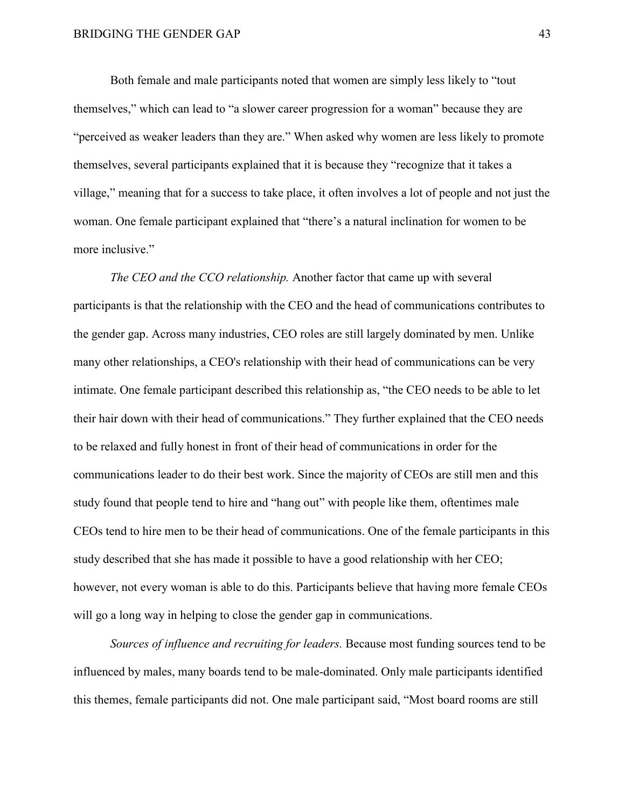Both female and male participants noted that women are simply less likely to "tout themselves," which can lead to "a slower career progression for a woman" because they are "perceived as weaker leaders than they are." When asked why women are less likely to promote themselves, several participants explained that it is because they "recognize that it takes a village," meaning that for a success to take place, it often involves a lot of people and not just the woman. One female participant explained that "there's a natural inclination for women to be more inclusive."

*The CEO and the CCO relationship.* Another factor that came up with several participants is that the relationship with the CEO and the head of communications contributes to the gender gap. Across many industries, CEO roles are still largely dominated by men. Unlike many other relationships, a CEO's relationship with their head of communications can be very intimate. One female participant described this relationship as, "the CEO needs to be able to let their hair down with their head of communications." They further explained that the CEO needs to be relaxed and fully honest in front of their head of communications in order for the communications leader to do their best work. Since the majority of CEOs are still men and this study found that people tend to hire and "hang out" with people like them, oftentimes male CEOs tend to hire men to be their head of communications. One of the female participants in this study described that she has made it possible to have a good relationship with her CEO; however, not every woman is able to do this. Participants believe that having more female CEOs will go a long way in helping to close the gender gap in communications.

*Sources of influence and recruiting for leaders.* Because most funding sources tend to be influenced by males, many boards tend to be male-dominated. Only male participants identified this themes, female participants did not. One male participant said, "Most board rooms are still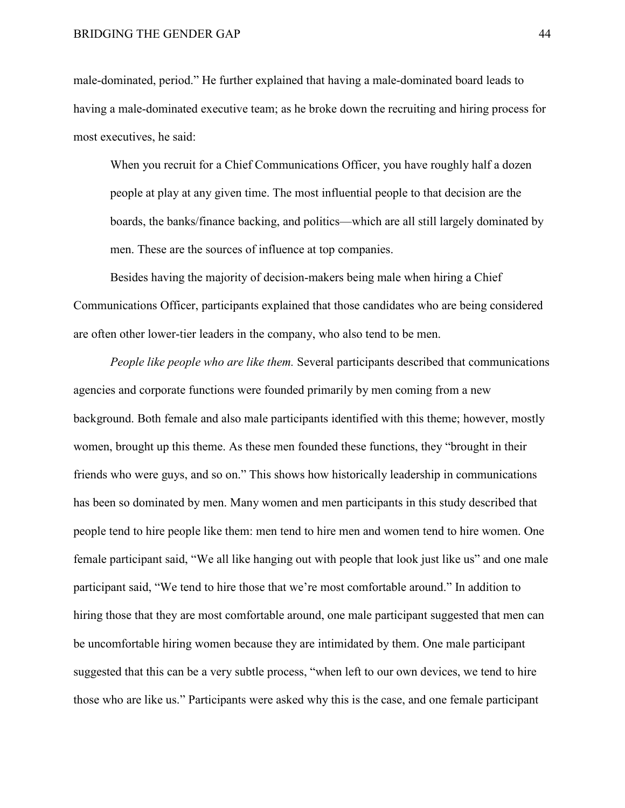male-dominated, period." He further explained that having a male-dominated board leads to having a male-dominated executive team; as he broke down the recruiting and hiring process for most executives, he said:

When you recruit for a Chief Communications Officer, you have roughly half a dozen people at play at any given time. The most influential people to that decision are the boards, the banks/finance backing, and politics—which are all still largely dominated by men. These are the sources of influence at top companies.

Besides having the majority of decision-makers being male when hiring a Chief Communications Officer, participants explained that those candidates who are being considered are often other lower-tier leaders in the company, who also tend to be men.

*People like people who are like them.* Several participants described that communications agencies and corporate functions were founded primarily by men coming from a new background. Both female and also male participants identified with this theme; however, mostly women, brought up this theme. As these men founded these functions, they "brought in their friends who were guys, and so on." This shows how historically leadership in communications has been so dominated by men. Many women and men participants in this study described that people tend to hire people like them: men tend to hire men and women tend to hire women. One female participant said, "We all like hanging out with people that look just like us" and one male participant said, "We tend to hire those that we're most comfortable around." In addition to hiring those that they are most comfortable around, one male participant suggested that men can be uncomfortable hiring women because they are intimidated by them. One male participant suggested that this can be a very subtle process, "when left to our own devices, we tend to hire those who are like us." Participants were asked why this is the case, and one female participant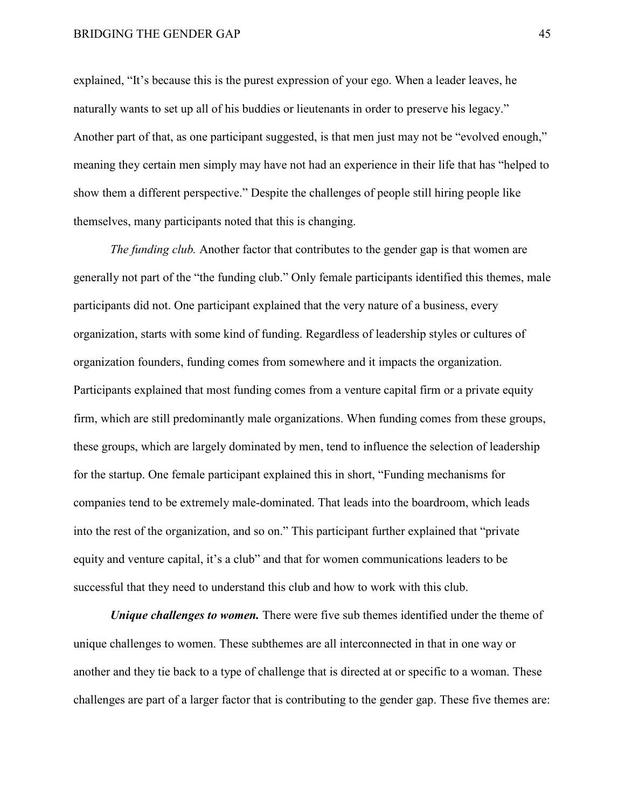explained, "It's because this is the purest expression of your ego. When a leader leaves, he naturally wants to set up all of his buddies or lieutenants in order to preserve his legacy." Another part of that, as one participant suggested, is that men just may not be "evolved enough," meaning they certain men simply may have not had an experience in their life that has "helped to show them a different perspective." Despite the challenges of people still hiring people like themselves, many participants noted that this is changing.

*The funding club.* Another factor that contributes to the gender gap is that women are generally not part of the "the funding club." Only female participants identified this themes, male participants did not. One participant explained that the very nature of a business, every organization, starts with some kind of funding. Regardless of leadership styles or cultures of organization founders, funding comes from somewhere and it impacts the organization. Participants explained that most funding comes from a venture capital firm or a private equity firm, which are still predominantly male organizations. When funding comes from these groups, these groups, which are largely dominated by men, tend to influence the selection of leadership for the startup. One female participant explained this in short, "Funding mechanisms for companies tend to be extremely male-dominated. That leads into the boardroom, which leads into the rest of the organization, and so on." This participant further explained that "private equity and venture capital, it's a club" and that for women communications leaders to be successful that they need to understand this club and how to work with this club.

*Unique challenges to women.* There were five sub themes identified under the theme of unique challenges to women. These subthemes are all interconnected in that in one way or another and they tie back to a type of challenge that is directed at or specific to a woman. These challenges are part of a larger factor that is contributing to the gender gap. These five themes are: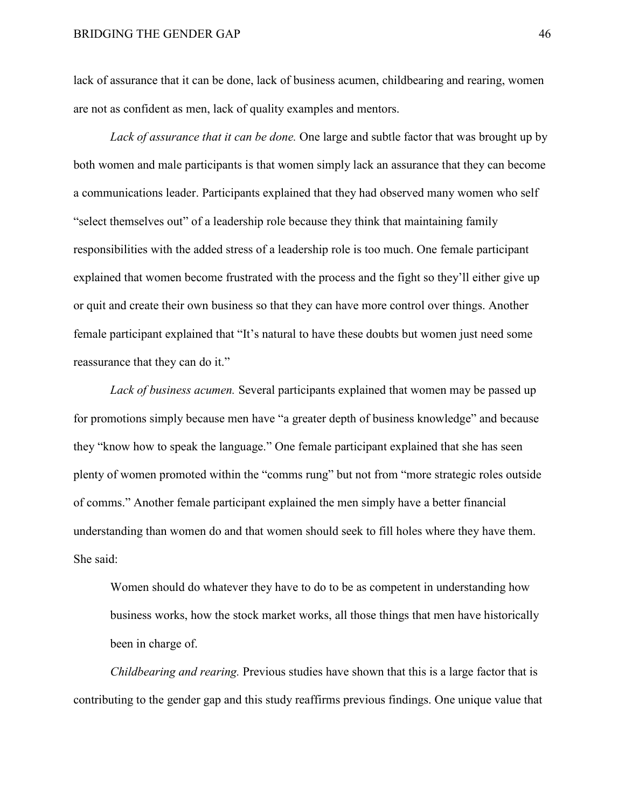lack of assurance that it can be done, lack of business acumen, childbearing and rearing, women are not as confident as men, lack of quality examples and mentors.

*Lack of assurance that it can be done.* One large and subtle factor that was brought up by both women and male participants is that women simply lack an assurance that they can become a communications leader. Participants explained that they had observed many women who self "select themselves out" of a leadership role because they think that maintaining family responsibilities with the added stress of a leadership role is too much. One female participant explained that women become frustrated with the process and the fight so they'll either give up or quit and create their own business so that they can have more control over things. Another female participant explained that "It's natural to have these doubts but women just need some reassurance that they can do it."

*Lack of business acumen.* Several participants explained that women may be passed up for promotions simply because men have "a greater depth of business knowledge" and because they "know how to speak the language." One female participant explained that she has seen plenty of women promoted within the "comms rung" but not from "more strategic roles outside of comms." Another female participant explained the men simply have a better financial understanding than women do and that women should seek to fill holes where they have them. She said:

Women should do whatever they have to do to be as competent in understanding how business works, how the stock market works, all those things that men have historically been in charge of.

*Childbearing and rearing.* Previous studies have shown that this is a large factor that is contributing to the gender gap and this study reaffirms previous findings. One unique value that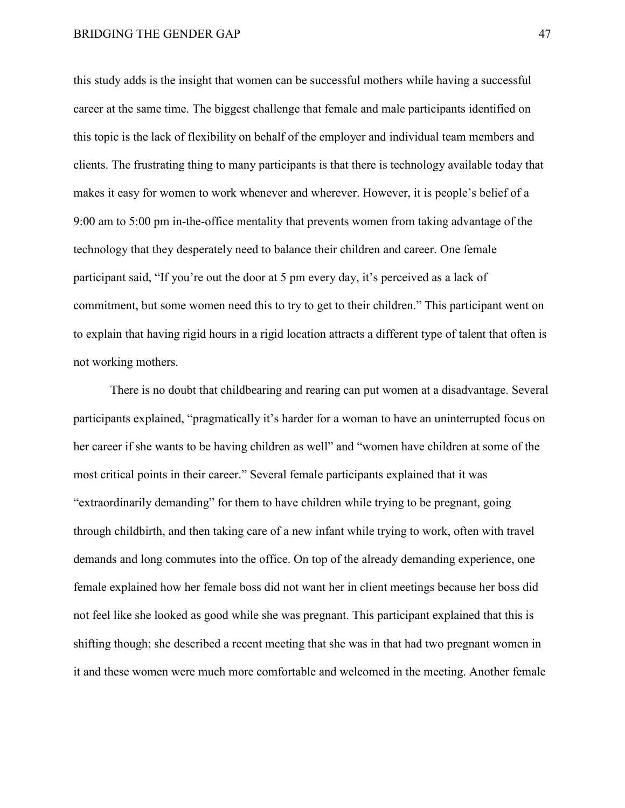this study adds is the insight that women can be successful mothers while having a successful career at the same time. The biggest challenge that female and male participants identified on this topic is the lack of flexibility on behalf of the employer and individual team members and clients. The frustrating thing to many participants is that there is technology available today that makes it easy for women to work whenever and wherever. However, it is people's belief of a 9:00 am to 5:00 pm in-the-office mentality that prevents women from taking advantage of the technology that they desperately need to balance their children and career. One female participant said, "If you're out the door at 5 pm every day, it's perceived as a lack of commitment, but some women need this to try to get to their children." This participant went on to explain that having rigid hours in a rigid location attracts a different type of talent that often is not working mothers.

There is no doubt that childbearing and rearing can put women at a disadvantage. Several participants explained, "pragmatically it's harder for a woman to have an uninterrupted focus on her career if she wants to be having children as well" and "women have children at some of the most critical points in their career." Several female participants explained that it was "extraordinarily demanding" for them to have children while trying to be pregnant, going through childbirth, and then taking care of a new infant while trying to work, often with travel demands and long commutes into the office. On top of the already demanding experience, one female explained how her female boss did not want her in client meetings because her boss did not feel like she looked as good while she was pregnant. This participant explained that this is shifting though; she described a recent meeting that she was in that had two pregnant women in it and these women were much more comfortable and welcomed in the meeting. Another female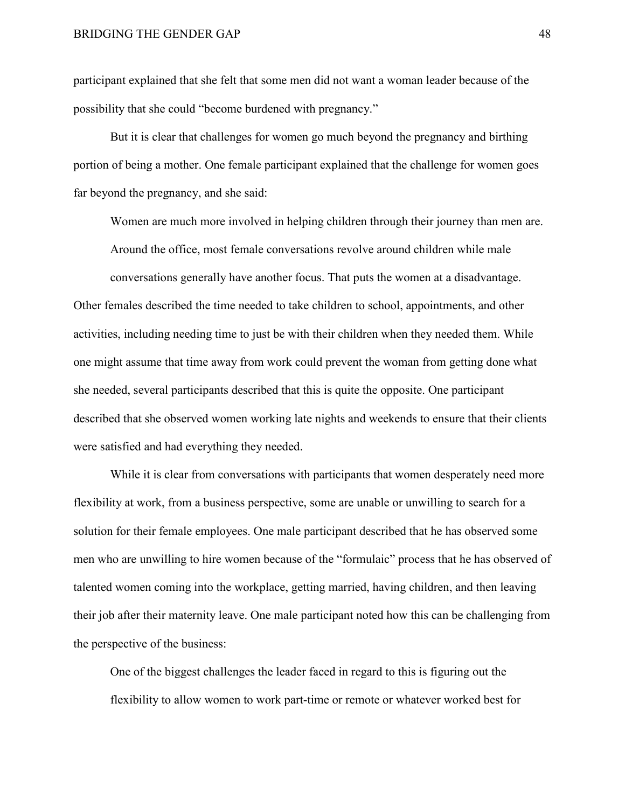participant explained that she felt that some men did not want a woman leader because of the possibility that she could "become burdened with pregnancy."

But it is clear that challenges for women go much beyond the pregnancy and birthing portion of being a mother. One female participant explained that the challenge for women goes far beyond the pregnancy, and she said:

Women are much more involved in helping children through their journey than men are. Around the office, most female conversations revolve around children while male conversations generally have another focus. That puts the women at a disadvantage.

Other females described the time needed to take children to school, appointments, and other activities, including needing time to just be with their children when they needed them. While one might assume that time away from work could prevent the woman from getting done what she needed, several participants described that this is quite the opposite. One participant described that she observed women working late nights and weekends to ensure that their clients were satisfied and had everything they needed.

While it is clear from conversations with participants that women desperately need more flexibility at work, from a business perspective, some are unable or unwilling to search for a solution for their female employees. One male participant described that he has observed some men who are unwilling to hire women because of the "formulaic" process that he has observed of talented women coming into the workplace, getting married, having children, and then leaving their job after their maternity leave. One male participant noted how this can be challenging from the perspective of the business:

One of the biggest challenges the leader faced in regard to this is figuring out the flexibility to allow women to work part-time or remote or whatever worked best for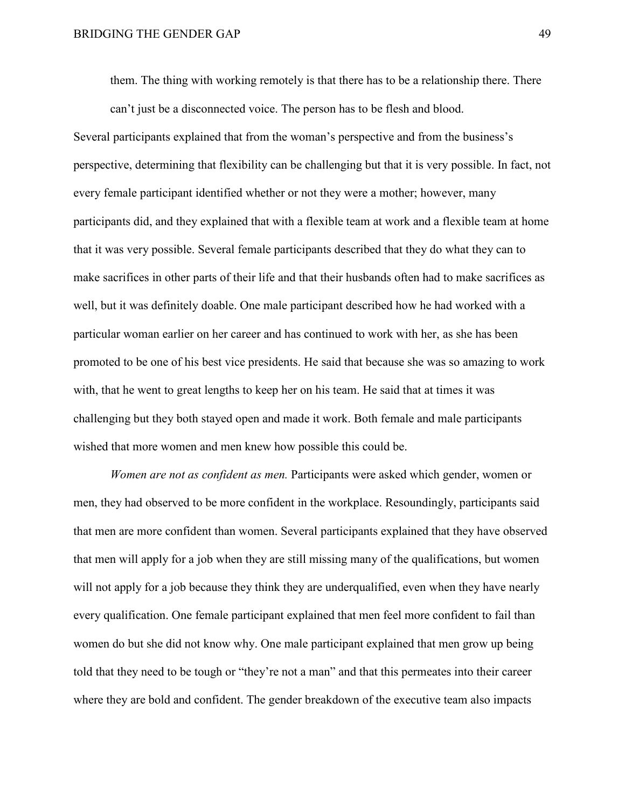them. The thing with working remotely is that there has to be a relationship there. There can't just be a disconnected voice. The person has to be flesh and blood.

Several participants explained that from the woman's perspective and from the business's perspective, determining that flexibility can be challenging but that it is very possible. In fact, not every female participant identified whether or not they were a mother; however, many participants did, and they explained that with a flexible team at work and a flexible team at home that it was very possible. Several female participants described that they do what they can to make sacrifices in other parts of their life and that their husbands often had to make sacrifices as well, but it was definitely doable. One male participant described how he had worked with a particular woman earlier on her career and has continued to work with her, as she has been promoted to be one of his best vice presidents. He said that because she was so amazing to work with, that he went to great lengths to keep her on his team. He said that at times it was challenging but they both stayed open and made it work. Both female and male participants wished that more women and men knew how possible this could be.

*Women are not as confident as men.* Participants were asked which gender, women or men, they had observed to be more confident in the workplace. Resoundingly, participants said that men are more confident than women. Several participants explained that they have observed that men will apply for a job when they are still missing many of the qualifications, but women will not apply for a job because they think they are underqualified, even when they have nearly every qualification. One female participant explained that men feel more confident to fail than women do but she did not know why. One male participant explained that men grow up being told that they need to be tough or "they're not a man" and that this permeates into their career where they are bold and confident. The gender breakdown of the executive team also impacts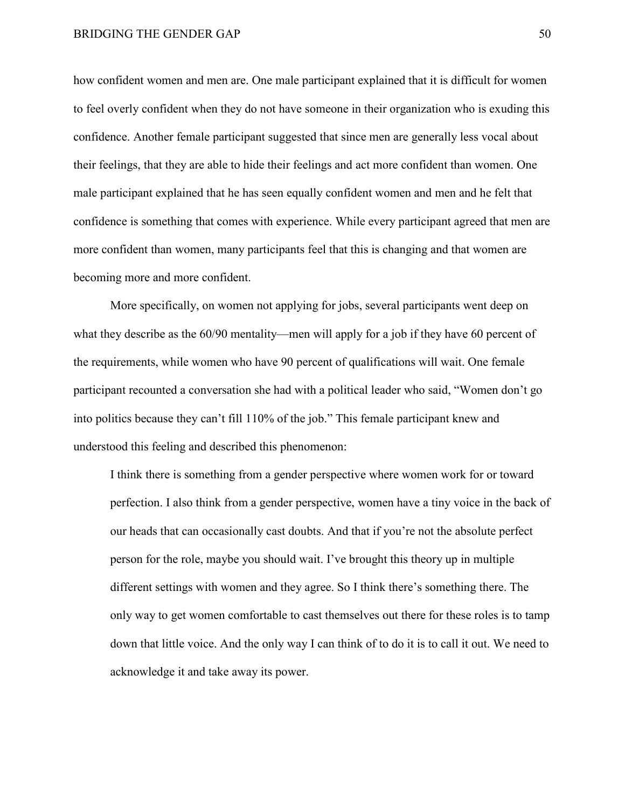how confident women and men are. One male participant explained that it is difficult for women to feel overly confident when they do not have someone in their organization who is exuding this confidence. Another female participant suggested that since men are generally less vocal about their feelings, that they are able to hide their feelings and act more confident than women. One male participant explained that he has seen equally confident women and men and he felt that confidence is something that comes with experience. While every participant agreed that men are more confident than women, many participants feel that this is changing and that women are becoming more and more confident.

More specifically, on women not applying for jobs, several participants went deep on what they describe as the 60/90 mentality—men will apply for a job if they have 60 percent of the requirements, while women who have 90 percent of qualifications will wait. One female participant recounted a conversation she had with a political leader who said, "Women don't go into politics because they can't fill 110% of the job." This female participant knew and understood this feeling and described this phenomenon:

I think there is something from a gender perspective where women work for or toward perfection. I also think from a gender perspective, women have a tiny voice in the back of our heads that can occasionally cast doubts. And that if you're not the absolute perfect person for the role, maybe you should wait. I've brought this theory up in multiple different settings with women and they agree. So I think there's something there. The only way to get women comfortable to cast themselves out there for these roles is to tamp down that little voice. And the only way I can think of to do it is to call it out. We need to acknowledge it and take away its power.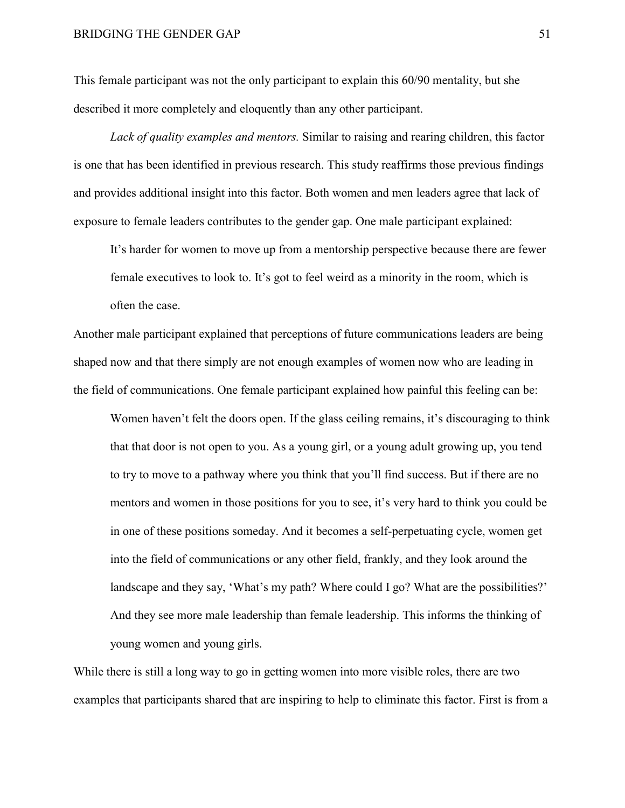This female participant was not the only participant to explain this 60/90 mentality, but she described it more completely and eloquently than any other participant.

*Lack of quality examples and mentors.* Similar to raising and rearing children, this factor is one that has been identified in previous research. This study reaffirms those previous findings and provides additional insight into this factor. Both women and men leaders agree that lack of exposure to female leaders contributes to the gender gap. One male participant explained:

It's harder for women to move up from a mentorship perspective because there are fewer female executives to look to. It's got to feel weird as a minority in the room, which is often the case.

Another male participant explained that perceptions of future communications leaders are being shaped now and that there simply are not enough examples of women now who are leading in the field of communications. One female participant explained how painful this feeling can be:

Women haven't felt the doors open. If the glass ceiling remains, it's discouraging to think that that door is not open to you. As a young girl, or a young adult growing up, you tend to try to move to a pathway where you think that you'll find success. But if there are no mentors and women in those positions for you to see, it's very hard to think you could be in one of these positions someday. And it becomes a self-perpetuating cycle, women get into the field of communications or any other field, frankly, and they look around the landscape and they say, 'What's my path? Where could I go? What are the possibilities?' And they see more male leadership than female leadership. This informs the thinking of young women and young girls.

While there is still a long way to go in getting women into more visible roles, there are two examples that participants shared that are inspiring to help to eliminate this factor. First is from a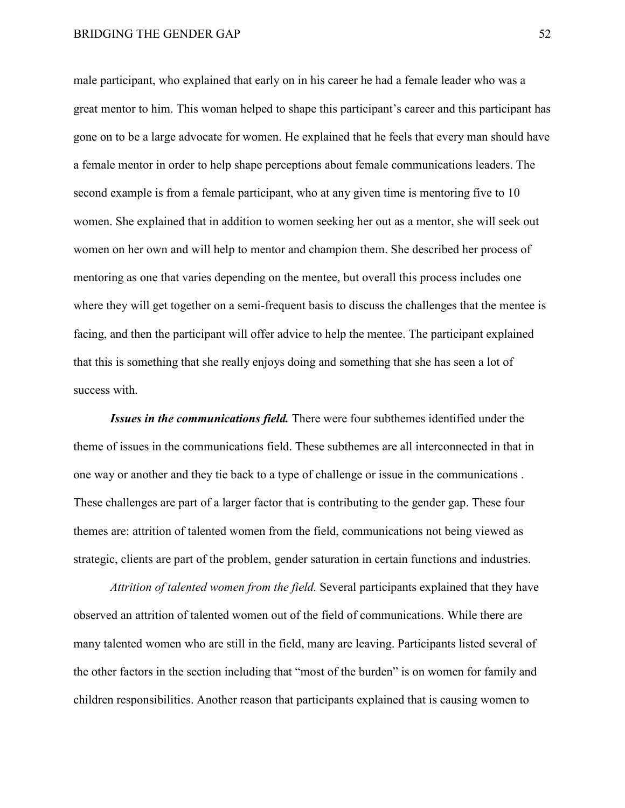male participant, who explained that early on in his career he had a female leader who was a great mentor to him. This woman helped to shape this participant's career and this participant has gone on to be a large advocate for women. He explained that he feels that every man should have a female mentor in order to help shape perceptions about female communications leaders. The second example is from a female participant, who at any given time is mentoring five to 10 women. She explained that in addition to women seeking her out as a mentor, she will seek out women on her own and will help to mentor and champion them. She described her process of mentoring as one that varies depending on the mentee, but overall this process includes one where they will get together on a semi-frequent basis to discuss the challenges that the mentee is facing, and then the participant will offer advice to help the mentee. The participant explained that this is something that she really enjoys doing and something that she has seen a lot of success with.

*Issues in the communications field.* There were four subthemes identified under the theme of issues in the communications field. These subthemes are all interconnected in that in one way or another and they tie back to a type of challenge or issue in the communications . These challenges are part of a larger factor that is contributing to the gender gap. These four themes are: attrition of talented women from the field, communications not being viewed as strategic, clients are part of the problem, gender saturation in certain functions and industries.

*Attrition of talented women from the field.* Several participants explained that they have observed an attrition of talented women out of the field of communications. While there are many talented women who are still in the field, many are leaving. Participants listed several of the other factors in the section including that "most of the burden" is on women for family and children responsibilities. Another reason that participants explained that is causing women to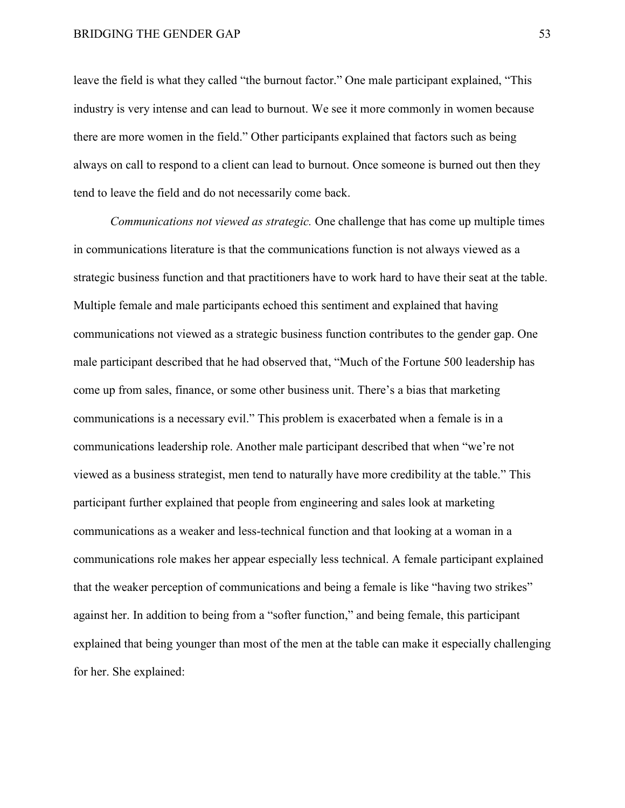leave the field is what they called "the burnout factor." One male participant explained, "This industry is very intense and can lead to burnout. We see it more commonly in women because there are more women in the field." Other participants explained that factors such as being always on call to respond to a client can lead to burnout. Once someone is burned out then they tend to leave the field and do not necessarily come back.

*Communications not viewed as strategic.* One challenge that has come up multiple times in communications literature is that the communications function is not always viewed as a strategic business function and that practitioners have to work hard to have their seat at the table. Multiple female and male participants echoed this sentiment and explained that having communications not viewed as a strategic business function contributes to the gender gap. One male participant described that he had observed that, "Much of the Fortune 500 leadership has come up from sales, finance, or some other business unit. There's a bias that marketing communications is a necessary evil." This problem is exacerbated when a female is in a communications leadership role. Another male participant described that when "we're not viewed as a business strategist, men tend to naturally have more credibility at the table." This participant further explained that people from engineering and sales look at marketing communications as a weaker and less-technical function and that looking at a woman in a communications role makes her appear especially less technical. A female participant explained that the weaker perception of communications and being a female is like "having two strikes" against her. In addition to being from a "softer function," and being female, this participant explained that being younger than most of the men at the table can make it especially challenging for her. She explained: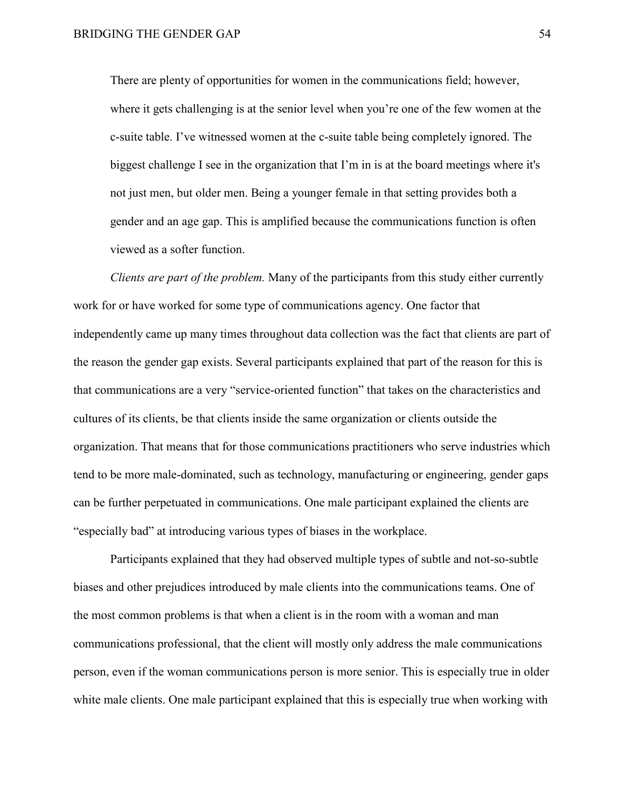There are plenty of opportunities for women in the communications field; however, where it gets challenging is at the senior level when you're one of the few women at the c-suite table. I've witnessed women at the c-suite table being completely ignored. The biggest challenge I see in the organization that I'm in is at the board meetings where it's not just men, but older men. Being a younger female in that setting provides both a gender and an age gap. This is amplified because the communications function is often viewed as a softer function.

*Clients are part of the problem.* Many of the participants from this study either currently work for or have worked for some type of communications agency. One factor that independently came up many times throughout data collection was the fact that clients are part of the reason the gender gap exists. Several participants explained that part of the reason for this is that communications are a very "service-oriented function" that takes on the characteristics and cultures of its clients, be that clients inside the same organization or clients outside the organization. That means that for those communications practitioners who serve industries which tend to be more male-dominated, such as technology, manufacturing or engineering, gender gaps can be further perpetuated in communications. One male participant explained the clients are "especially bad" at introducing various types of biases in the workplace.

Participants explained that they had observed multiple types of subtle and not-so-subtle biases and other prejudices introduced by male clients into the communications teams. One of the most common problems is that when a client is in the room with a woman and man communications professional, that the client will mostly only address the male communications person, even if the woman communications person is more senior. This is especially true in older white male clients. One male participant explained that this is especially true when working with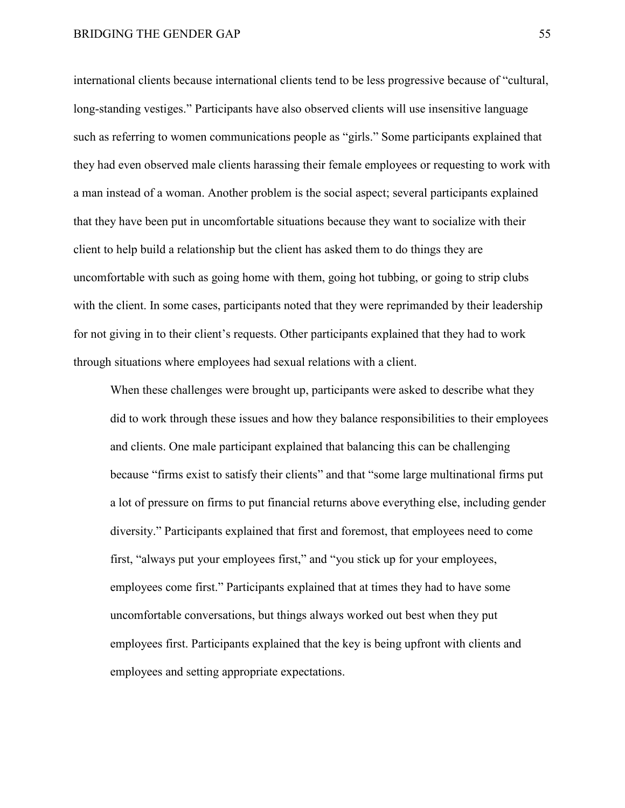international clients because international clients tend to be less progressive because of "cultural, long-standing vestiges." Participants have also observed clients will use insensitive language such as referring to women communications people as "girls." Some participants explained that they had even observed male clients harassing their female employees or requesting to work with a man instead of a woman. Another problem is the social aspect; several participants explained that they have been put in uncomfortable situations because they want to socialize with their client to help build a relationship but the client has asked them to do things they are uncomfortable with such as going home with them, going hot tubbing, or going to strip clubs with the client. In some cases, participants noted that they were reprimanded by their leadership for not giving in to their client's requests. Other participants explained that they had to work through situations where employees had sexual relations with a client.

When these challenges were brought up, participants were asked to describe what they did to work through these issues and how they balance responsibilities to their employees and clients. One male participant explained that balancing this can be challenging because "firms exist to satisfy their clients" and that "some large multinational firms put a lot of pressure on firms to put financial returns above everything else, including gender diversity." Participants explained that first and foremost, that employees need to come first, "always put your employees first," and "you stick up for your employees, employees come first." Participants explained that at times they had to have some uncomfortable conversations, but things always worked out best when they put employees first. Participants explained that the key is being upfront with clients and employees and setting appropriate expectations.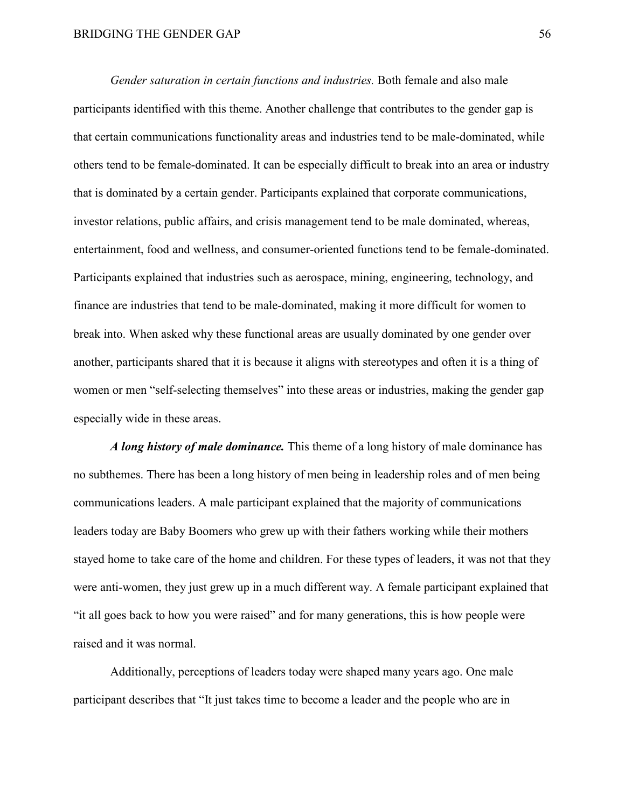*Gender saturation in certain functions and industries.* Both female and also male participants identified with this theme. Another challenge that contributes to the gender gap is that certain communications functionality areas and industries tend to be male-dominated, while others tend to be female-dominated. It can be especially difficult to break into an area or industry that is dominated by a certain gender. Participants explained that corporate communications, investor relations, public affairs, and crisis management tend to be male dominated, whereas, entertainment, food and wellness, and consumer-oriented functions tend to be female-dominated. Participants explained that industries such as aerospace, mining, engineering, technology, and finance are industries that tend to be male-dominated, making it more difficult for women to break into. When asked why these functional areas are usually dominated by one gender over another, participants shared that it is because it aligns with stereotypes and often it is a thing of women or men "self-selecting themselves" into these areas or industries, making the gender gap especially wide in these areas.

*A long history of male dominance.* This theme of a long history of male dominance has no subthemes. There has been a long history of men being in leadership roles and of men being communications leaders. A male participant explained that the majority of communications leaders today are Baby Boomers who grew up with their fathers working while their mothers stayed home to take care of the home and children. For these types of leaders, it was not that they were anti-women, they just grew up in a much different way. A female participant explained that "it all goes back to how you were raised" and for many generations, this is how people were raised and it was normal.

Additionally, perceptions of leaders today were shaped many years ago. One male participant describes that "It just takes time to become a leader and the people who are in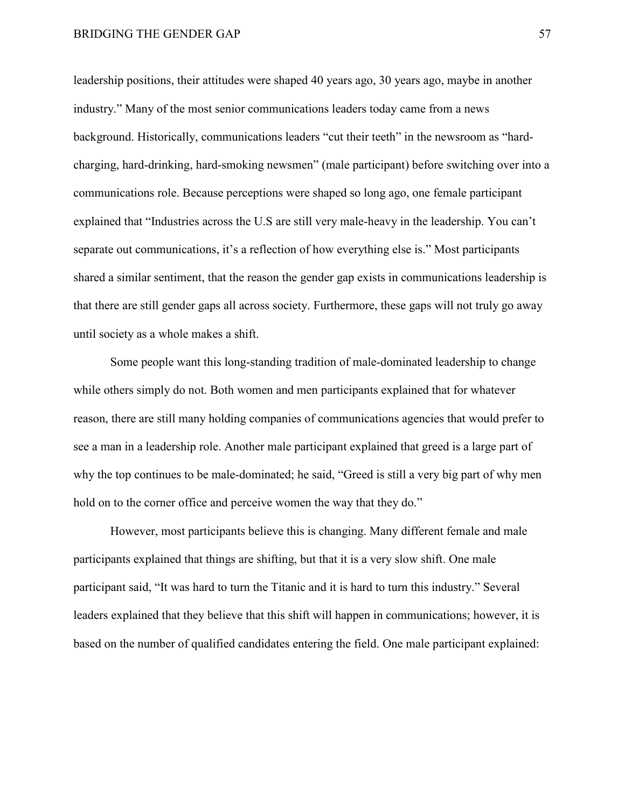leadership positions, their attitudes were shaped 40 years ago, 30 years ago, maybe in another industry." Many of the most senior communications leaders today came from a news background. Historically, communications leaders "cut their teeth" in the newsroom as "hardcharging, hard-drinking, hard-smoking newsmen" (male participant) before switching over into a communications role. Because perceptions were shaped so long ago, one female participant explained that "Industries across the U.S are still very male-heavy in the leadership. You can't separate out communications, it's a reflection of how everything else is." Most participants shared a similar sentiment, that the reason the gender gap exists in communications leadership is that there are still gender gaps all across society. Furthermore, these gaps will not truly go away until society as a whole makes a shift.

Some people want this long-standing tradition of male-dominated leadership to change while others simply do not. Both women and men participants explained that for whatever reason, there are still many holding companies of communications agencies that would prefer to see a man in a leadership role. Another male participant explained that greed is a large part of why the top continues to be male-dominated; he said, "Greed is still a very big part of why men hold on to the corner office and perceive women the way that they do."

However, most participants believe this is changing. Many different female and male participants explained that things are shifting, but that it is a very slow shift. One male participant said, "It was hard to turn the Titanic and it is hard to turn this industry." Several leaders explained that they believe that this shift will happen in communications; however, it is based on the number of qualified candidates entering the field. One male participant explained: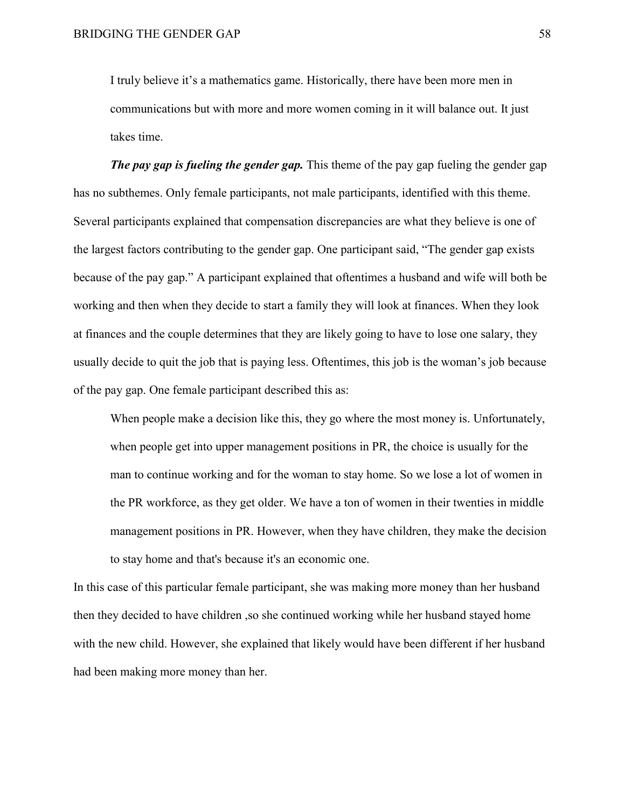I truly believe it's a mathematics game. Historically, there have been more men in communications but with more and more women coming in it will balance out. It just takes time.

*The pay gap is fueling the gender gap.* This theme of the pay gap fueling the gender gap has no subthemes. Only female participants, not male participants, identified with this theme. Several participants explained that compensation discrepancies are what they believe is one of the largest factors contributing to the gender gap. One participant said, "The gender gap exists because of the pay gap." A participant explained that oftentimes a husband and wife will both be working and then when they decide to start a family they will look at finances. When they look at finances and the couple determines that they are likely going to have to lose one salary, they usually decide to quit the job that is paying less. Oftentimes, this job is the woman's job because of the pay gap. One female participant described this as:

When people make a decision like this, they go where the most money is. Unfortunately, when people get into upper management positions in PR, the choice is usually for the man to continue working and for the woman to stay home. So we lose a lot of women in the PR workforce, as they get older. We have a ton of women in their twenties in middle management positions in PR. However, when they have children, they make the decision to stay home and that's because it's an economic one.

In this case of this particular female participant, she was making more money than her husband then they decided to have children ,so she continued working while her husband stayed home with the new child. However, she explained that likely would have been different if her husband had been making more money than her.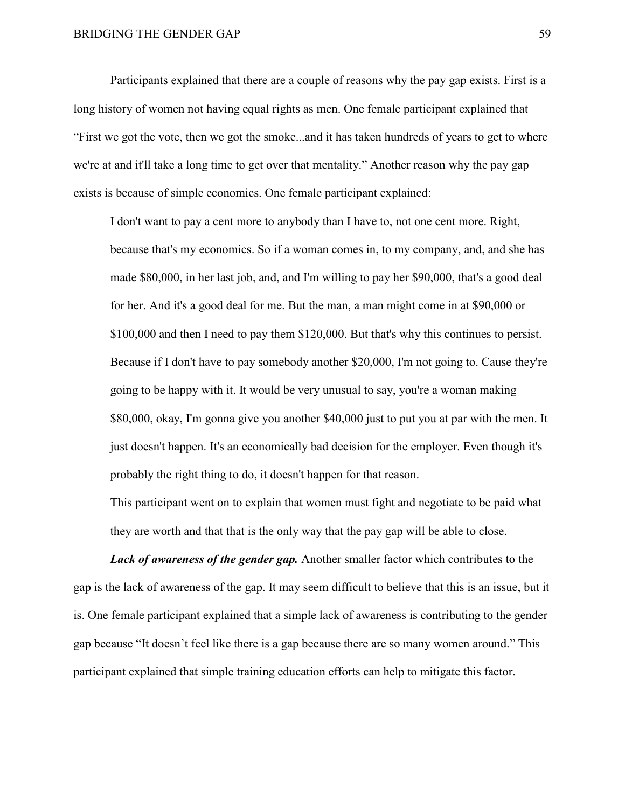Participants explained that there are a couple of reasons why the pay gap exists. First is a long history of women not having equal rights as men. One female participant explained that "First we got the vote, then we got the smoke...and it has taken hundreds of years to get to where we're at and it'll take a long time to get over that mentality." Another reason why the pay gap exists is because of simple economics. One female participant explained:

I don't want to pay a cent more to anybody than I have to, not one cent more. Right, because that's my economics. So if a woman comes in, to my company, and, and she has made \$80,000, in her last job, and, and I'm willing to pay her \$90,000, that's a good deal for her. And it's a good deal for me. But the man, a man might come in at \$90,000 or \$100,000 and then I need to pay them \$120,000. But that's why this continues to persist. Because if I don't have to pay somebody another \$20,000, I'm not going to. Cause they're going to be happy with it. It would be very unusual to say, you're a woman making \$80,000, okay, I'm gonna give you another \$40,000 just to put you at par with the men. It just doesn't happen. It's an economically bad decision for the employer. Even though it's probably the right thing to do, it doesn't happen for that reason.

This participant went on to explain that women must fight and negotiate to be paid what they are worth and that that is the only way that the pay gap will be able to close.

*Lack of awareness of the gender gap.* Another smaller factor which contributes to the gap is the lack of awareness of the gap. It may seem difficult to believe that this is an issue, but it is. One female participant explained that a simple lack of awareness is contributing to the gender gap because "It doesn't feel like there is a gap because there are so many women around." This participant explained that simple training education efforts can help to mitigate this factor.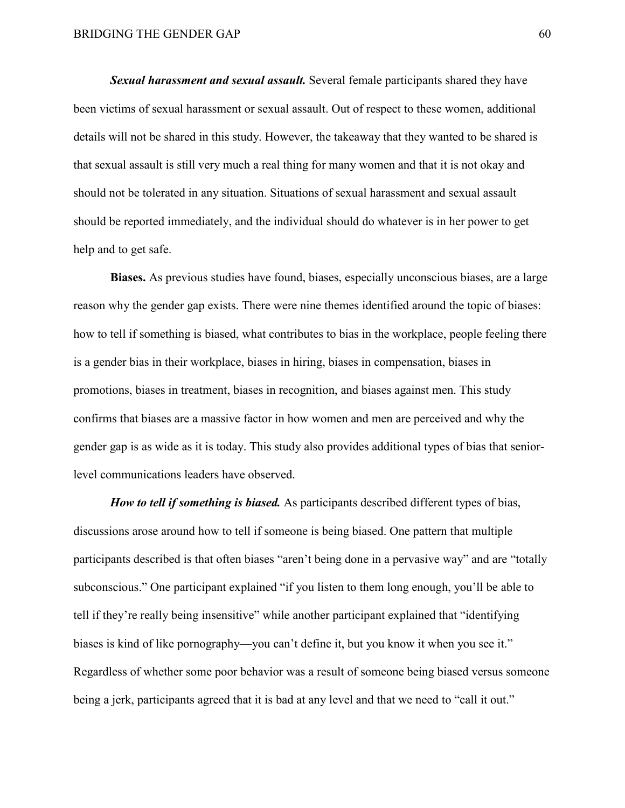*Sexual harassment and sexual assault.* Several female participants shared they have been victims of sexual harassment or sexual assault. Out of respect to these women, additional details will not be shared in this study. However, the takeaway that they wanted to be shared is that sexual assault is still very much a real thing for many women and that it is not okay and should not be tolerated in any situation. Situations of sexual harassment and sexual assault should be reported immediately, and the individual should do whatever is in her power to get help and to get safe.

**Biases.** As previous studies have found, biases, especially unconscious biases, are a large reason why the gender gap exists. There were nine themes identified around the topic of biases: how to tell if something is biased, what contributes to bias in the workplace, people feeling there is a gender bias in their workplace, biases in hiring, biases in compensation, biases in promotions, biases in treatment, biases in recognition, and biases against men. This study confirms that biases are a massive factor in how women and men are perceived and why the gender gap is as wide as it is today. This study also provides additional types of bias that seniorlevel communications leaders have observed.

*How to tell if something is biased.* As participants described different types of bias, discussions arose around how to tell if someone is being biased. One pattern that multiple participants described is that often biases "aren't being done in a pervasive way" and are "totally subconscious." One participant explained "if you listen to them long enough, you'll be able to tell if they're really being insensitive" while another participant explained that "identifying biases is kind of like pornography—you can't define it, but you know it when you see it." Regardless of whether some poor behavior was a result of someone being biased versus someone being a jerk, participants agreed that it is bad at any level and that we need to "call it out."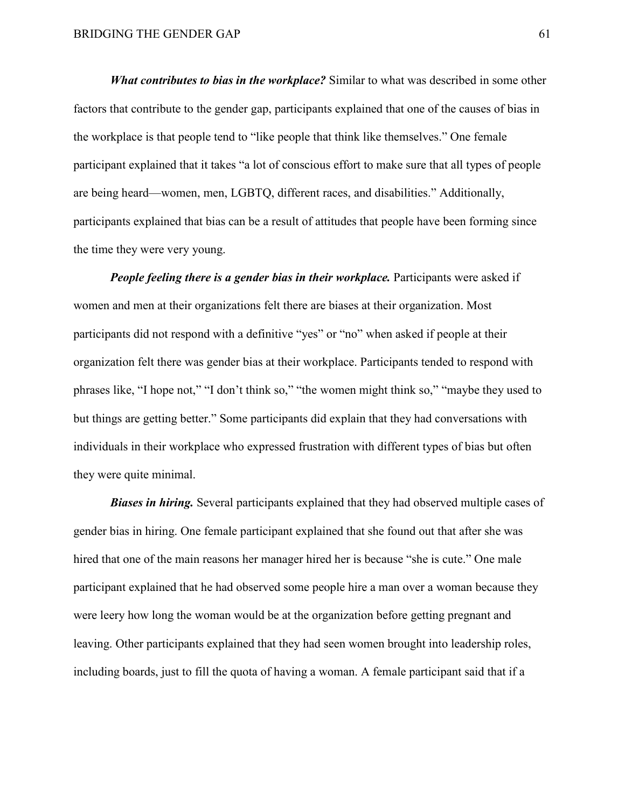*What contributes to bias in the workplace?* Similar to what was described in some other factors that contribute to the gender gap, participants explained that one of the causes of bias in the workplace is that people tend to "like people that think like themselves." One female participant explained that it takes "a lot of conscious effort to make sure that all types of people are being heard—women, men, LGBTQ, different races, and disabilities." Additionally, participants explained that bias can be a result of attitudes that people have been forming since the time they were very young.

*People feeling there is a gender bias in their workplace.* Participants were asked if women and men at their organizations felt there are biases at their organization. Most participants did not respond with a definitive "yes" or "no" when asked if people at their organization felt there was gender bias at their workplace. Participants tended to respond with phrases like, "I hope not," "I don't think so," "the women might think so," "maybe they used to but things are getting better." Some participants did explain that they had conversations with individuals in their workplace who expressed frustration with different types of bias but often they were quite minimal.

*Biases in hiring.* Several participants explained that they had observed multiple cases of gender bias in hiring. One female participant explained that she found out that after she was hired that one of the main reasons her manager hired her is because "she is cute." One male participant explained that he had observed some people hire a man over a woman because they were leery how long the woman would be at the organization before getting pregnant and leaving. Other participants explained that they had seen women brought into leadership roles, including boards, just to fill the quota of having a woman. A female participant said that if a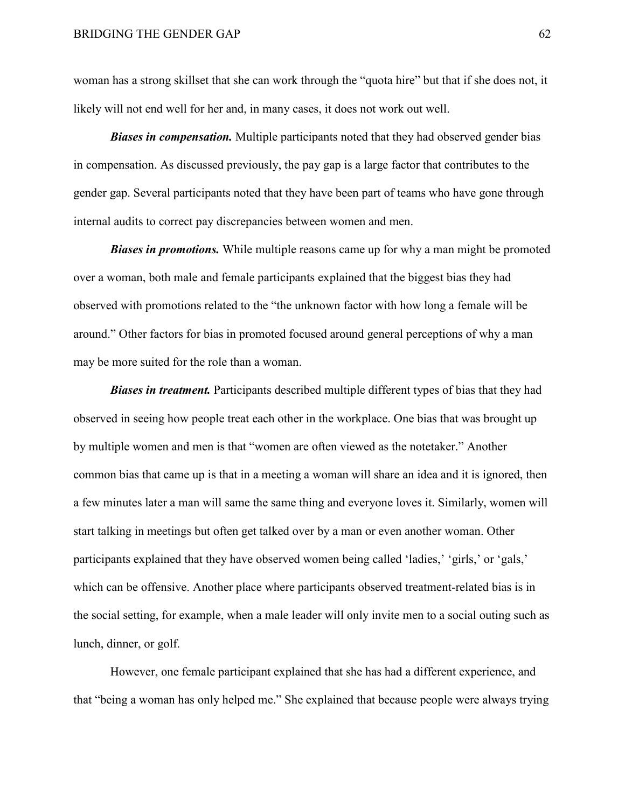woman has a strong skillset that she can work through the "quota hire" but that if she does not, it likely will not end well for her and, in many cases, it does not work out well.

*Biases in compensation.* Multiple participants noted that they had observed gender bias in compensation. As discussed previously, the pay gap is a large factor that contributes to the gender gap. Several participants noted that they have been part of teams who have gone through internal audits to correct pay discrepancies between women and men.

*Biases in promotions.* While multiple reasons came up for why a man might be promoted over a woman, both male and female participants explained that the biggest bias they had observed with promotions related to the "the unknown factor with how long a female will be around." Other factors for bias in promoted focused around general perceptions of why a man may be more suited for the role than a woman.

*Biases in treatment.* Participants described multiple different types of bias that they had observed in seeing how people treat each other in the workplace. One bias that was brought up by multiple women and men is that "women are often viewed as the notetaker." Another common bias that came up is that in a meeting a woman will share an idea and it is ignored, then a few minutes later a man will same the same thing and everyone loves it. Similarly, women will start talking in meetings but often get talked over by a man or even another woman. Other participants explained that they have observed women being called 'ladies,' 'girls,' or 'gals,' which can be offensive. Another place where participants observed treatment-related bias is in the social setting, for example, when a male leader will only invite men to a social outing such as lunch, dinner, or golf.

However, one female participant explained that she has had a different experience, and that "being a woman has only helped me." She explained that because people were always trying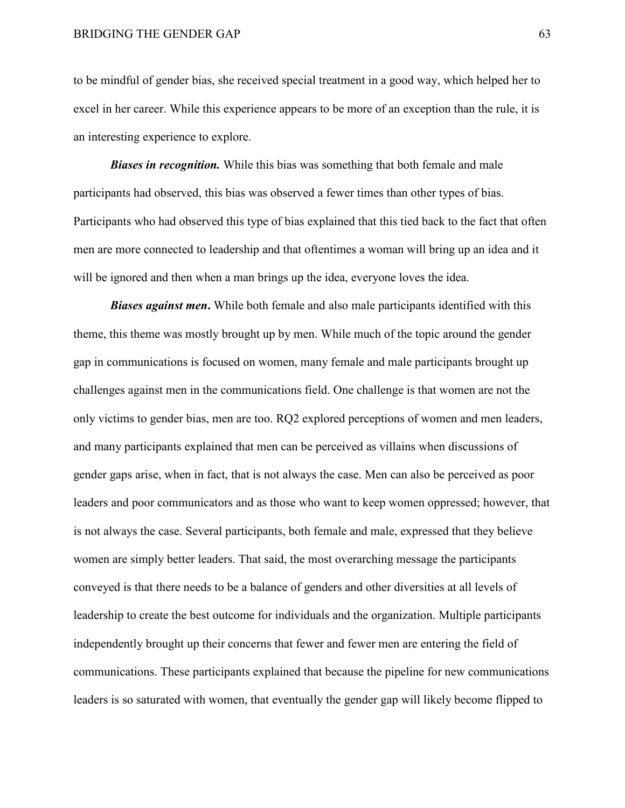to be mindful of gender bias, she received special treatment in a good way, which helped her to excel in her career. While this experience appears to be more of an exception than the rule, it is an interesting experience to explore.

*Biases in recognition.* While this bias was something that both female and male participants had observed, this bias was observed a fewer times than other types of bias. Participants who had observed this type of bias explained that this tied back to the fact that often men are more connected to leadership and that oftentimes a woman will bring up an idea and it will be ignored and then when a man brings up the idea, everyone loves the idea.

*Biases against men***.** While both female and also male participants identified with this theme, this theme was mostly brought up by men. While much of the topic around the gender gap in communications is focused on women, many female and male participants brought up challenges against men in the communications field. One challenge is that women are not the only victims to gender bias, men are too. RQ2 explored perceptions of women and men leaders, and many participants explained that men can be perceived as villains when discussions of gender gaps arise, when in fact, that is not always the case. Men can also be perceived as poor leaders and poor communicators and as those who want to keep women oppressed; however, that is not always the case. Several participants, both female and male, expressed that they believe women are simply better leaders. That said, the most overarching message the participants conveyed is that there needs to be a balance of genders and other diversities at all levels of leadership to create the best outcome for individuals and the organization. Multiple participants independently brought up their concerns that fewer and fewer men are entering the field of communications. These participants explained that because the pipeline for new communications leaders is so saturated with women, that eventually the gender gap will likely become flipped to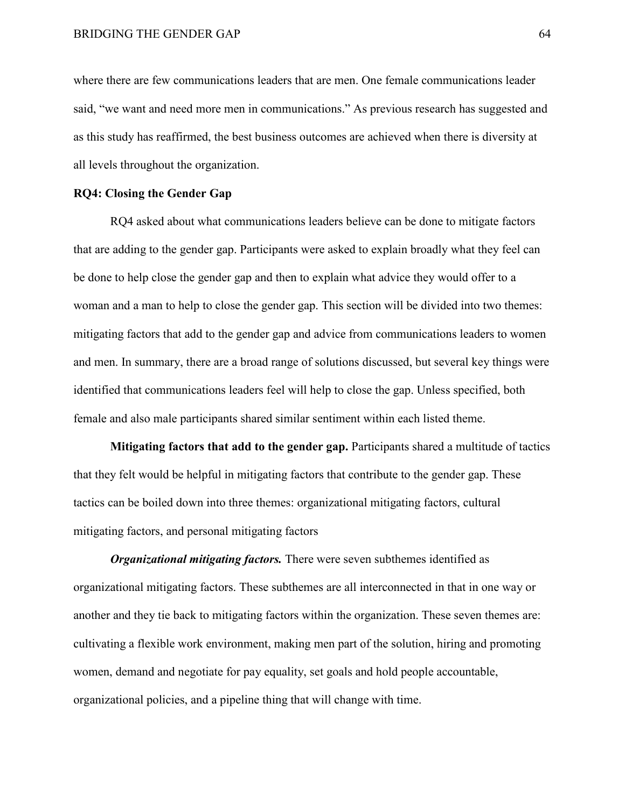where there are few communications leaders that are men. One female communications leader said, "we want and need more men in communications." As previous research has suggested and as this study has reaffirmed, the best business outcomes are achieved when there is diversity at all levels throughout the organization.

### **RQ4: Closing the Gender Gap**

RQ4 asked about what communications leaders believe can be done to mitigate factors that are adding to the gender gap. Participants were asked to explain broadly what they feel can be done to help close the gender gap and then to explain what advice they would offer to a woman and a man to help to close the gender gap. This section will be divided into two themes: mitigating factors that add to the gender gap and advice from communications leaders to women and men. In summary, there are a broad range of solutions discussed, but several key things were identified that communications leaders feel will help to close the gap. Unless specified, both female and also male participants shared similar sentiment within each listed theme.

**Mitigating factors that add to the gender gap.** Participants shared a multitude of tactics that they felt would be helpful in mitigating factors that contribute to the gender gap. These tactics can be boiled down into three themes: organizational mitigating factors, cultural mitigating factors, and personal mitigating factors

*Organizational mitigating factors.* There were seven subthemes identified as organizational mitigating factors. These subthemes are all interconnected in that in one way or another and they tie back to mitigating factors within the organization. These seven themes are: cultivating a flexible work environment, making men part of the solution, hiring and promoting women, demand and negotiate for pay equality, set goals and hold people accountable, organizational policies, and a pipeline thing that will change with time.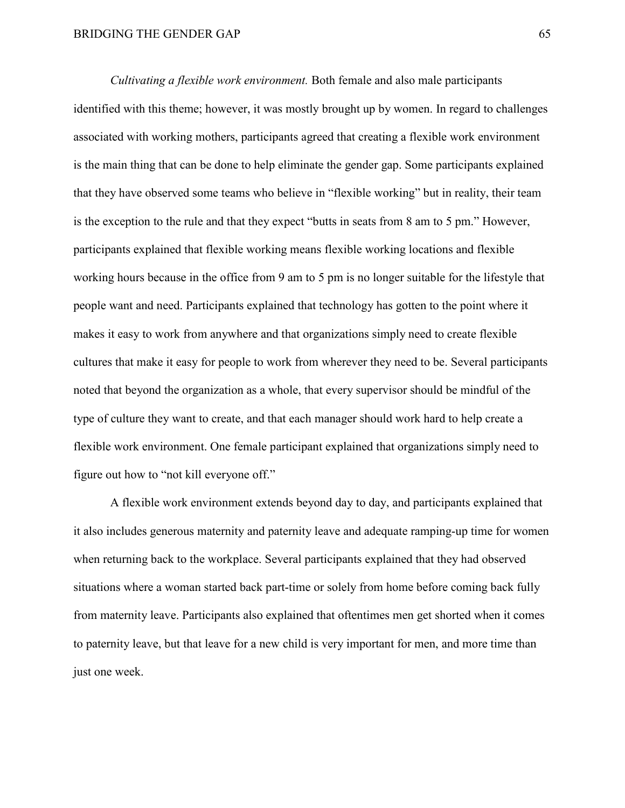*Cultivating a flexible work environment.* Both female and also male participants identified with this theme; however, it was mostly brought up by women. In regard to challenges associated with working mothers, participants agreed that creating a flexible work environment is the main thing that can be done to help eliminate the gender gap. Some participants explained that they have observed some teams who believe in "flexible working" but in reality, their team is the exception to the rule and that they expect "butts in seats from 8 am to 5 pm." However, participants explained that flexible working means flexible working locations and flexible working hours because in the office from 9 am to 5 pm is no longer suitable for the lifestyle that people want and need. Participants explained that technology has gotten to the point where it makes it easy to work from anywhere and that organizations simply need to create flexible cultures that make it easy for people to work from wherever they need to be. Several participants noted that beyond the organization as a whole, that every supervisor should be mindful of the type of culture they want to create, and that each manager should work hard to help create a flexible work environment. One female participant explained that organizations simply need to figure out how to "not kill everyone off."

A flexible work environment extends beyond day to day, and participants explained that it also includes generous maternity and paternity leave and adequate ramping-up time for women when returning back to the workplace. Several participants explained that they had observed situations where a woman started back part-time or solely from home before coming back fully from maternity leave. Participants also explained that oftentimes men get shorted when it comes to paternity leave, but that leave for a new child is very important for men, and more time than just one week.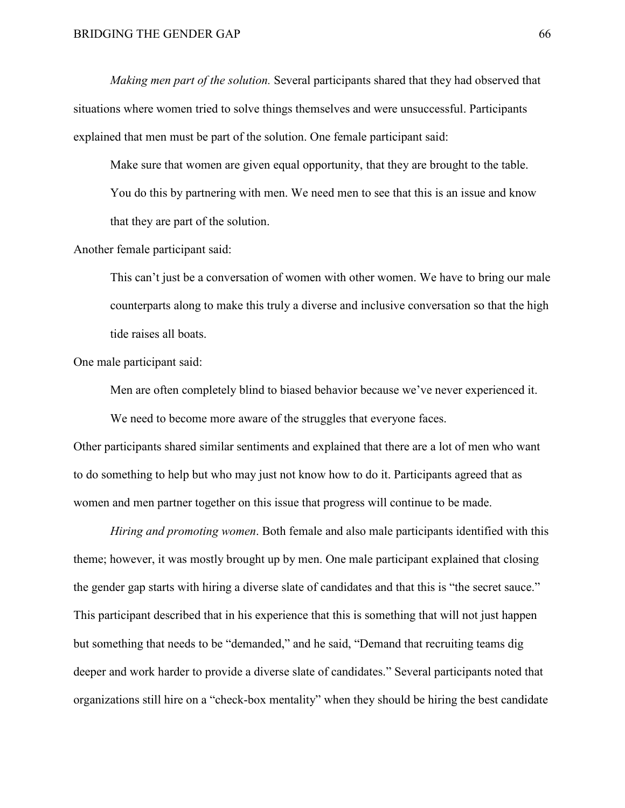*Making men part of the solution.* Several participants shared that they had observed that situations where women tried to solve things themselves and were unsuccessful. Participants explained that men must be part of the solution. One female participant said:

Make sure that women are given equal opportunity, that they are brought to the table. You do this by partnering with men. We need men to see that this is an issue and know that they are part of the solution.

Another female participant said:

This can't just be a conversation of women with other women. We have to bring our male counterparts along to make this truly a diverse and inclusive conversation so that the high tide raises all boats.

One male participant said:

Men are often completely blind to biased behavior because we've never experienced it.

We need to become more aware of the struggles that everyone faces.

Other participants shared similar sentiments and explained that there are a lot of men who want to do something to help but who may just not know how to do it. Participants agreed that as women and men partner together on this issue that progress will continue to be made.

*Hiring and promoting women*. Both female and also male participants identified with this theme; however, it was mostly brought up by men. One male participant explained that closing the gender gap starts with hiring a diverse slate of candidates and that this is "the secret sauce." This participant described that in his experience that this is something that will not just happen but something that needs to be "demanded," and he said, "Demand that recruiting teams dig deeper and work harder to provide a diverse slate of candidates." Several participants noted that organizations still hire on a "check-box mentality" when they should be hiring the best candidate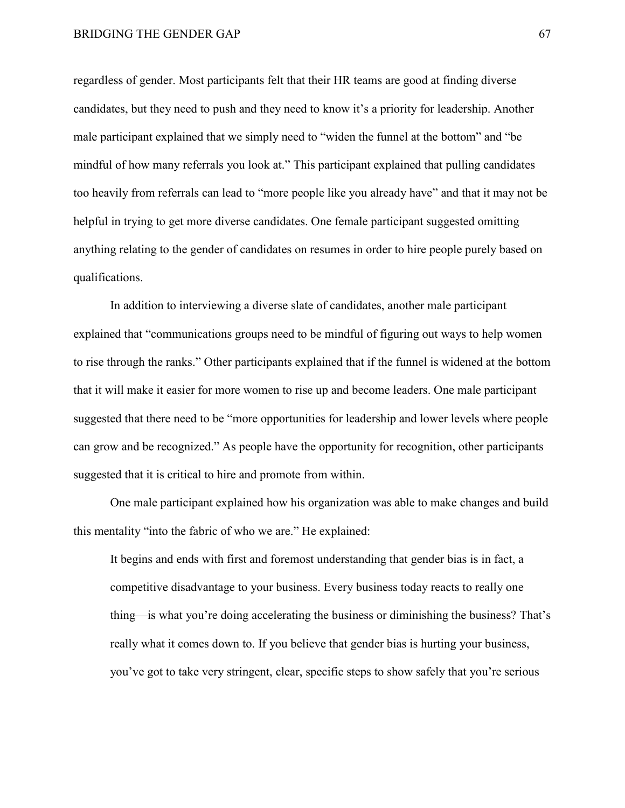regardless of gender. Most participants felt that their HR teams are good at finding diverse candidates, but they need to push and they need to know it's a priority for leadership. Another male participant explained that we simply need to "widen the funnel at the bottom" and "be mindful of how many referrals you look at." This participant explained that pulling candidates too heavily from referrals can lead to "more people like you already have" and that it may not be helpful in trying to get more diverse candidates. One female participant suggested omitting anything relating to the gender of candidates on resumes in order to hire people purely based on qualifications.

In addition to interviewing a diverse slate of candidates, another male participant explained that "communications groups need to be mindful of figuring out ways to help women to rise through the ranks." Other participants explained that if the funnel is widened at the bottom that it will make it easier for more women to rise up and become leaders. One male participant suggested that there need to be "more opportunities for leadership and lower levels where people can grow and be recognized." As people have the opportunity for recognition, other participants suggested that it is critical to hire and promote from within.

One male participant explained how his organization was able to make changes and build this mentality "into the fabric of who we are." He explained:

It begins and ends with first and foremost understanding that gender bias is in fact, a competitive disadvantage to your business. Every business today reacts to really one thing—is what you're doing accelerating the business or diminishing the business? That's really what it comes down to. If you believe that gender bias is hurting your business, you've got to take very stringent, clear, specific steps to show safely that you're serious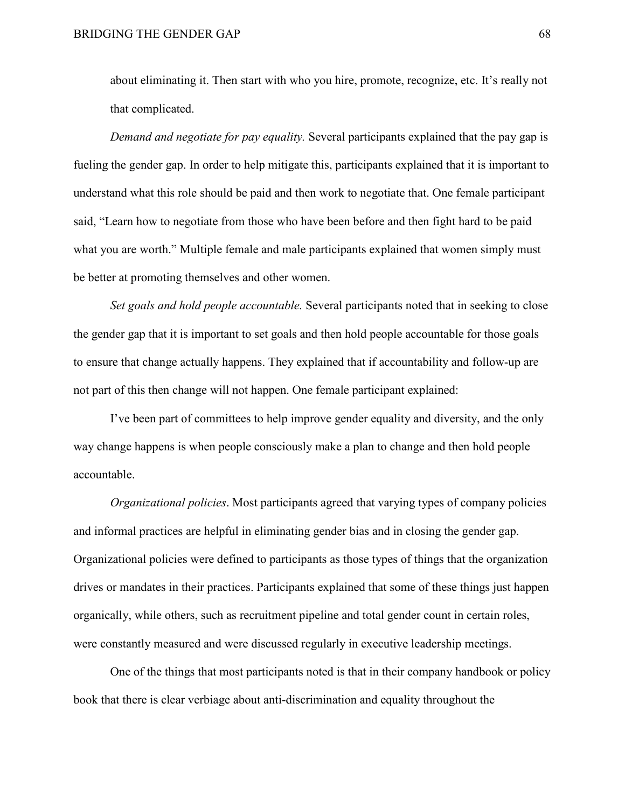about eliminating it. Then start with who you hire, promote, recognize, etc. It's really not that complicated.

*Demand and negotiate for pay equality.* Several participants explained that the pay gap is fueling the gender gap. In order to help mitigate this, participants explained that it is important to understand what this role should be paid and then work to negotiate that. One female participant said, "Learn how to negotiate from those who have been before and then fight hard to be paid what you are worth." Multiple female and male participants explained that women simply must be better at promoting themselves and other women.

*Set goals and hold people accountable.* Several participants noted that in seeking to close the gender gap that it is important to set goals and then hold people accountable for those goals to ensure that change actually happens. They explained that if accountability and follow-up are not part of this then change will not happen. One female participant explained:

I've been part of committees to help improve gender equality and diversity, and the only way change happens is when people consciously make a plan to change and then hold people accountable.

*Organizational policies*. Most participants agreed that varying types of company policies and informal practices are helpful in eliminating gender bias and in closing the gender gap. Organizational policies were defined to participants as those types of things that the organization drives or mandates in their practices. Participants explained that some of these things just happen organically, while others, such as recruitment pipeline and total gender count in certain roles, were constantly measured and were discussed regularly in executive leadership meetings.

One of the things that most participants noted is that in their company handbook or policy book that there is clear verbiage about anti-discrimination and equality throughout the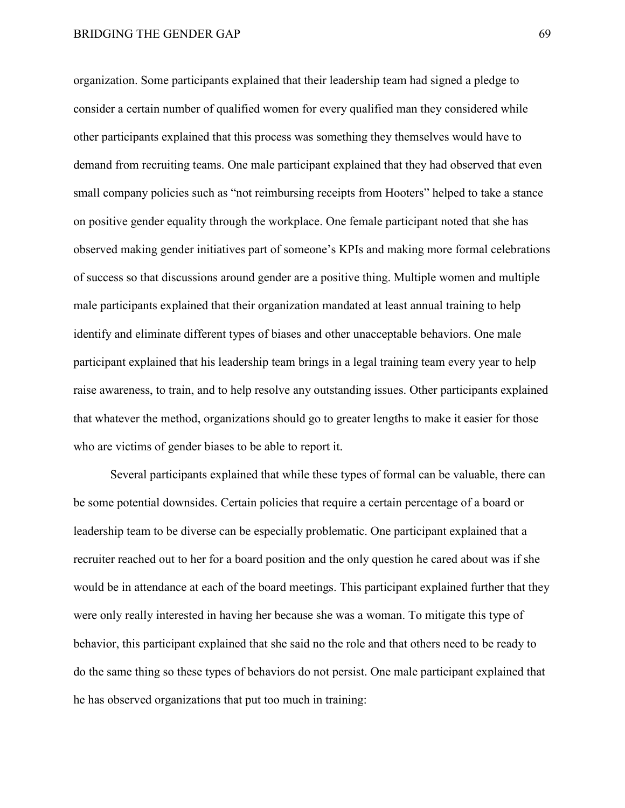organization. Some participants explained that their leadership team had signed a pledge to consider a certain number of qualified women for every qualified man they considered while other participants explained that this process was something they themselves would have to demand from recruiting teams. One male participant explained that they had observed that even small company policies such as "not reimbursing receipts from Hooters" helped to take a stance on positive gender equality through the workplace. One female participant noted that she has observed making gender initiatives part of someone's KPIs and making more formal celebrations of success so that discussions around gender are a positive thing. Multiple women and multiple male participants explained that their organization mandated at least annual training to help identify and eliminate different types of biases and other unacceptable behaviors. One male participant explained that his leadership team brings in a legal training team every year to help raise awareness, to train, and to help resolve any outstanding issues. Other participants explained that whatever the method, organizations should go to greater lengths to make it easier for those who are victims of gender biases to be able to report it.

Several participants explained that while these types of formal can be valuable, there can be some potential downsides. Certain policies that require a certain percentage of a board or leadership team to be diverse can be especially problematic. One participant explained that a recruiter reached out to her for a board position and the only question he cared about was if she would be in attendance at each of the board meetings. This participant explained further that they were only really interested in having her because she was a woman. To mitigate this type of behavior, this participant explained that she said no the role and that others need to be ready to do the same thing so these types of behaviors do not persist. One male participant explained that he has observed organizations that put too much in training: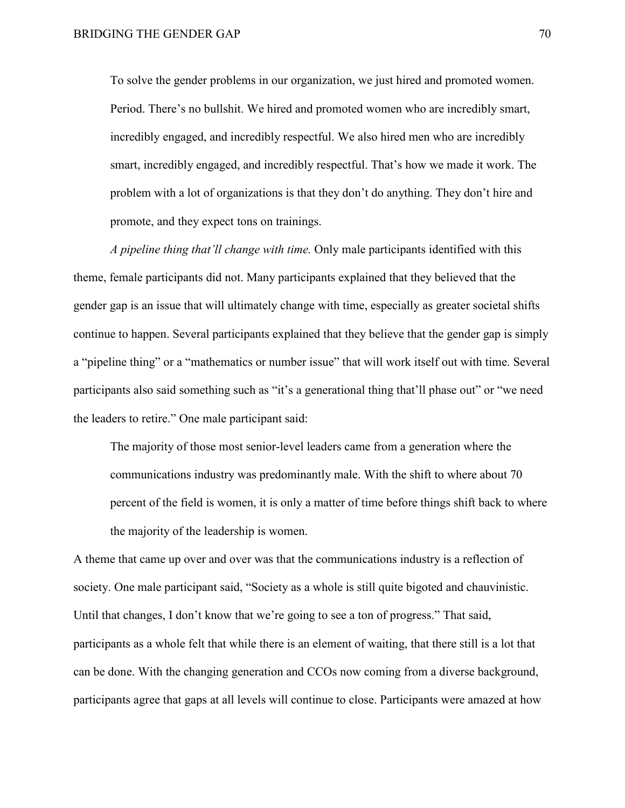To solve the gender problems in our organization, we just hired and promoted women. Period. There's no bullshit. We hired and promoted women who are incredibly smart, incredibly engaged, and incredibly respectful. We also hired men who are incredibly smart, incredibly engaged, and incredibly respectful. That's how we made it work. The problem with a lot of organizations is that they don't do anything. They don't hire and promote, and they expect tons on trainings.

*A pipeline thing that'll change with time.* Only male participants identified with this theme, female participants did not. Many participants explained that they believed that the gender gap is an issue that will ultimately change with time, especially as greater societal shifts continue to happen. Several participants explained that they believe that the gender gap is simply a "pipeline thing" or a "mathematics or number issue" that will work itself out with time. Several participants also said something such as "it's a generational thing that'll phase out" or "we need the leaders to retire." One male participant said:

The majority of those most senior-level leaders came from a generation where the communications industry was predominantly male. With the shift to where about 70 percent of the field is women, it is only a matter of time before things shift back to where the majority of the leadership is women.

A theme that came up over and over was that the communications industry is a reflection of society. One male participant said, "Society as a whole is still quite bigoted and chauvinistic. Until that changes, I don't know that we're going to see a ton of progress." That said, participants as a whole felt that while there is an element of waiting, that there still is a lot that can be done. With the changing generation and CCOs now coming from a diverse background, participants agree that gaps at all levels will continue to close. Participants were amazed at how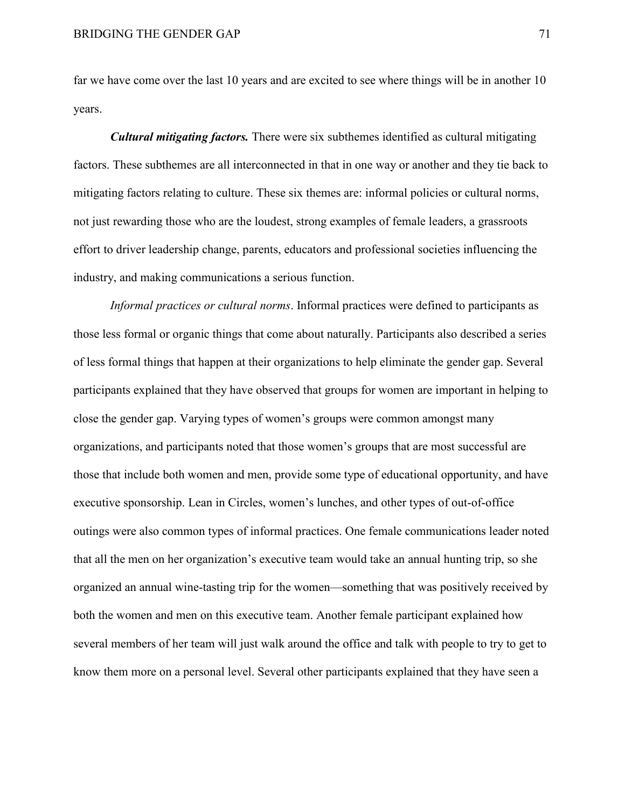far we have come over the last 10 years and are excited to see where things will be in another 10 years.

*Cultural mitigating factors.* There were six subthemes identified as cultural mitigating factors. These subthemes are all interconnected in that in one way or another and they tie back to mitigating factors relating to culture. These six themes are: informal policies or cultural norms, not just rewarding those who are the loudest, strong examples of female leaders, a grassroots effort to driver leadership change, parents, educators and professional societies influencing the industry, and making communications a serious function.

*Informal practices or cultural norms*. Informal practices were defined to participants as those less formal or organic things that come about naturally. Participants also described a series of less formal things that happen at their organizations to help eliminate the gender gap. Several participants explained that they have observed that groups for women are important in helping to close the gender gap. Varying types of women's groups were common amongst many organizations, and participants noted that those women's groups that are most successful are those that include both women and men, provide some type of educational opportunity, and have executive sponsorship. Lean in Circles, women's lunches, and other types of out-of-office outings were also common types of informal practices. One female communications leader noted that all the men on her organization's executive team would take an annual hunting trip, so she organized an annual wine-tasting trip for the women—something that was positively received by both the women and men on this executive team. Another female participant explained how several members of her team will just walk around the office and talk with people to try to get to know them more on a personal level. Several other participants explained that they have seen a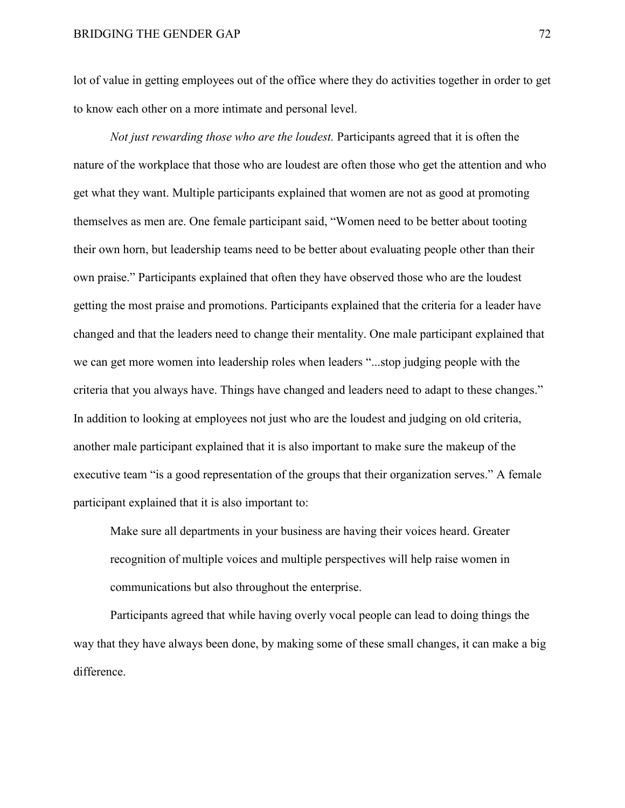lot of value in getting employees out of the office where they do activities together in order to get to know each other on a more intimate and personal level.

*Not just rewarding those who are the loudest.* Participants agreed that it is often the nature of the workplace that those who are loudest are often those who get the attention and who get what they want. Multiple participants explained that women are not as good at promoting themselves as men are. One female participant said, "Women need to be better about tooting their own horn, but leadership teams need to be better about evaluating people other than their own praise." Participants explained that often they have observed those who are the loudest getting the most praise and promotions. Participants explained that the criteria for a leader have changed and that the leaders need to change their mentality. One male participant explained that we can get more women into leadership roles when leaders "...stop judging people with the criteria that you always have. Things have changed and leaders need to adapt to these changes." In addition to looking at employees not just who are the loudest and judging on old criteria, another male participant explained that it is also important to make sure the makeup of the executive team "is a good representation of the groups that their organization serves." A female participant explained that it is also important to:

Make sure all departments in your business are having their voices heard. Greater recognition of multiple voices and multiple perspectives will help raise women in communications but also throughout the enterprise.

Participants agreed that while having overly vocal people can lead to doing things the way that they have always been done, by making some of these small changes, it can make a big difference.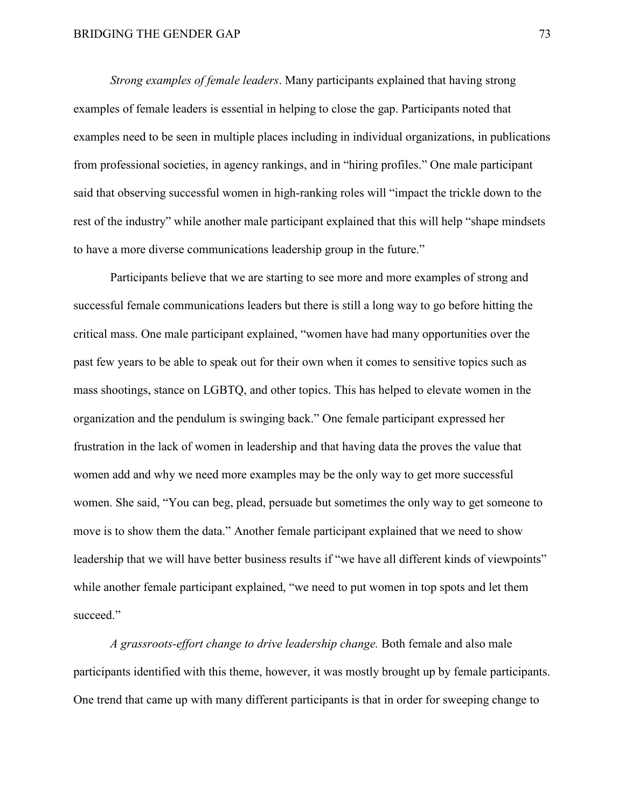*Strong examples of female leaders*. Many participants explained that having strong examples of female leaders is essential in helping to close the gap. Participants noted that examples need to be seen in multiple places including in individual organizations, in publications from professional societies, in agency rankings, and in "hiring profiles." One male participant said that observing successful women in high-ranking roles will "impact the trickle down to the rest of the industry" while another male participant explained that this will help "shape mindsets to have a more diverse communications leadership group in the future."

Participants believe that we are starting to see more and more examples of strong and successful female communications leaders but there is still a long way to go before hitting the critical mass. One male participant explained, "women have had many opportunities over the past few years to be able to speak out for their own when it comes to sensitive topics such as mass shootings, stance on LGBTQ, and other topics. This has helped to elevate women in the organization and the pendulum is swinging back." One female participant expressed her frustration in the lack of women in leadership and that having data the proves the value that women add and why we need more examples may be the only way to get more successful women. She said, "You can beg, plead, persuade but sometimes the only way to get someone to move is to show them the data." Another female participant explained that we need to show leadership that we will have better business results if "we have all different kinds of viewpoints" while another female participant explained, "we need to put women in top spots and let them succeed."

*A grassroots-effort change to drive leadership change.* Both female and also male participants identified with this theme, however, it was mostly brought up by female participants. One trend that came up with many different participants is that in order for sweeping change to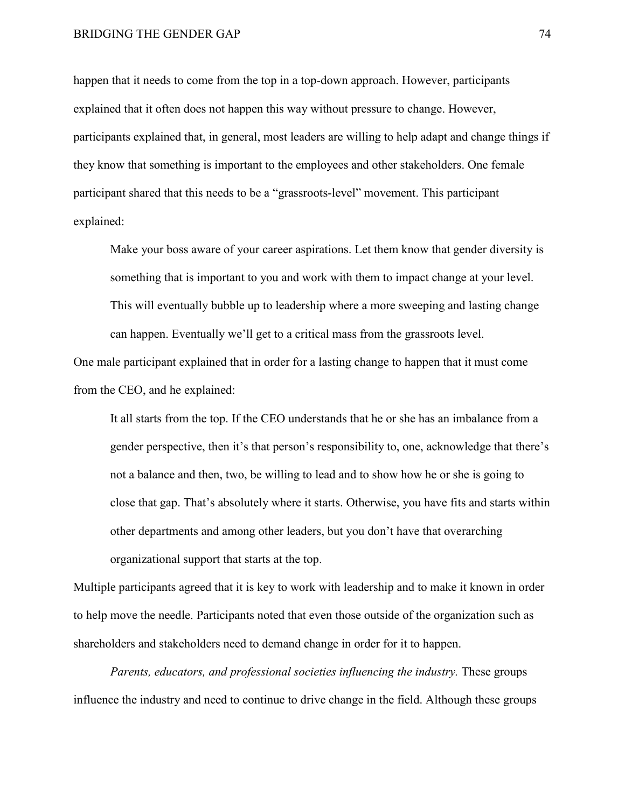happen that it needs to come from the top in a top-down approach. However, participants explained that it often does not happen this way without pressure to change. However, participants explained that, in general, most leaders are willing to help adapt and change things if they know that something is important to the employees and other stakeholders. One female participant shared that this needs to be a "grassroots-level" movement. This participant explained:

Make your boss aware of your career aspirations. Let them know that gender diversity is something that is important to you and work with them to impact change at your level. This will eventually bubble up to leadership where a more sweeping and lasting change can happen. Eventually we'll get to a critical mass from the grassroots level.

One male participant explained that in order for a lasting change to happen that it must come from the CEO, and he explained:

It all starts from the top. If the CEO understands that he or she has an imbalance from a gender perspective, then it's that person's responsibility to, one, acknowledge that there's not a balance and then, two, be willing to lead and to show how he or she is going to close that gap. That's absolutely where it starts. Otherwise, you have fits and starts within other departments and among other leaders, but you don't have that overarching organizational support that starts at the top.

Multiple participants agreed that it is key to work with leadership and to make it known in order to help move the needle. Participants noted that even those outside of the organization such as shareholders and stakeholders need to demand change in order for it to happen.

*Parents, educators, and professional societies influencing the industry.* These groups influence the industry and need to continue to drive change in the field. Although these groups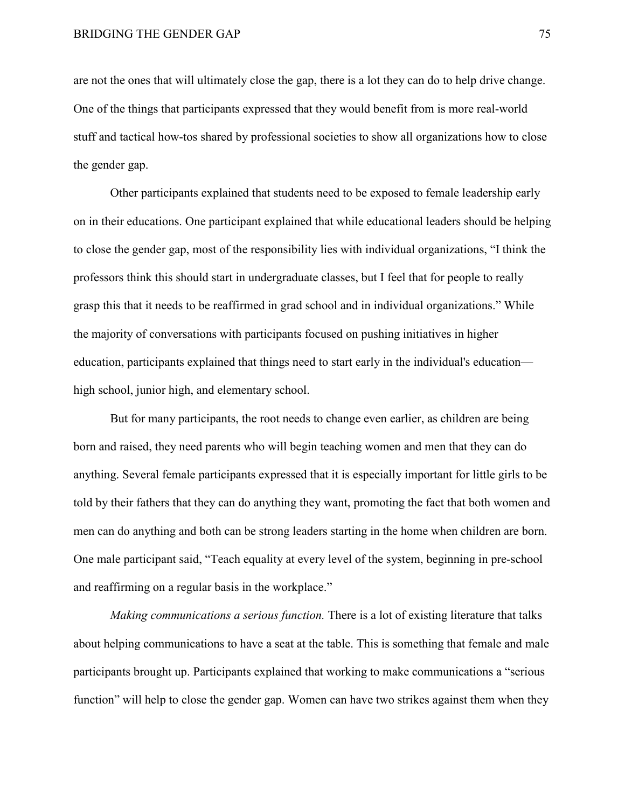are not the ones that will ultimately close the gap, there is a lot they can do to help drive change. One of the things that participants expressed that they would benefit from is more real-world stuff and tactical how-tos shared by professional societies to show all organizations how to close the gender gap.

Other participants explained that students need to be exposed to female leadership early on in their educations. One participant explained that while educational leaders should be helping to close the gender gap, most of the responsibility lies with individual organizations, "I think the professors think this should start in undergraduate classes, but I feel that for people to really grasp this that it needs to be reaffirmed in grad school and in individual organizations." While the majority of conversations with participants focused on pushing initiatives in higher education, participants explained that things need to start early in the individual's education high school, junior high, and elementary school.

But for many participants, the root needs to change even earlier, as children are being born and raised, they need parents who will begin teaching women and men that they can do anything. Several female participants expressed that it is especially important for little girls to be told by their fathers that they can do anything they want, promoting the fact that both women and men can do anything and both can be strong leaders starting in the home when children are born. One male participant said, "Teach equality at every level of the system, beginning in pre-school and reaffirming on a regular basis in the workplace."

*Making communications a serious function.* There is a lot of existing literature that talks about helping communications to have a seat at the table. This is something that female and male participants brought up. Participants explained that working to make communications a "serious function" will help to close the gender gap. Women can have two strikes against them when they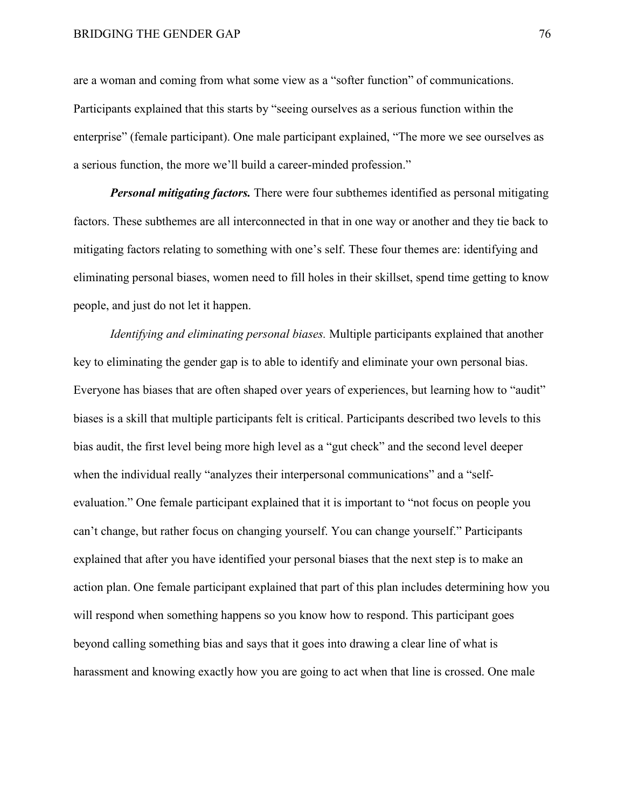are a woman and coming from what some view as a "softer function" of communications. Participants explained that this starts by "seeing ourselves as a serious function within the enterprise" (female participant). One male participant explained, "The more we see ourselves as a serious function, the more we'll build a career-minded profession."

*Personal mitigating factors.* There were four subthemes identified as personal mitigating factors. These subthemes are all interconnected in that in one way or another and they tie back to mitigating factors relating to something with one's self. These four themes are: identifying and eliminating personal biases, women need to fill holes in their skillset, spend time getting to know people, and just do not let it happen.

*Identifying and eliminating personal biases.* Multiple participants explained that another key to eliminating the gender gap is to able to identify and eliminate your own personal bias. Everyone has biases that are often shaped over years of experiences, but learning how to "audit" biases is a skill that multiple participants felt is critical. Participants described two levels to this bias audit, the first level being more high level as a "gut check" and the second level deeper when the individual really "analyzes their interpersonal communications" and a "selfevaluation." One female participant explained that it is important to "not focus on people you can't change, but rather focus on changing yourself. You can change yourself." Participants explained that after you have identified your personal biases that the next step is to make an action plan. One female participant explained that part of this plan includes determining how you will respond when something happens so you know how to respond. This participant goes beyond calling something bias and says that it goes into drawing a clear line of what is harassment and knowing exactly how you are going to act when that line is crossed. One male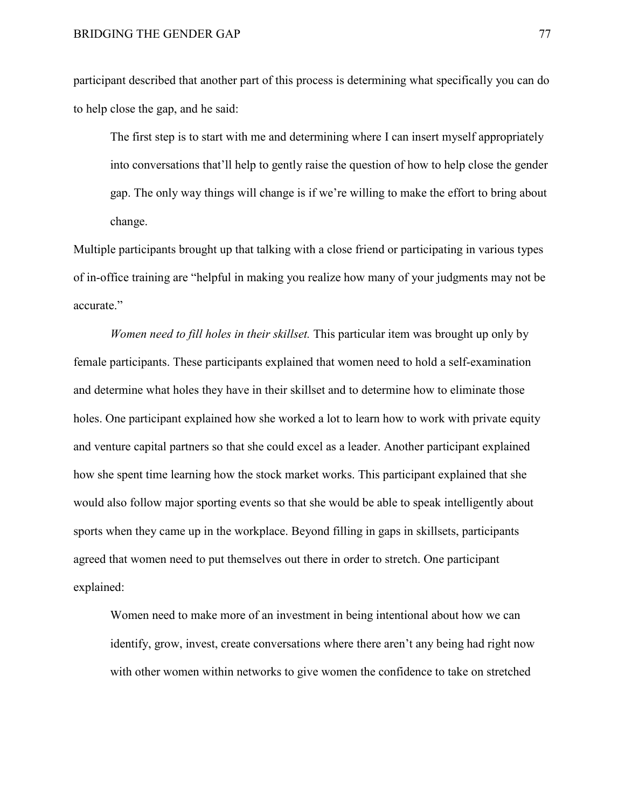participant described that another part of this process is determining what specifically you can do to help close the gap, and he said:

The first step is to start with me and determining where I can insert myself appropriately into conversations that'll help to gently raise the question of how to help close the gender gap. The only way things will change is if we're willing to make the effort to bring about change.

Multiple participants brought up that talking with a close friend or participating in various types of in-office training are "helpful in making you realize how many of your judgments may not be accurate."

*Women need to fill holes in their skillset.* This particular item was brought up only by female participants. These participants explained that women need to hold a self-examination and determine what holes they have in their skillset and to determine how to eliminate those holes. One participant explained how she worked a lot to learn how to work with private equity and venture capital partners so that she could excel as a leader. Another participant explained how she spent time learning how the stock market works. This participant explained that she would also follow major sporting events so that she would be able to speak intelligently about sports when they came up in the workplace. Beyond filling in gaps in skillsets, participants agreed that women need to put themselves out there in order to stretch. One participant explained:

Women need to make more of an investment in being intentional about how we can identify, grow, invest, create conversations where there aren't any being had right now with other women within networks to give women the confidence to take on stretched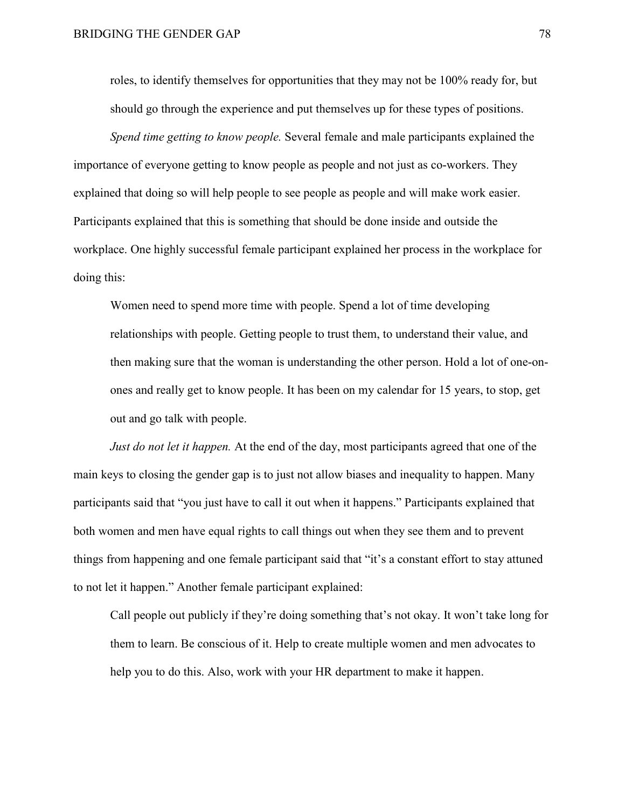roles, to identify themselves for opportunities that they may not be 100% ready for, but should go through the experience and put themselves up for these types of positions.

*Spend time getting to know people.* Several female and male participants explained the importance of everyone getting to know people as people and not just as co-workers. They explained that doing so will help people to see people as people and will make work easier. Participants explained that this is something that should be done inside and outside the workplace. One highly successful female participant explained her process in the workplace for doing this:

Women need to spend more time with people. Spend a lot of time developing relationships with people. Getting people to trust them, to understand their value, and then making sure that the woman is understanding the other person. Hold a lot of one-onones and really get to know people. It has been on my calendar for 15 years, to stop, get out and go talk with people.

*Just do not let it happen.* At the end of the day, most participants agreed that one of the main keys to closing the gender gap is to just not allow biases and inequality to happen. Many participants said that "you just have to call it out when it happens." Participants explained that both women and men have equal rights to call things out when they see them and to prevent things from happening and one female participant said that "it's a constant effort to stay attuned to not let it happen." Another female participant explained:

Call people out publicly if they're doing something that's not okay. It won't take long for them to learn. Be conscious of it. Help to create multiple women and men advocates to help you to do this. Also, work with your HR department to make it happen.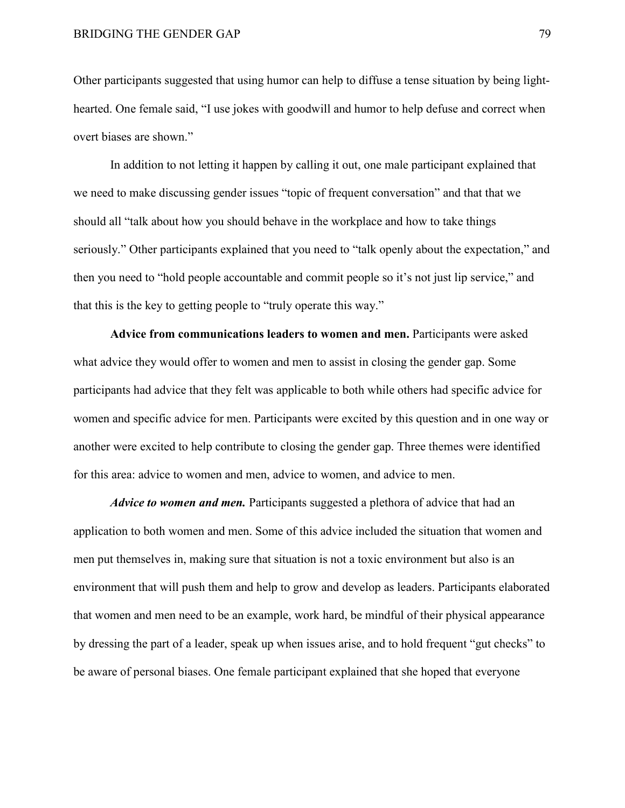Other participants suggested that using humor can help to diffuse a tense situation by being lighthearted. One female said, "I use jokes with goodwill and humor to help defuse and correct when overt biases are shown."

In addition to not letting it happen by calling it out, one male participant explained that we need to make discussing gender issues "topic of frequent conversation" and that that we should all "talk about how you should behave in the workplace and how to take things seriously." Other participants explained that you need to "talk openly about the expectation," and then you need to "hold people accountable and commit people so it's not just lip service," and that this is the key to getting people to "truly operate this way."

**Advice from communications leaders to women and men.** Participants were asked what advice they would offer to women and men to assist in closing the gender gap. Some participants had advice that they felt was applicable to both while others had specific advice for women and specific advice for men. Participants were excited by this question and in one way or another were excited to help contribute to closing the gender gap. Three themes were identified for this area: advice to women and men, advice to women, and advice to men.

*Advice to women and men.* Participants suggested a plethora of advice that had an application to both women and men. Some of this advice included the situation that women and men put themselves in, making sure that situation is not a toxic environment but also is an environment that will push them and help to grow and develop as leaders. Participants elaborated that women and men need to be an example, work hard, be mindful of their physical appearance by dressing the part of a leader, speak up when issues arise, and to hold frequent "gut checks" to be aware of personal biases. One female participant explained that she hoped that everyone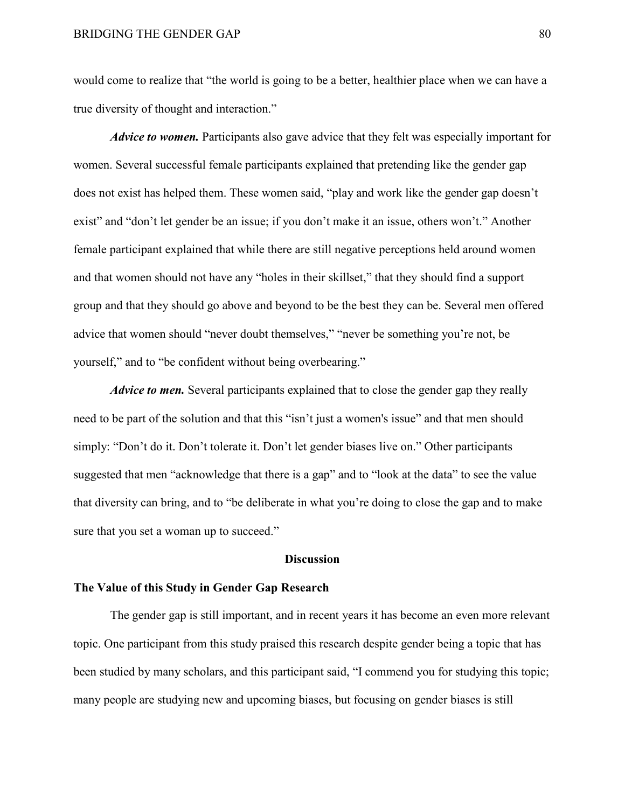would come to realize that "the world is going to be a better, healthier place when we can have a true diversity of thought and interaction."

*Advice to women.* Participants also gave advice that they felt was especially important for women. Several successful female participants explained that pretending like the gender gap does not exist has helped them. These women said, "play and work like the gender gap doesn't exist" and "don't let gender be an issue; if you don't make it an issue, others won't." Another female participant explained that while there are still negative perceptions held around women and that women should not have any "holes in their skillset," that they should find a support group and that they should go above and beyond to be the best they can be. Several men offered advice that women should "never doubt themselves," "never be something you're not, be yourself," and to "be confident without being overbearing."

*Advice to men.* Several participants explained that to close the gender gap they really need to be part of the solution and that this "isn't just a women's issue" and that men should simply: "Don't do it. Don't tolerate it. Don't let gender biases live on." Other participants suggested that men "acknowledge that there is a gap" and to "look at the data" to see the value that diversity can bring, and to "be deliberate in what you're doing to close the gap and to make sure that you set a woman up to succeed."

#### **Discussion**

#### **The Value of this Study in Gender Gap Research**

The gender gap is still important, and in recent years it has become an even more relevant topic. One participant from this study praised this research despite gender being a topic that has been studied by many scholars, and this participant said, "I commend you for studying this topic; many people are studying new and upcoming biases, but focusing on gender biases is still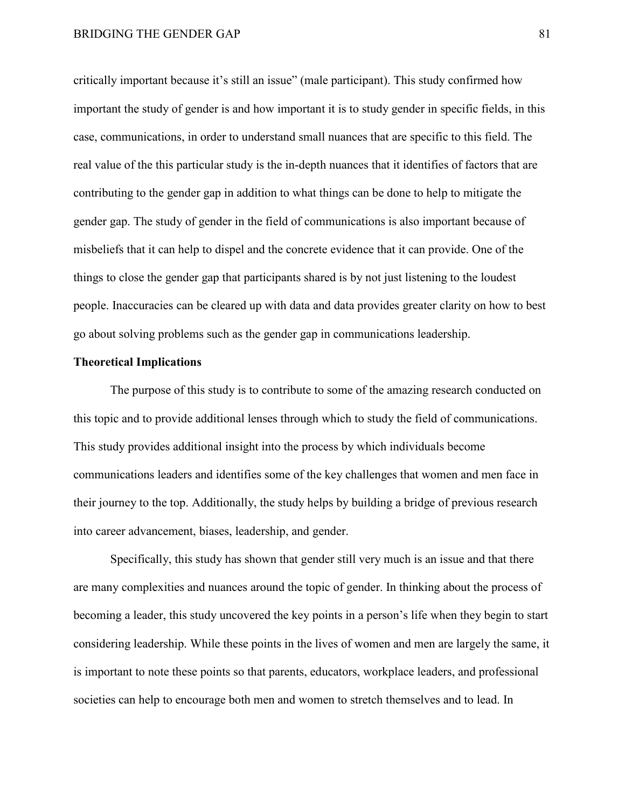critically important because it's still an issue" (male participant). This study confirmed how important the study of gender is and how important it is to study gender in specific fields, in this case, communications, in order to understand small nuances that are specific to this field. The real value of the this particular study is the in-depth nuances that it identifies of factors that are contributing to the gender gap in addition to what things can be done to help to mitigate the gender gap. The study of gender in the field of communications is also important because of misbeliefs that it can help to dispel and the concrete evidence that it can provide. One of the things to close the gender gap that participants shared is by not just listening to the loudest people. Inaccuracies can be cleared up with data and data provides greater clarity on how to best go about solving problems such as the gender gap in communications leadership.

#### **Theoretical Implications**

The purpose of this study is to contribute to some of the amazing research conducted on this topic and to provide additional lenses through which to study the field of communications. This study provides additional insight into the process by which individuals become communications leaders and identifies some of the key challenges that women and men face in their journey to the top. Additionally, the study helps by building a bridge of previous research into career advancement, biases, leadership, and gender.

Specifically, this study has shown that gender still very much is an issue and that there are many complexities and nuances around the topic of gender. In thinking about the process of becoming a leader, this study uncovered the key points in a person's life when they begin to start considering leadership. While these points in the lives of women and men are largely the same, it is important to note these points so that parents, educators, workplace leaders, and professional societies can help to encourage both men and women to stretch themselves and to lead. In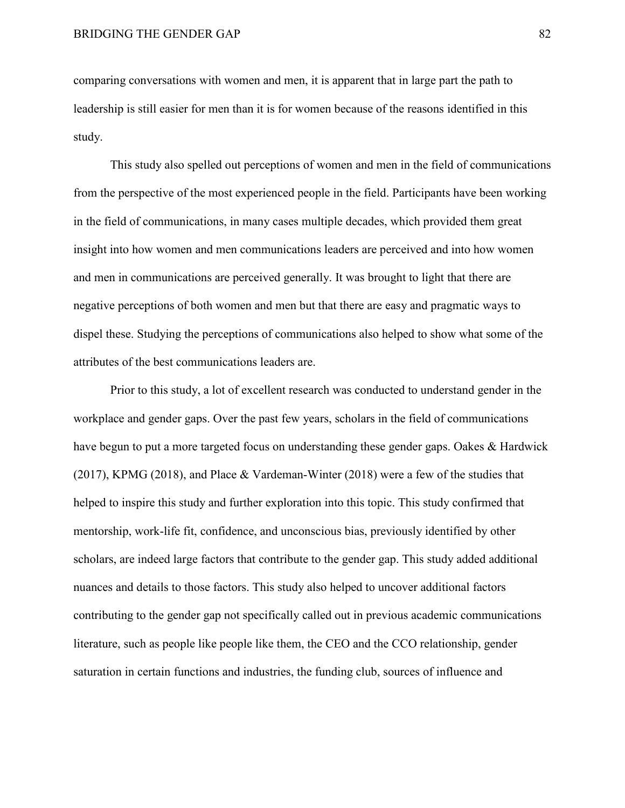comparing conversations with women and men, it is apparent that in large part the path to leadership is still easier for men than it is for women because of the reasons identified in this study.

This study also spelled out perceptions of women and men in the field of communications from the perspective of the most experienced people in the field. Participants have been working in the field of communications, in many cases multiple decades, which provided them great insight into how women and men communications leaders are perceived and into how women and men in communications are perceived generally. It was brought to light that there are negative perceptions of both women and men but that there are easy and pragmatic ways to dispel these. Studying the perceptions of communications also helped to show what some of the attributes of the best communications leaders are.

Prior to this study, a lot of excellent research was conducted to understand gender in the workplace and gender gaps. Over the past few years, scholars in the field of communications have begun to put a more targeted focus on understanding these gender gaps. Oakes & Hardwick (2017), KPMG (2018), and Place & Vardeman-Winter (2018) were a few of the studies that helped to inspire this study and further exploration into this topic. This study confirmed that mentorship, work-life fit, confidence, and unconscious bias, previously identified by other scholars, are indeed large factors that contribute to the gender gap. This study added additional nuances and details to those factors. This study also helped to uncover additional factors contributing to the gender gap not specifically called out in previous academic communications literature, such as people like people like them, the CEO and the CCO relationship, gender saturation in certain functions and industries, the funding club, sources of influence and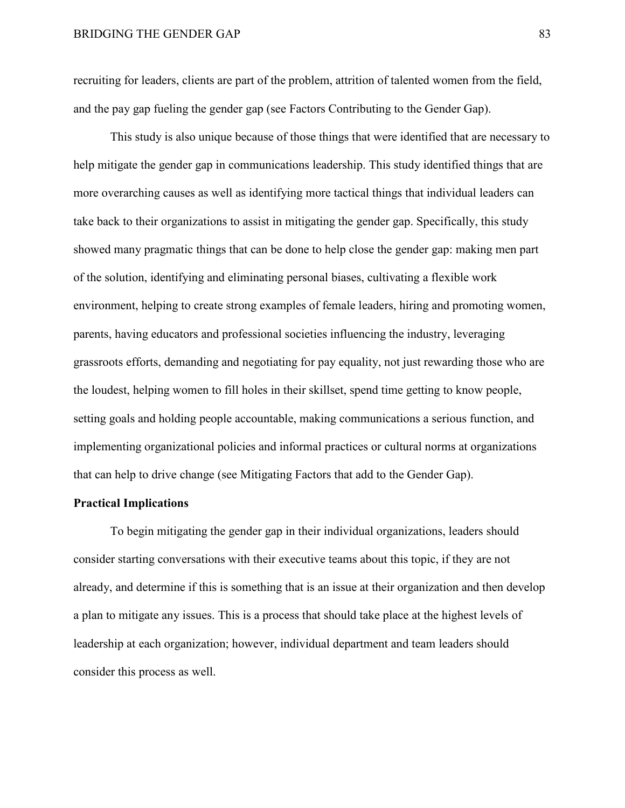recruiting for leaders, clients are part of the problem, attrition of talented women from the field, and the pay gap fueling the gender gap (see Factors Contributing to the Gender Gap).

This study is also unique because of those things that were identified that are necessary to help mitigate the gender gap in communications leadership. This study identified things that are more overarching causes as well as identifying more tactical things that individual leaders can take back to their organizations to assist in mitigating the gender gap. Specifically, this study showed many pragmatic things that can be done to help close the gender gap: making men part of the solution, identifying and eliminating personal biases, cultivating a flexible work environment, helping to create strong examples of female leaders, hiring and promoting women, parents, having educators and professional societies influencing the industry, leveraging grassroots efforts, demanding and negotiating for pay equality, not just rewarding those who are the loudest, helping women to fill holes in their skillset, spend time getting to know people, setting goals and holding people accountable, making communications a serious function, and implementing organizational policies and informal practices or cultural norms at organizations that can help to drive change (see Mitigating Factors that add to the Gender Gap).

#### **Practical Implications**

To begin mitigating the gender gap in their individual organizations, leaders should consider starting conversations with their executive teams about this topic, if they are not already, and determine if this is something that is an issue at their organization and then develop a plan to mitigate any issues. This is a process that should take place at the highest levels of leadership at each organization; however, individual department and team leaders should consider this process as well.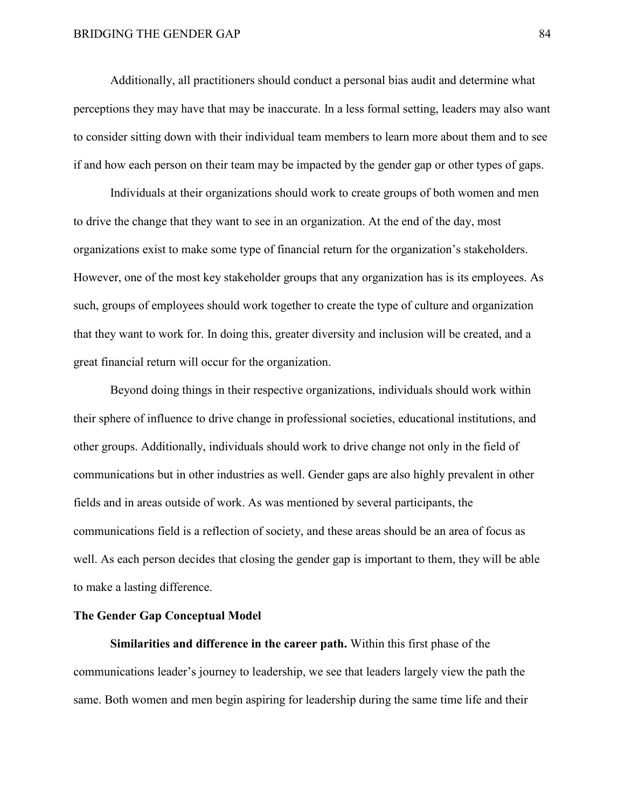Additionally, all practitioners should conduct a personal bias audit and determine what perceptions they may have that may be inaccurate. In a less formal setting, leaders may also want to consider sitting down with their individual team members to learn more about them and to see if and how each person on their team may be impacted by the gender gap or other types of gaps.

Individuals at their organizations should work to create groups of both women and men to drive the change that they want to see in an organization. At the end of the day, most organizations exist to make some type of financial return for the organization's stakeholders. However, one of the most key stakeholder groups that any organization has is its employees. As such, groups of employees should work together to create the type of culture and organization that they want to work for. In doing this, greater diversity and inclusion will be created, and a great financial return will occur for the organization.

Beyond doing things in their respective organizations, individuals should work within their sphere of influence to drive change in professional societies, educational institutions, and other groups. Additionally, individuals should work to drive change not only in the field of communications but in other industries as well. Gender gaps are also highly prevalent in other fields and in areas outside of work. As was mentioned by several participants, the communications field is a reflection of society, and these areas should be an area of focus as well. As each person decides that closing the gender gap is important to them, they will be able to make a lasting difference.

## **The Gender Gap Conceptual Model**

**Similarities and difference in the career path.** Within this first phase of the communications leader's journey to leadership, we see that leaders largely view the path the same. Both women and men begin aspiring for leadership during the same time life and their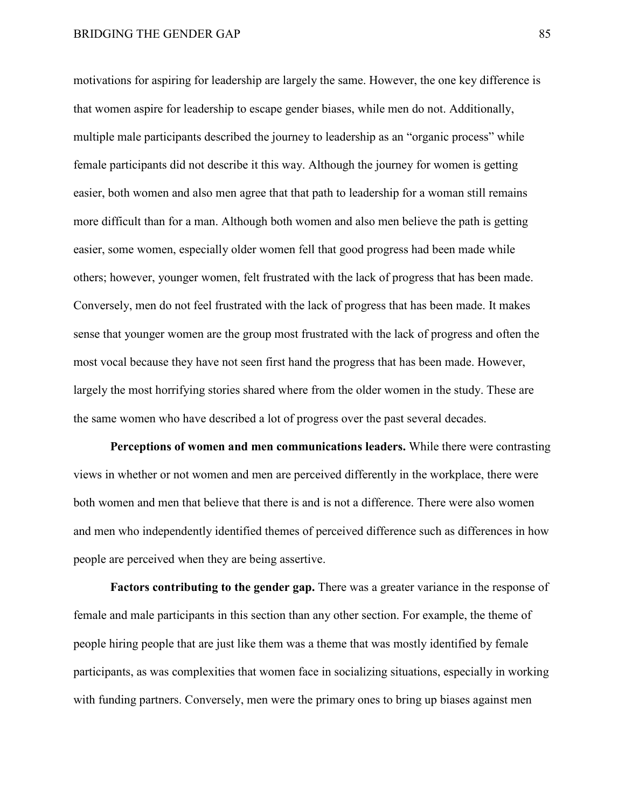motivations for aspiring for leadership are largely the same. However, the one key difference is that women aspire for leadership to escape gender biases, while men do not. Additionally, multiple male participants described the journey to leadership as an "organic process" while female participants did not describe it this way. Although the journey for women is getting easier, both women and also men agree that that path to leadership for a woman still remains more difficult than for a man. Although both women and also men believe the path is getting easier, some women, especially older women fell that good progress had been made while others; however, younger women, felt frustrated with the lack of progress that has been made. Conversely, men do not feel frustrated with the lack of progress that has been made. It makes sense that younger women are the group most frustrated with the lack of progress and often the most vocal because they have not seen first hand the progress that has been made. However, largely the most horrifying stories shared where from the older women in the study. These are the same women who have described a lot of progress over the past several decades.

**Perceptions of women and men communications leaders.** While there were contrasting views in whether or not women and men are perceived differently in the workplace, there were both women and men that believe that there is and is not a difference. There were also women and men who independently identified themes of perceived difference such as differences in how people are perceived when they are being assertive.

**Factors contributing to the gender gap.** There was a greater variance in the response of female and male participants in this section than any other section. For example, the theme of people hiring people that are just like them was a theme that was mostly identified by female participants, as was complexities that women face in socializing situations, especially in working with funding partners. Conversely, men were the primary ones to bring up biases against men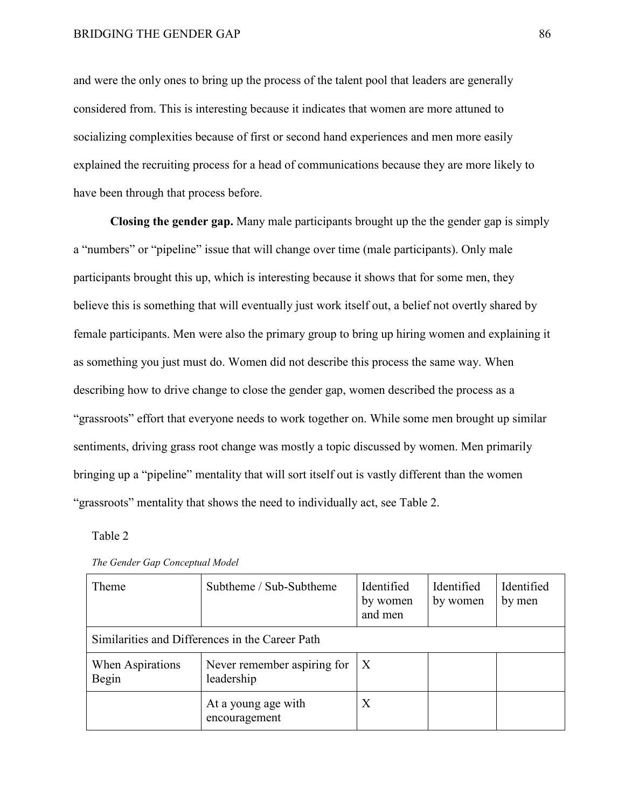and were the only ones to bring up the process of the talent pool that leaders are generally considered from. This is interesting because it indicates that women are more attuned to socializing complexities because of first or second hand experiences and men more easily explained the recruiting process for a head of communications because they are more likely to have been through that process before.

**Closing the gender gap.** Many male participants brought up the the gender gap is simply a "numbers" or "pipeline" issue that will change over time (male participants). Only male participants brought this up, which is interesting because it shows that for some men, they believe this is something that will eventually just work itself out, a belief not overtly shared by female participants. Men were also the primary group to bring up hiring women and explaining it as something you just must do. Women did not describe this process the same way. When describing how to drive change to close the gender gap, women described the process as a "grassroots" effort that everyone needs to work together on. While some men brought up similar sentiments, driving grass root change was mostly a topic discussed by women. Men primarily bringing up a "pipeline" mentality that will sort itself out is vastly different than the women "grassroots" mentality that shows the need to individually act, see Table 2.

#### Table 2

| <b>Theme</b>                                    | Subtheme / Sub-Subtheme                   | Identified<br>by women<br>and men | Identified<br>by women | Identified<br>by men |
|-------------------------------------------------|-------------------------------------------|-----------------------------------|------------------------|----------------------|
| Similarities and Differences in the Career Path |                                           |                                   |                        |                      |
| When Aspirations<br>Begin                       | Never remember aspiring for<br>leadership | $\boldsymbol{X}$                  |                        |                      |
|                                                 | At a young age with<br>encouragement      | X                                 |                        |                      |

*The Gender Gap Conceptual Model*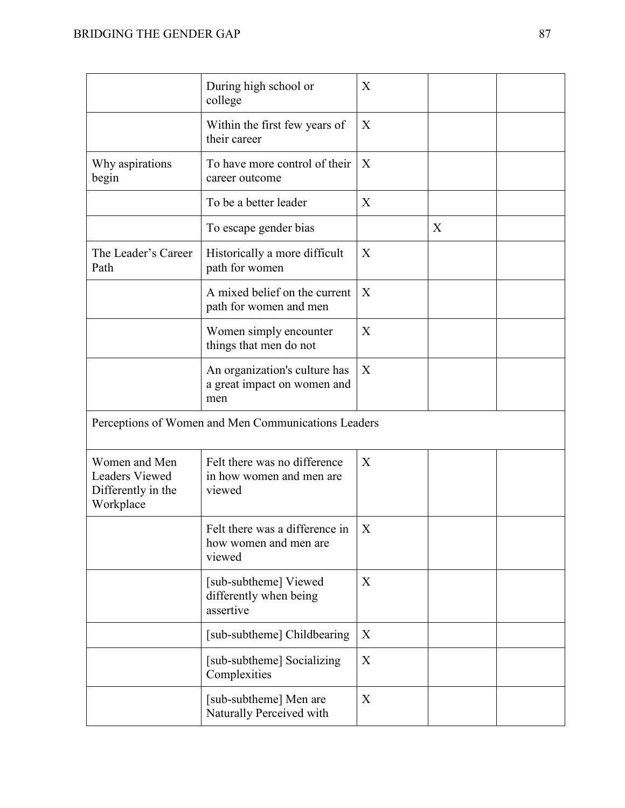|                                                                           | During high school or<br>college                                    | X |   |  |
|---------------------------------------------------------------------------|---------------------------------------------------------------------|---|---|--|
|                                                                           | Within the first few years of<br>their career                       | X |   |  |
| Why aspirations<br>begin                                                  | To have more control of their<br>career outcome                     | X |   |  |
|                                                                           | To be a better leader                                               | X |   |  |
|                                                                           | To escape gender bias                                               |   | X |  |
| The Leader's Career<br>Path                                               | Historically a more difficult<br>path for women                     | X |   |  |
|                                                                           | A mixed belief on the current<br>path for women and men             | X |   |  |
|                                                                           | Women simply encounter<br>things that men do not                    | X |   |  |
|                                                                           | An organization's culture has<br>a great impact on women and<br>men | X |   |  |
| Perceptions of Women and Men Communications Leaders                       |                                                                     |   |   |  |
| Women and Men<br><b>Leaders Viewed</b><br>Differently in the<br>Workplace | Felt there was no difference<br>in how women and men are<br>viewed  | X |   |  |
|                                                                           | Felt there was a difference in<br>how women and men are<br>viewed   | X |   |  |
|                                                                           | [sub-subtheme] Viewed<br>differently when being<br>assertive        | X |   |  |
|                                                                           | [sub-subtheme] Childbearing                                         | X |   |  |
|                                                                           | [sub-subtheme] Socializing<br>Complexities                          | X |   |  |
|                                                                           | [sub-subtheme] Men are<br>Naturally Perceived with                  | X |   |  |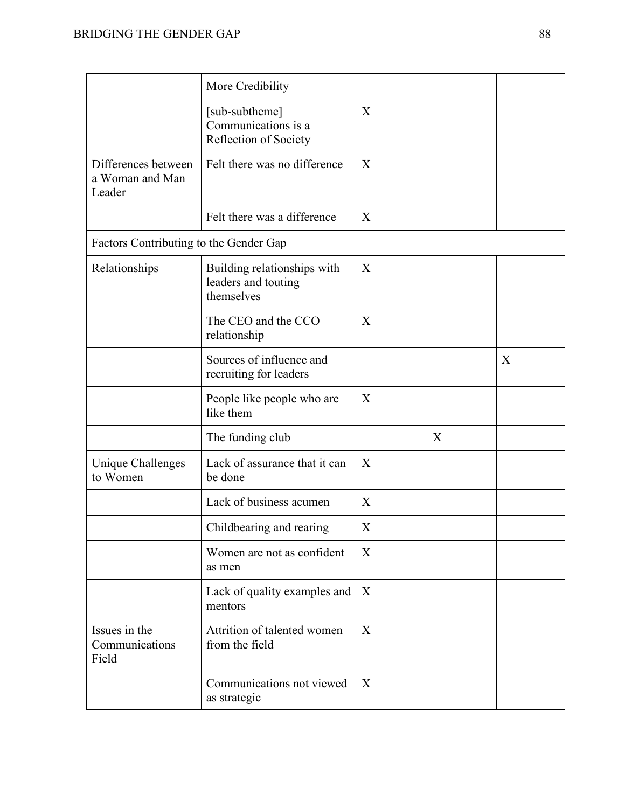|                                                  | More Credibility                                                 |   |   |   |
|--------------------------------------------------|------------------------------------------------------------------|---|---|---|
|                                                  | [sub-subtheme]<br>Communications is a<br>Reflection of Society   | X |   |   |
| Differences between<br>a Woman and Man<br>Leader | Felt there was no difference                                     | X |   |   |
|                                                  | Felt there was a difference                                      | X |   |   |
| Factors Contributing to the Gender Gap           |                                                                  |   |   |   |
| Relationships                                    | Building relationships with<br>leaders and touting<br>themselves | X |   |   |
|                                                  | The CEO and the CCO<br>relationship                              | X |   |   |
|                                                  | Sources of influence and<br>recruiting for leaders               |   |   | X |
|                                                  | People like people who are<br>like them                          | X |   |   |
|                                                  | The funding club                                                 |   | X |   |
| <b>Unique Challenges</b><br>to Women             | Lack of assurance that it can<br>be done                         | X |   |   |
|                                                  | Lack of business acumen                                          | X |   |   |
|                                                  | Childbearing and rearing                                         | Χ |   |   |
|                                                  | Women are not as confident<br>as men                             | X |   |   |
|                                                  | Lack of quality examples and<br>mentors                          | X |   |   |
| Issues in the<br>Communications<br>Field         | Attrition of talented women<br>from the field                    | X |   |   |
|                                                  | Communications not viewed<br>as strategic                        | X |   |   |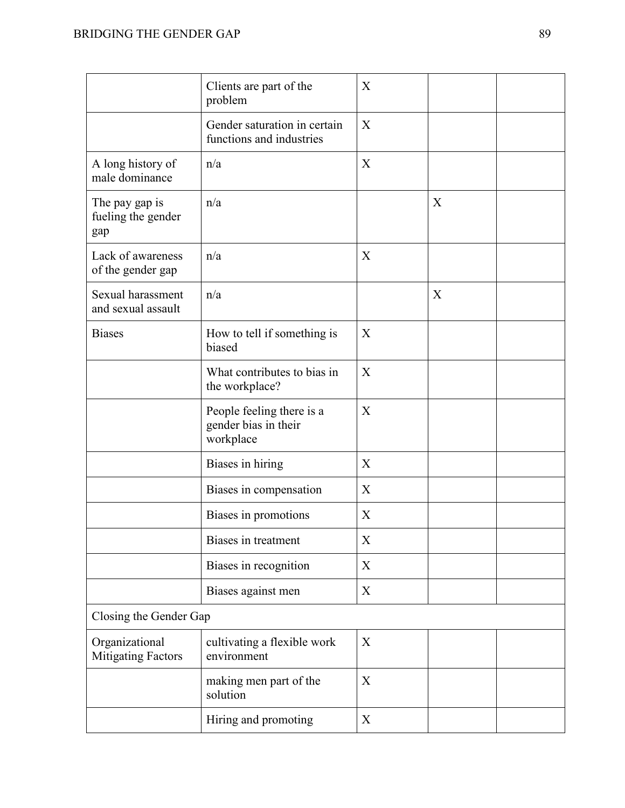|                                             | Clients are part of the<br>problem                             | X                         |   |
|---------------------------------------------|----------------------------------------------------------------|---------------------------|---|
|                                             | Gender saturation in certain<br>functions and industries       | X                         |   |
| A long history of<br>male dominance         | n/a                                                            | X                         |   |
| The pay gap is<br>fueling the gender<br>gap | n/a                                                            |                           | X |
| Lack of awareness<br>of the gender gap      | n/a                                                            | X                         |   |
| Sexual harassment<br>and sexual assault     | n/a                                                            |                           | X |
| <b>Biases</b>                               | How to tell if something is<br>biased                          | X                         |   |
|                                             | What contributes to bias in<br>the workplace?                  | X                         |   |
|                                             | People feeling there is a<br>gender bias in their<br>workplace | X                         |   |
|                                             | Biases in hiring                                               | X                         |   |
|                                             | Biases in compensation                                         | X                         |   |
|                                             | Biases in promotions                                           | $\boldsymbol{X}$          |   |
|                                             | Biases in treatment                                            | $\boldsymbol{\mathrm{X}}$ |   |
|                                             | Biases in recognition                                          | $\boldsymbol{X}$          |   |
|                                             | Biases against men                                             | X                         |   |
| Closing the Gender Gap                      |                                                                |                           |   |
| Organizational<br><b>Mitigating Factors</b> | cultivating a flexible work<br>environment                     | X                         |   |
|                                             | making men part of the<br>solution                             | X                         |   |
|                                             | Hiring and promoting                                           | X                         |   |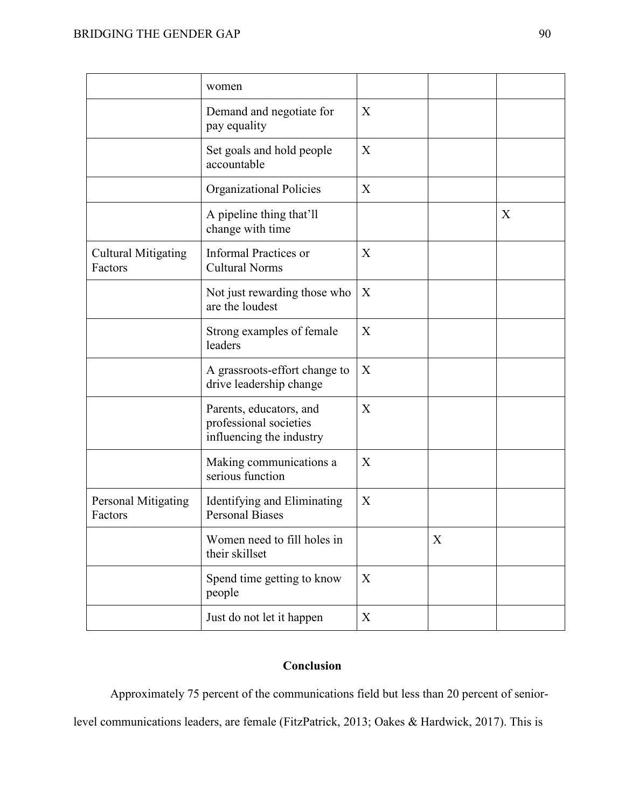|                                       | women                                                                         |   |   |   |
|---------------------------------------|-------------------------------------------------------------------------------|---|---|---|
|                                       | Demand and negotiate for<br>pay equality                                      | X |   |   |
|                                       | Set goals and hold people<br>accountable                                      | X |   |   |
|                                       | <b>Organizational Policies</b>                                                | X |   |   |
|                                       | A pipeline thing that'll<br>change with time                                  |   |   | X |
| <b>Cultural Mitigating</b><br>Factors | <b>Informal Practices or</b><br><b>Cultural Norms</b>                         | X |   |   |
|                                       | Not just rewarding those who<br>are the loudest                               | X |   |   |
|                                       | Strong examples of female<br>leaders                                          | X |   |   |
|                                       | A grassroots-effort change to<br>drive leadership change                      | X |   |   |
|                                       | Parents, educators, and<br>professional societies<br>influencing the industry | X |   |   |
|                                       | Making communications a<br>serious function                                   | X |   |   |
| Personal Mitigating<br>Factors        | Identifying and Eliminating<br><b>Personal Biases</b>                         | X |   |   |
|                                       | Women need to fill holes in<br>their skillset                                 |   | X |   |
|                                       | Spend time getting to know<br>people                                          | X |   |   |
|                                       | Just do not let it happen                                                     | X |   |   |

# **Conclusion**

Approximately 75 percent of the communications field but less than 20 percent of seniorlevel communications leaders, are female (FitzPatrick, 2013; Oakes & Hardwick, 2017). This is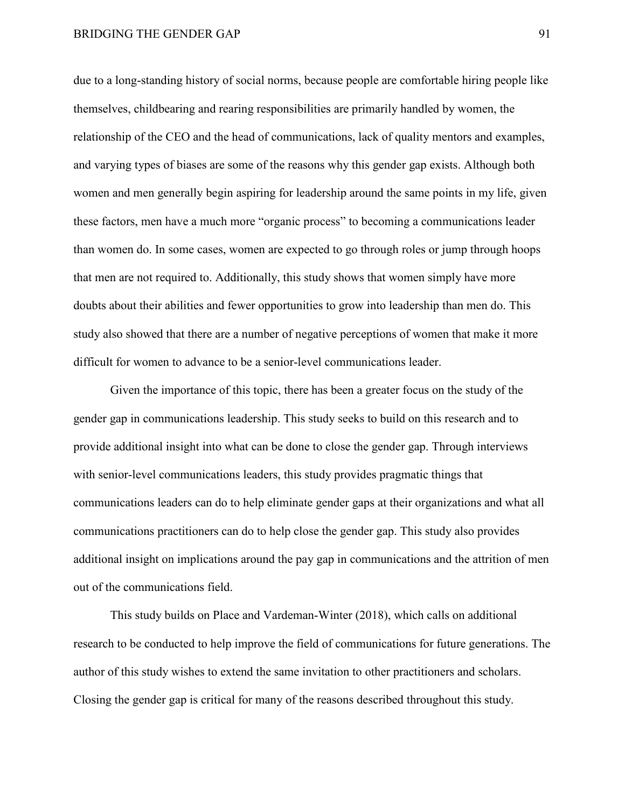due to a long-standing history of social norms, because people are comfortable hiring people like themselves, childbearing and rearing responsibilities are primarily handled by women, the relationship of the CEO and the head of communications, lack of quality mentors and examples, and varying types of biases are some of the reasons why this gender gap exists. Although both women and men generally begin aspiring for leadership around the same points in my life, given these factors, men have a much more "organic process" to becoming a communications leader than women do. In some cases, women are expected to go through roles or jump through hoops that men are not required to. Additionally, this study shows that women simply have more doubts about their abilities and fewer opportunities to grow into leadership than men do. This study also showed that there are a number of negative perceptions of women that make it more difficult for women to advance to be a senior-level communications leader.

Given the importance of this topic, there has been a greater focus on the study of the gender gap in communications leadership. This study seeks to build on this research and to provide additional insight into what can be done to close the gender gap. Through interviews with senior-level communications leaders, this study provides pragmatic things that communications leaders can do to help eliminate gender gaps at their organizations and what all communications practitioners can do to help close the gender gap. This study also provides additional insight on implications around the pay gap in communications and the attrition of men out of the communications field.

This study builds on Place and Vardeman-Winter (2018), which calls on additional research to be conducted to help improve the field of communications for future generations. The author of this study wishes to extend the same invitation to other practitioners and scholars. Closing the gender gap is critical for many of the reasons described throughout this study.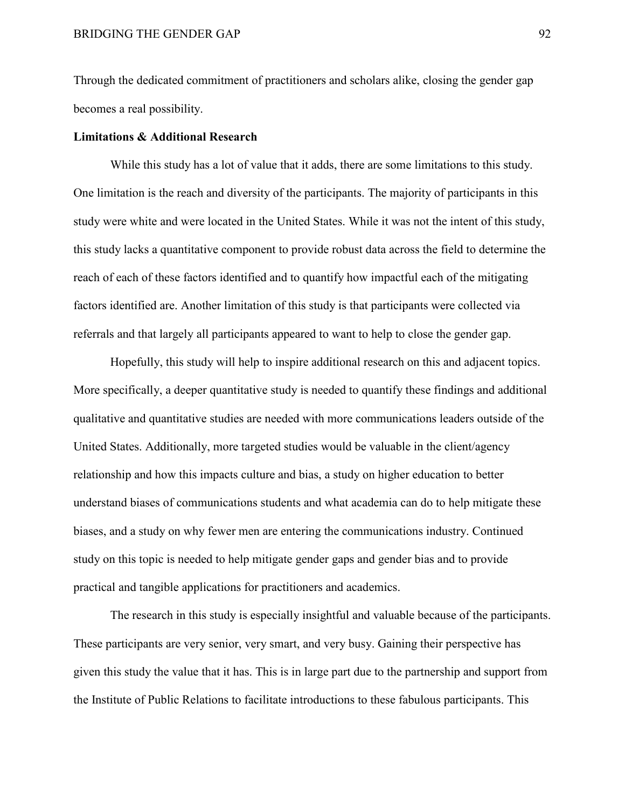Through the dedicated commitment of practitioners and scholars alike, closing the gender gap becomes a real possibility.

## **Limitations & Additional Research**

While this study has a lot of value that it adds, there are some limitations to this study. One limitation is the reach and diversity of the participants. The majority of participants in this study were white and were located in the United States. While it was not the intent of this study, this study lacks a quantitative component to provide robust data across the field to determine the reach of each of these factors identified and to quantify how impactful each of the mitigating factors identified are. Another limitation of this study is that participants were collected via referrals and that largely all participants appeared to want to help to close the gender gap.

Hopefully, this study will help to inspire additional research on this and adjacent topics. More specifically, a deeper quantitative study is needed to quantify these findings and additional qualitative and quantitative studies are needed with more communications leaders outside of the United States. Additionally, more targeted studies would be valuable in the client/agency relationship and how this impacts culture and bias, a study on higher education to better understand biases of communications students and what academia can do to help mitigate these biases, and a study on why fewer men are entering the communications industry. Continued study on this topic is needed to help mitigate gender gaps and gender bias and to provide practical and tangible applications for practitioners and academics.

The research in this study is especially insightful and valuable because of the participants. These participants are very senior, very smart, and very busy. Gaining their perspective has given this study the value that it has. This is in large part due to the partnership and support from the Institute of Public Relations to facilitate introductions to these fabulous participants. This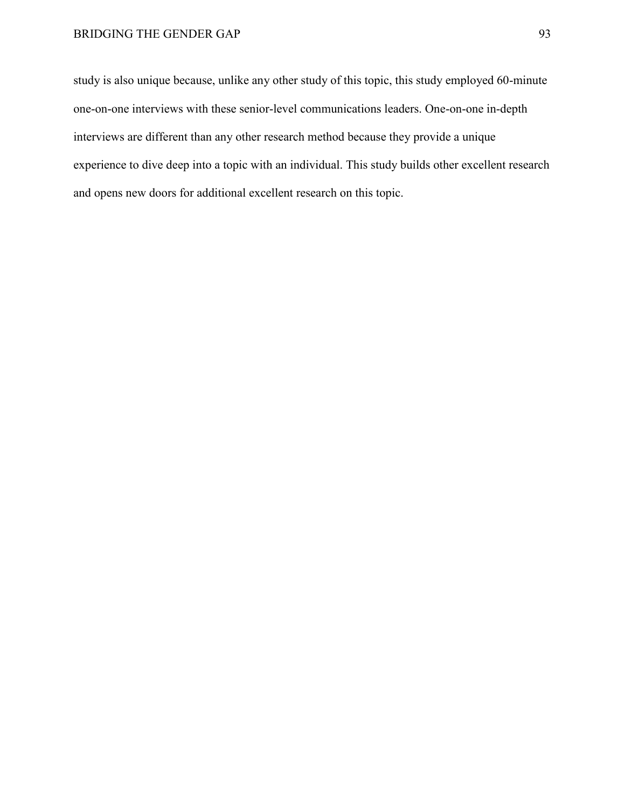study is also unique because, unlike any other study of this topic, this study employed 60-minute one-on-one interviews with these senior-level communications leaders. One-on-one in-depth interviews are different than any other research method because they provide a unique experience to dive deep into a topic with an individual. This study builds other excellent research and opens new doors for additional excellent research on this topic.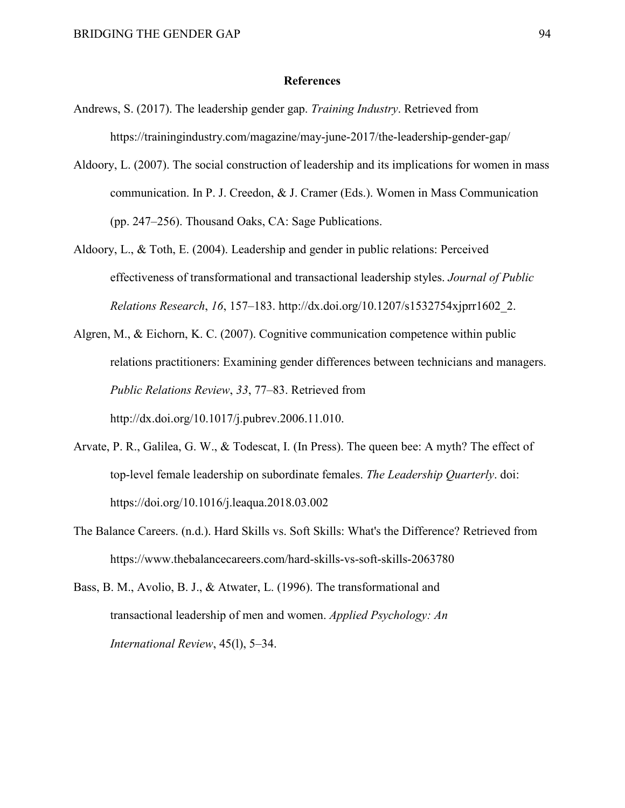#### **References**

- Andrews, S. (2017). The leadership gender gap. *Training Industry*. Retrieved from https://trainingindustry.com/magazine/may-june-2017/the-leadership-gender-gap/
- Aldoory, L. (2007). The social construction of leadership and its implications for women in mass communication. In P. J. Creedon, & J. Cramer (Eds.). Women in Mass Communication (pp. 247–256). Thousand Oaks, CA: Sage Publications.
- Aldoory, L., & Toth, E. (2004). Leadership and gender in public relations: Perceived effectiveness of transformational and transactional leadership styles. *Journal of Public Relations Research*, *16*, 157–183. http://dx.doi.org/10.1207/s1532754xjprr1602\_2.
- Algren, M., & Eichorn, K. C. (2007). Cognitive communication competence within public relations practitioners: Examining gender differences between technicians and managers. *Public Relations Review*, *33*, 77–83. Retrieved from http://dx.doi.org/10.1017/j.pubrev.2006.11.010.
- Arvate, P. R., Galilea, G. W., & Todescat, I. (In Press). The queen bee: A myth? The effect of top-level female leadership on subordinate females. *The Leadership Quarterly*. doi: https://doi.org/10.1016/j.leaqua.2018.03.002
- The Balance Careers. (n.d.). Hard Skills vs. Soft Skills: What's the Difference? Retrieved from https://www.thebalancecareers.com/hard-skills-vs-soft-skills-2063780
- Bass, B. M., Avolio, B. J., & Atwater, L. (1996). The transformational and transactional leadership of men and women. *Applied Psychology: An International Review*, 45(l), 5–34.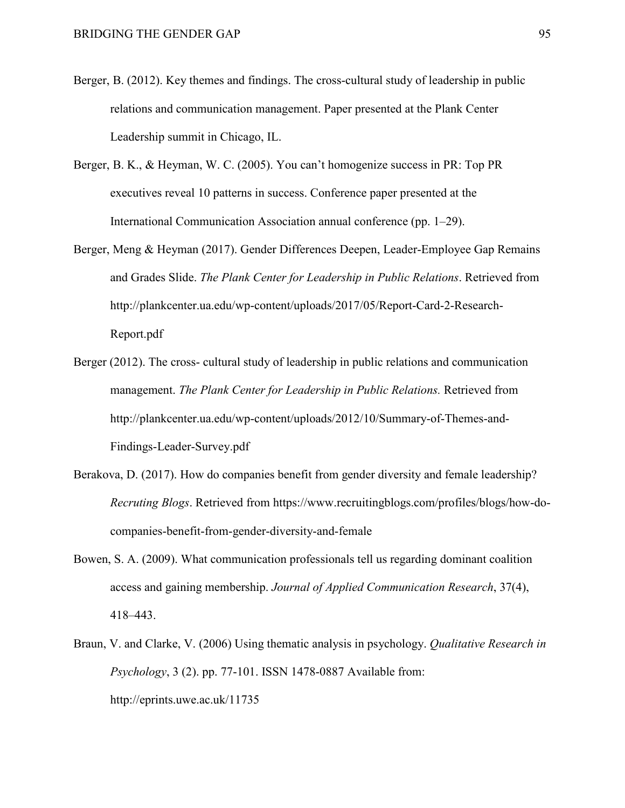- Berger, B. (2012). Key themes and findings. The cross-cultural study of leadership in public relations and communication management. Paper presented at the Plank Center Leadership summit in Chicago, IL.
- Berger, B. K., & Heyman, W. C. (2005). You can't homogenize success in PR: Top PR executives reveal 10 patterns in success. Conference paper presented at the International Communication Association annual conference (pp. 1–29).
- Berger, Meng & Heyman (2017). Gender Differences Deepen, Leader-Employee Gap Remains and Grades Slide. *The Plank Center for Leadership in Public Relations*. Retrieved from http://plankcenter.ua.edu/wp-content/uploads/2017/05/Report-Card-2-Research-Report.pdf
- Berger (2012). The cross- cultural study of leadership in public relations and communication management. *The Plank Center for Leadership in Public Relations.* Retrieved from http://plankcenter.ua.edu/wp-content/uploads/2012/10/Summary-of-Themes-and-Findings-Leader-Survey.pdf
- Berakova, D. (2017). How do companies benefit from gender diversity and female leadership? *Recruting Blogs*. Retrieved from https://www.recruitingblogs.com/profiles/blogs/how-docompanies-benefit-from-gender-diversity-and-female
- Bowen, S. A. (2009). What communication professionals tell us regarding dominant coalition access and gaining membership. *Journal of Applied Communication Research*, 37(4), 418–443.
- Braun, V. and Clarke, V. (2006) Using thematic analysis in psychology. *Qualitative Research in Psychology*, 3 (2). pp. 77-101. ISSN 1478-0887 Available from: http://eprints.uwe.ac.uk/11735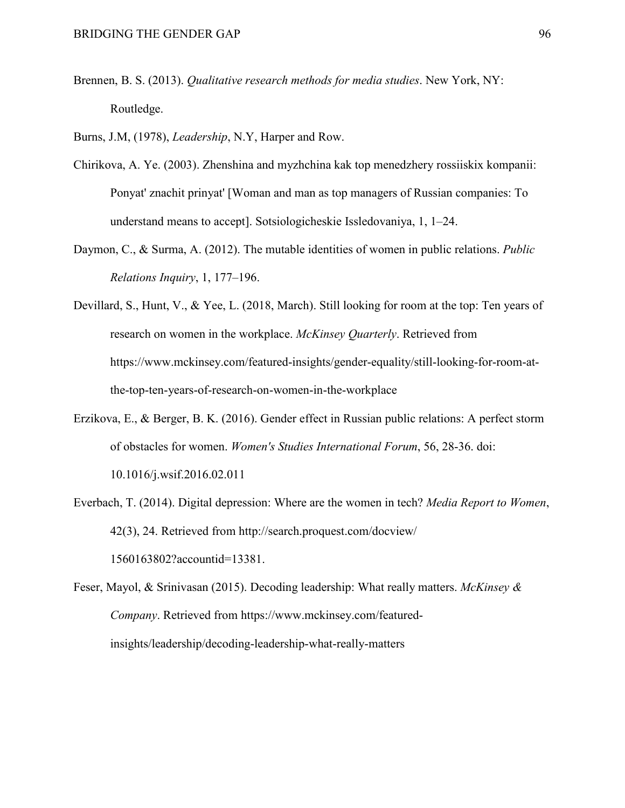Brennen, B. S. (2013). *Qualitative research methods for media studies*. New York, NY: Routledge.

Burns, J.M, (1978), *Leadership*, N.Y, Harper and Row.

- Chirikova, A. Ye. (2003). Zhenshina and myzhchina kak top menedzhery rossiiskix kompanii: Ponyat' znachit prinyat' [Woman and man as top managers of Russian companies: To understand means to accept]. Sotsiologicheskie Issledovaniya, 1, 1–24.
- Daymon, C., & Surma, A. (2012). The mutable identities of women in public relations. *Public Relations Inquiry*, 1, 177–196.
- Devillard, S., Hunt, V., & Yee, L. (2018, March). Still looking for room at the top: Ten years of research on women in the workplace. *McKinsey Quarterly*. Retrieved from https://www.mckinsey.com/featured-insights/gender-equality/still-looking-for-room-atthe-top-ten-years-of-research-on-women-in-the-workplace
- Erzikova, E., & Berger, B. K. (2016). Gender effect in Russian public relations: A perfect storm of obstacles for women. *Women's Studies International Forum*, 56, 28-36. doi: 10.1016/j.wsif.2016.02.011
- Everbach, T. (2014). Digital depression: Where are the women in tech? *Media Report to Women*, 42(3), 24. Retrieved from http://search.proquest.com/docview/ 1560163802?accountid=13381.
- Feser, Mayol, & Srinivasan (2015). Decoding leadership: What really matters. *McKinsey & Company*. Retrieved from https://www.mckinsey.com/featuredinsights/leadership/decoding-leadership-what-really-matters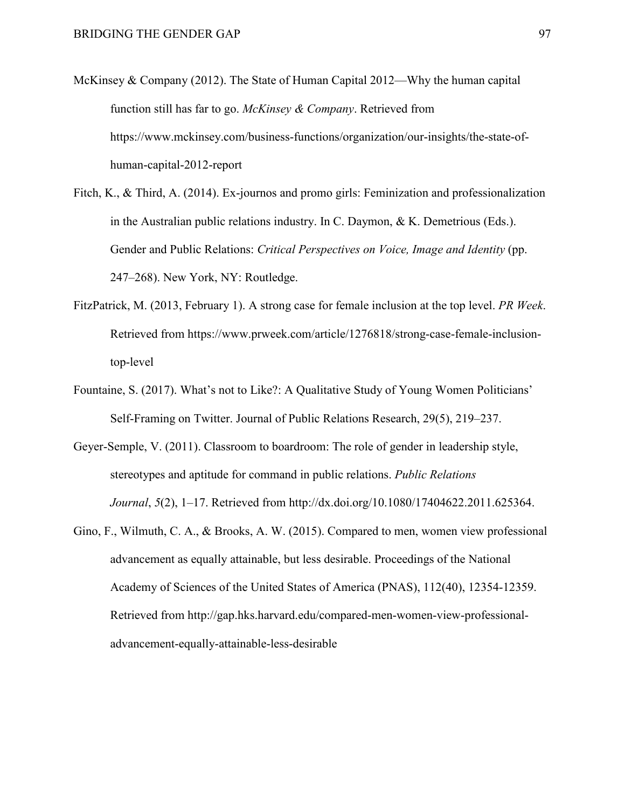- McKinsey & Company (2012). The State of Human Capital 2012—Why the human capital function still has far to go. *McKinsey & Company*. Retrieved from https://www.mckinsey.com/business-functions/organization/our-insights/the-state-ofhuman-capital-2012-report
- Fitch, K., & Third, A. (2014). Ex-journos and promo girls: Feminization and professionalization in the Australian public relations industry. In C. Daymon, & K. Demetrious (Eds.). Gender and Public Relations: *Critical Perspectives on Voice, Image and Identity* (pp. 247–268). New York, NY: Routledge.
- FitzPatrick, M. (2013, February 1). A strong case for female inclusion at the top level. *PR Week*. Retrieved from https://www.prweek.com/article/1276818/strong-case-female-inclusiontop-level
- Fountaine, S. (2017). What's not to Like?: A Qualitative Study of Young Women Politicians' Self-Framing on Twitter. Journal of Public Relations Research, 29(5), 219–237.
- Geyer-Semple, V. (2011). Classroom to boardroom: The role of gender in leadership style, stereotypes and aptitude for command in public relations. *Public Relations Journal*, *5*(2), 1–17. Retrieved from http://dx.doi.org/10.1080/17404622.2011.625364.
- Gino, F., Wilmuth, C. A., & Brooks, A. W. (2015). Compared to men, women view professional advancement as equally attainable, but less desirable. Proceedings of the National Academy of Sciences of the United States of America (PNAS), 112(40), 12354-12359. Retrieved from http://gap.hks.harvard.edu/compared-men-women-view-professionaladvancement-equally-attainable-less-desirable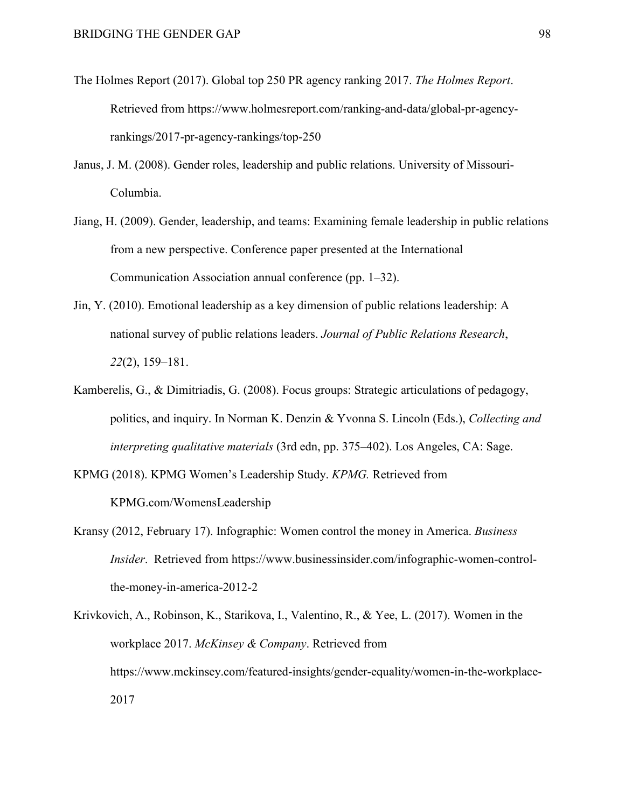- The Holmes Report (2017). Global top 250 PR agency ranking 2017. *The Holmes Report*. Retrieved from https://www.holmesreport.com/ranking-and-data/global-pr-agencyrankings/2017-pr-agency-rankings/top-250
- Janus, J. M. (2008). Gender roles, leadership and public relations. University of Missouri-Columbia.
- Jiang, H. (2009). Gender, leadership, and teams: Examining female leadership in public relations from a new perspective. Conference paper presented at the International Communication Association annual conference (pp. 1–32).
- Jin, Y. (2010). Emotional leadership as a key dimension of public relations leadership: A national survey of public relations leaders. *Journal of Public Relations Research*, *22*(2), 159–181.
- Kamberelis, G., & Dimitriadis, G. (2008). Focus groups: Strategic articulations of pedagogy, politics, and inquiry. In Norman K. Denzin & Yvonna S. Lincoln (Eds.), *Collecting and interpreting qualitative materials* (3rd edn, pp. 375–402). Los Angeles, CA: Sage.
- KPMG (2018). KPMG Women's Leadership Study. *KPMG.* Retrieved from KPMG.com/WomensLeadership
- Kransy (2012, February 17). Infographic: Women control the money in America. *Business Insider*. Retrieved from https://www.businessinsider.com/infographic-women-controlthe-money-in-america-2012-2
- Krivkovich, A., Robinson, K., Starikova, I., Valentino, R., & Yee, L. (2017). Women in the workplace 2017. *McKinsey & Company*. Retrieved from https://www.mckinsey.com/featured-insights/gender-equality/women-in-the-workplace-2017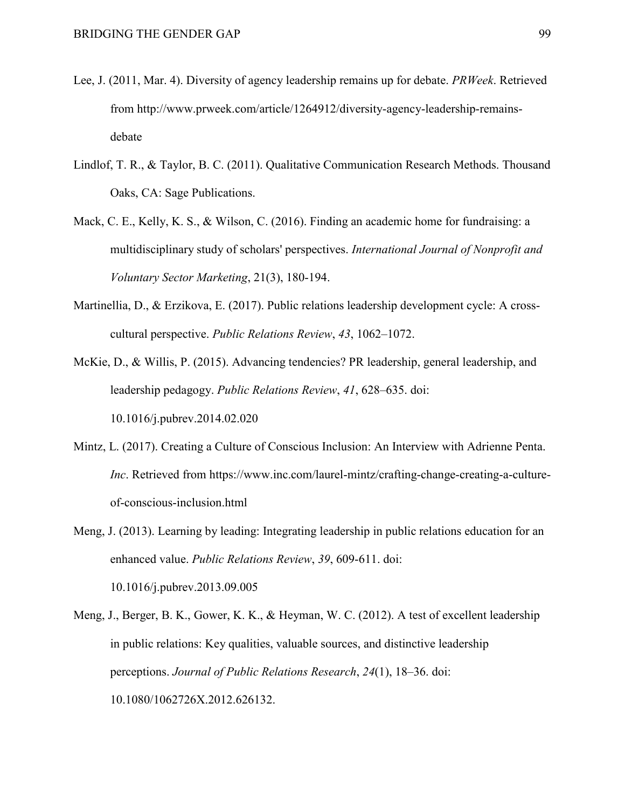- Lee, J. (2011, Mar. 4). Diversity of agency leadership remains up for debate. *PRWeek*. Retrieved from http://www.prweek.com/article/1264912/diversity-agency-leadership-remainsdebate
- Lindlof, T. R., & Taylor, B. C. (2011). Qualitative Communication Research Methods. Thousand Oaks, CA: Sage Publications.
- Mack, C. E., Kelly, K. S., & Wilson, C. (2016). Finding an academic home for fundraising: a multidisciplinary study of scholars' perspectives. *International Journal of Nonprofit and Voluntary Sector Marketing*, 21(3), 180-194.
- Martinellia, D., & Erzikova, E. (2017). Public relations leadership development cycle: A crosscultural perspective. *Public Relations Review*, *43*, 1062–1072.
- McKie, D., & Willis, P. (2015). Advancing tendencies? PR leadership, general leadership, and leadership pedagogy. *Public Relations Review*, *41*, 628–635. doi: 10.1016/j.pubrev.2014.02.020
- Mintz, L. (2017). Creating a Culture of Conscious Inclusion: An Interview with Adrienne Penta. *Inc*. Retrieved from https://www.inc.com/laurel-mintz/crafting-change-creating-a-cultureof-conscious-inclusion.html
- Meng, J. (2013). Learning by leading: Integrating leadership in public relations education for an enhanced value. *Public Relations Review*, *39*, 609-611. doi: 10.1016/j.pubrev.2013.09.005
- Meng, J., Berger, B. K., Gower, K. K., & Heyman, W. C. (2012). A test of excellent leadership in public relations: Key qualities, valuable sources, and distinctive leadership perceptions. *Journal of Public Relations Research*, *24*(1), 18–36. doi: 10.1080/1062726X.2012.626132.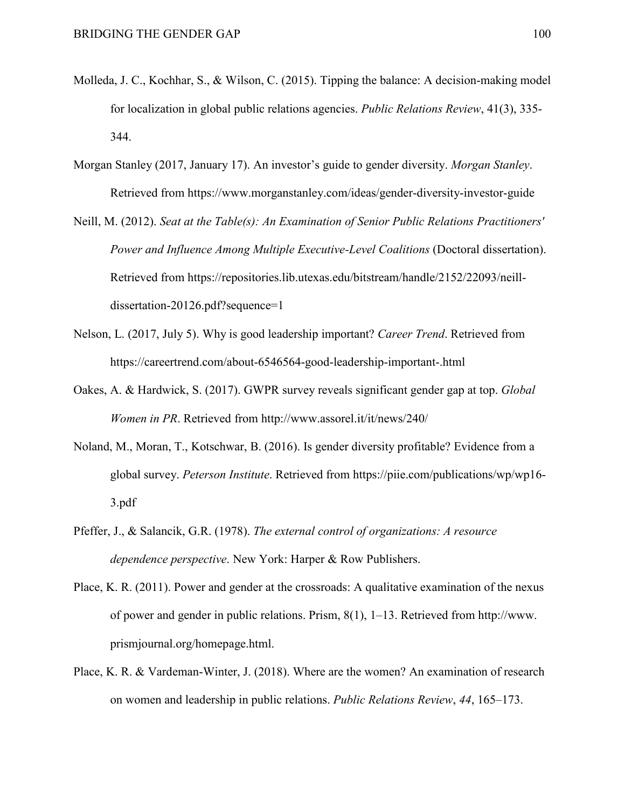- Molleda, J. C., Kochhar, S., & Wilson, C. (2015). Tipping the balance: A decision-making model for localization in global public relations agencies. *Public Relations Review*, 41(3), 335- 344.
- Morgan Stanley (2017, January 17). An investor's guide to gender diversity. *Morgan Stanley*. Retrieved from https://www.morganstanley.com/ideas/gender-diversity-investor-guide
- Neill, M. (2012). *Seat at the Table(s): An Examination of Senior Public Relations Practitioners' Power and Influence Among Multiple Executive-Level Coalitions* (Doctoral dissertation). Retrieved from https://repositories.lib.utexas.edu/bitstream/handle/2152/22093/neilldissertation-20126.pdf?sequence=1
- Nelson, L. (2017, July 5). Why is good leadership important? *Career Trend*. Retrieved from https://careertrend.com/about-6546564-good-leadership-important-.html
- Oakes, A. & Hardwick, S. (2017). GWPR survey reveals significant gender gap at top. *Global Women in PR*. Retrieved from http://www.assorel.it/it/news/240/
- Noland, M., Moran, T., Kotschwar, B. (2016). Is gender diversity profitable? Evidence from a global survey. *Peterson Institute*. Retrieved from https://piie.com/publications/wp/wp16- 3.pdf
- Pfeffer, J., & Salancik, G.R. (1978). *The external control of organizations: A resource dependence perspective*. New York: Harper & Row Publishers.
- Place, K. R. (2011). Power and gender at the crossroads: A qualitative examination of the nexus of power and gender in public relations. Prism, 8(1), 1–13. Retrieved from http://www. prismjournal.org/homepage.html.
- Place, K. R. & Vardeman-Winter, J. (2018). Where are the women? An examination of research on women and leadership in public relations. *Public Relations Review*, *44*, 165–173.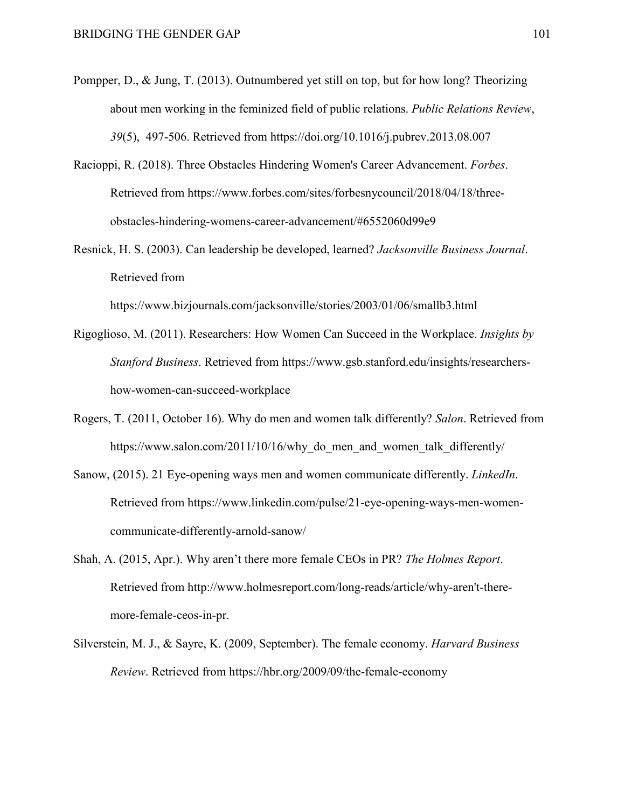- Pompper, D., & Jung, T. (2013). Outnumbered yet still on top, but for how long? Theorizing about men working in the feminized field of public relations. *Public Relations Review*, *39*(5), 497-506. Retrieved from https://doi.org/10.1016/j.pubrev.2013.08.007
- Racioppi, R. (2018). Three Obstacles Hindering Women's Career Advancement. *Forbes*. Retrieved from https://www.forbes.com/sites/forbesnycouncil/2018/04/18/threeobstacles-hindering-womens-career-advancement/#6552060d99e9
- Resnick, H. S. (2003). Can leadership be developed, learned? *Jacksonville Business Journal*. Retrieved from

https://www.bizjournals.com/jacksonville/stories/2003/01/06/smallb3.html

- Rigoglioso, M. (2011). Researchers: How Women Can Succeed in the Workplace. *Insights by Stanford Business*. Retrieved from https://www.gsb.stanford.edu/insights/researchershow-women-can-succeed-workplace
- Rogers, T. (2011, October 16). Why do men and women talk differently? *Salon*. Retrieved from https://www.salon.com/2011/10/16/why do men and women talk differently/
- Sanow, (2015). 21 Eye-opening ways men and women communicate differently. *LinkedIn*. Retrieved from https://www.linkedin.com/pulse/21-eye-opening-ways-men-womencommunicate-differently-arnold-sanow/
- Shah, A. (2015, Apr.). Why aren't there more female CEOs in PR? *The Holmes Report*. Retrieved from http://www.holmesreport.com/long-reads/article/why-aren't-theremore-female-ceos-in-pr.
- Silverstein, M. J., & Sayre, K. (2009, September). The female economy. *Harvard Business Review*. Retrieved from https://hbr.org/2009/09/the-female-economy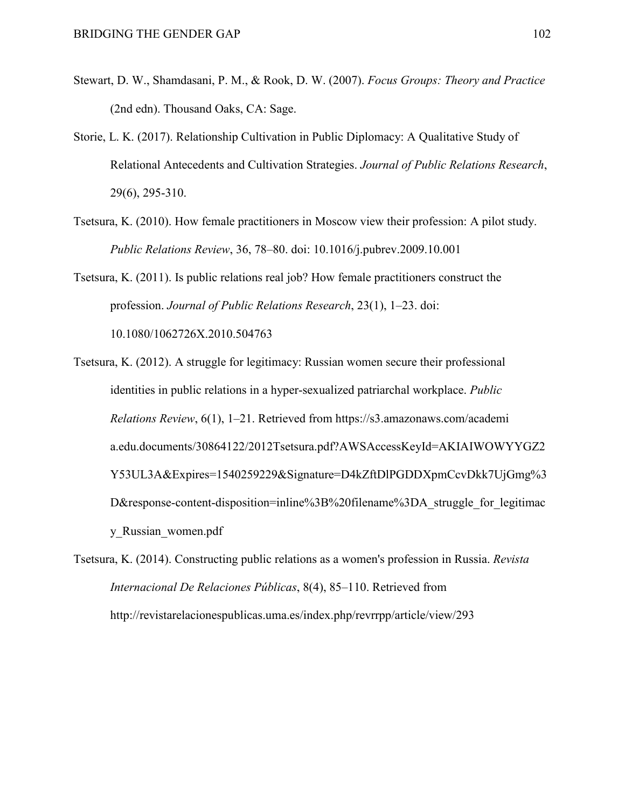- Stewart, D. W., Shamdasani, P. M., & Rook, D. W. (2007). *Focus Groups: Theory and Practice* (2nd edn). Thousand Oaks, CA: Sage.
- Storie, L. K. (2017). Relationship Cultivation in Public Diplomacy: A Qualitative Study of Relational Antecedents and Cultivation Strategies. *Journal of Public Relations Research*, 29(6), 295-310.
- Tsetsura, K. (2010). How female practitioners in Moscow view their profession: A pilot study. *Public Relations Review*, 36, 78–80. doi: 10.1016/j.pubrev.2009.10.001

Tsetsura, K. (2011). Is public relations real job? How female practitioners construct the profession. *Journal of Public Relations Research*, 23(1), 1–23. doi: 10.1080/1062726X.2010.504763

Tsetsura, K. (2012). A struggle for legitimacy: Russian women secure their professional identities in public relations in a hyper-sexualized patriarchal workplace. *Public Relations Review*, 6(1), 1–21. Retrieved from https://s3.amazonaws.com/academi a.edu.documents/30864122/2012Tsetsura.pdf?AWSAccessKeyId=AKIAIWOWYYGZ2 Y53UL3A&Expires=1540259229&Signature=D4kZftDlPGDDXpmCcvDkk7UjGmg%3 D&response-content-disposition=inline%3B%20filename%3DA struggle for legitimac y\_Russian\_women.pdf

Tsetsura, K. (2014). Constructing public relations as a women's profession in Russia. *Revista Internacional De Relaciones Públicas*, 8(4), 85–110. Retrieved from http://revistarelacionespublicas.uma.es/index.php/revrrpp/article/view/293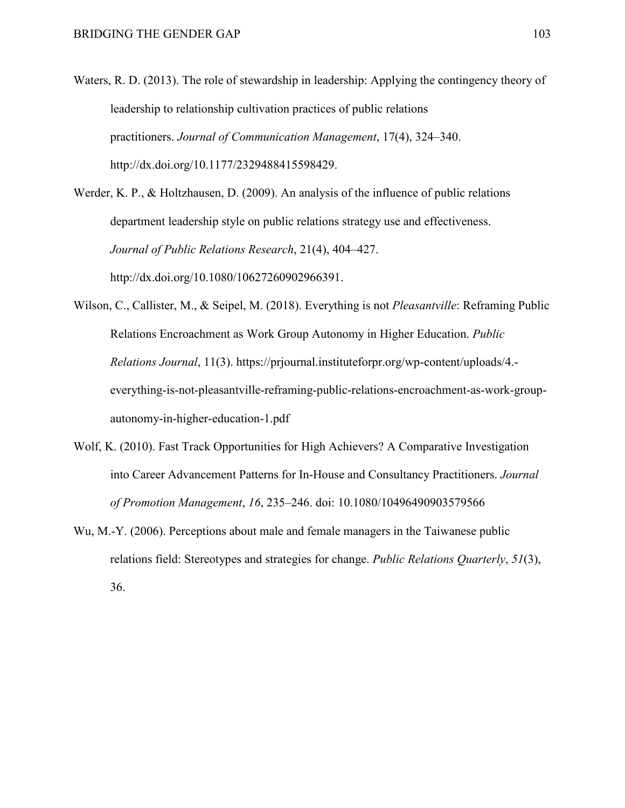Waters, R. D. (2013). The role of stewardship in leadership: Applying the contingency theory of leadership to relationship cultivation practices of public relations practitioners. *Journal of Communication Management*, 17(4), 324–340. http://dx.doi.org/10.1177/2329488415598429.

Werder, K. P., & Holtzhausen, D. (2009). An analysis of the influence of public relations department leadership style on public relations strategy use and effectiveness. *Journal of Public Relations Research*, 21(4), 404–427. http://dx.doi.org/10.1080/10627260902966391.

Wilson, C., Callister, M., & Seipel, M. (2018). Everything is not *Pleasantville*: Reframing Public Relations Encroachment as Work Group Autonomy in Higher Education. *Public Relations Journal*, 11(3). https://prjournal.instituteforpr.org/wp-content/uploads/4. everything-is-not-pleasantville-reframing-public-relations-encroachment-as-work-groupautonomy-in-higher-education-1.pdf

- Wolf, K. (2010). Fast Track Opportunities for High Achievers? A Comparative Investigation into Career Advancement Patterns for In-House and Consultancy Practitioners. *Journal of Promotion Management*, *16*, 235–246. doi: 10.1080/10496490903579566
- Wu, M.-Y. (2006). Perceptions about male and female managers in the Taiwanese public relations field: Stereotypes and strategies for change. *Public Relations Quarterly*, *51*(3), 36.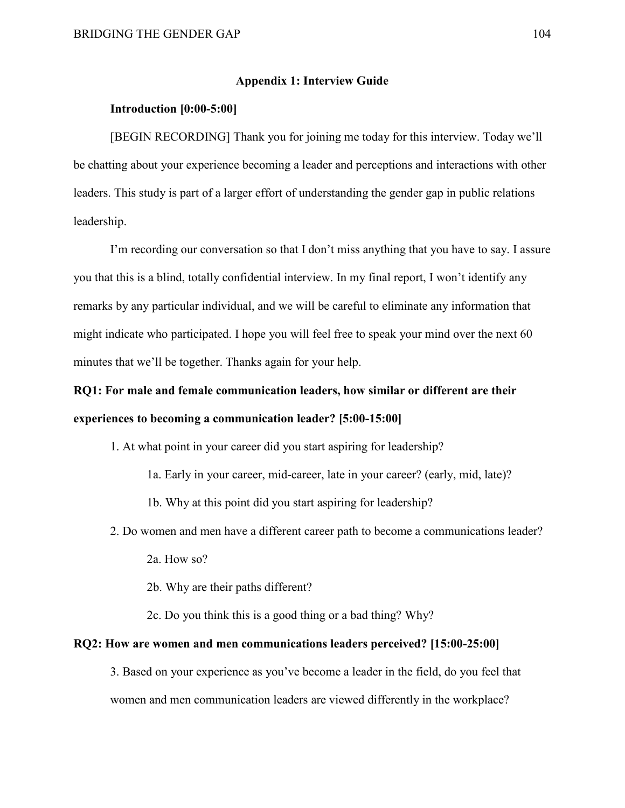#### **Appendix 1: Interview Guide**

#### **Introduction [0:00-5:00]**

[BEGIN RECORDING] Thank you for joining me today for this interview. Today we'll be chatting about your experience becoming a leader and perceptions and interactions with other leaders. This study is part of a larger effort of understanding the gender gap in public relations leadership.

I'm recording our conversation so that I don't miss anything that you have to say. I assure you that this is a blind, totally confidential interview. In my final report, I won't identify any remarks by any particular individual, and we will be careful to eliminate any information that might indicate who participated. I hope you will feel free to speak your mind over the next 60 minutes that we'll be together. Thanks again for your help.

## **RQ1: For male and female communication leaders, how similar or different are their experiences to becoming a communication leader? [5:00-15:00]**

- 1. At what point in your career did you start aspiring for leadership?
	- 1a. Early in your career, mid-career, late in your career? (early, mid, late)?
	- 1b. Why at this point did you start aspiring for leadership?
- 2. Do women and men have a different career path to become a communications leader?
	- 2a. How so?
	- 2b. Why are their paths different?

2c. Do you think this is a good thing or a bad thing? Why?

#### **RQ2: How are women and men communications leaders perceived? [15:00-25:00]**

3. Based on your experience as you've become a leader in the field, do you feel that women and men communication leaders are viewed differently in the workplace?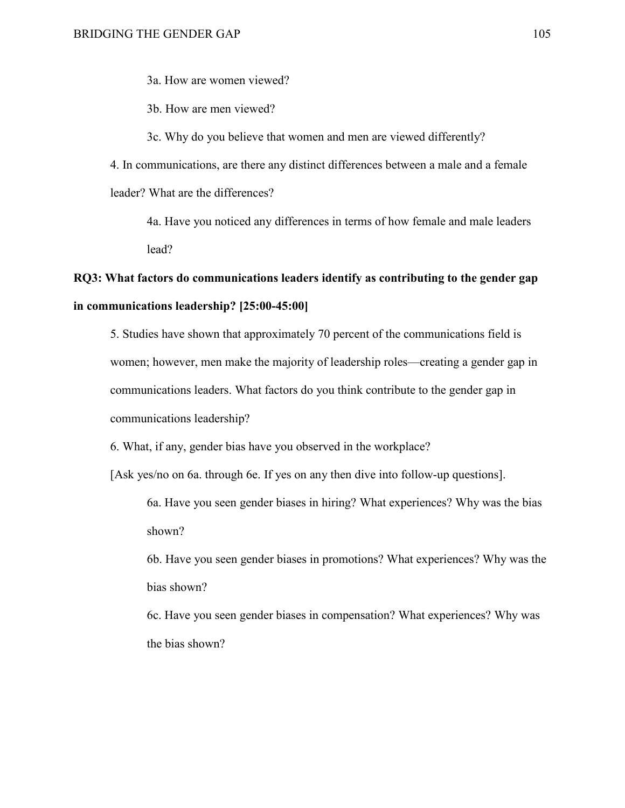3a. How are women viewed?

3b. How are men viewed?

3c. Why do you believe that women and men are viewed differently?

4. In communications, are there any distinct differences between a male and a female leader? What are the differences?

4a. Have you noticed any differences in terms of how female and male leaders lead?

## **RQ3: What factors do communications leaders identify as contributing to the gender gap in communications leadership? [25:00-45:00]**

5. Studies have shown that approximately 70 percent of the communications field is women; however, men make the majority of leadership roles—creating a gender gap in communications leaders. What factors do you think contribute to the gender gap in communications leadership?

6. What, if any, gender bias have you observed in the workplace?

[Ask yes/no on 6a. through 6e. If yes on any then dive into follow-up questions].

6a. Have you seen gender biases in hiring? What experiences? Why was the bias shown?

6b. Have you seen gender biases in promotions? What experiences? Why was the bias shown?

6c. Have you seen gender biases in compensation? What experiences? Why was the bias shown?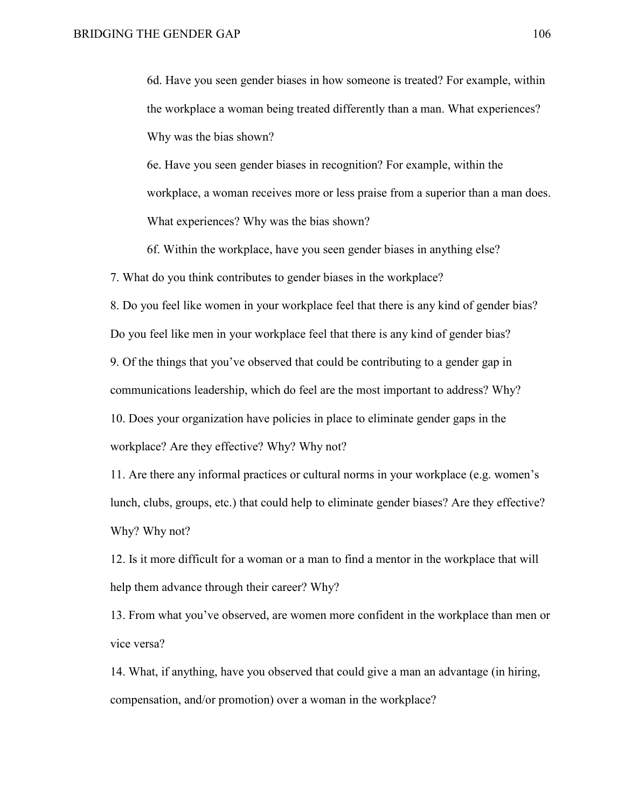6d. Have you seen gender biases in how someone is treated? For example, within the workplace a woman being treated differently than a man. What experiences? Why was the bias shown?

6e. Have you seen gender biases in recognition? For example, within the workplace, a woman receives more or less praise from a superior than a man does. What experiences? Why was the bias shown?

6f. Within the workplace, have you seen gender biases in anything else?

7. What do you think contributes to gender biases in the workplace?

8. Do you feel like women in your workplace feel that there is any kind of gender bias? Do you feel like men in your workplace feel that there is any kind of gender bias? 9. Of the things that you've observed that could be contributing to a gender gap in communications leadership, which do feel are the most important to address? Why? 10. Does your organization have policies in place to eliminate gender gaps in the workplace? Are they effective? Why? Why not?

11. Are there any informal practices or cultural norms in your workplace (e.g. women's lunch, clubs, groups, etc.) that could help to eliminate gender biases? Are they effective? Why? Why not?

12. Is it more difficult for a woman or a man to find a mentor in the workplace that will help them advance through their career? Why?

13. From what you've observed, are women more confident in the workplace than men or vice versa?

14. What, if anything, have you observed that could give a man an advantage (in hiring, compensation, and/or promotion) over a woman in the workplace?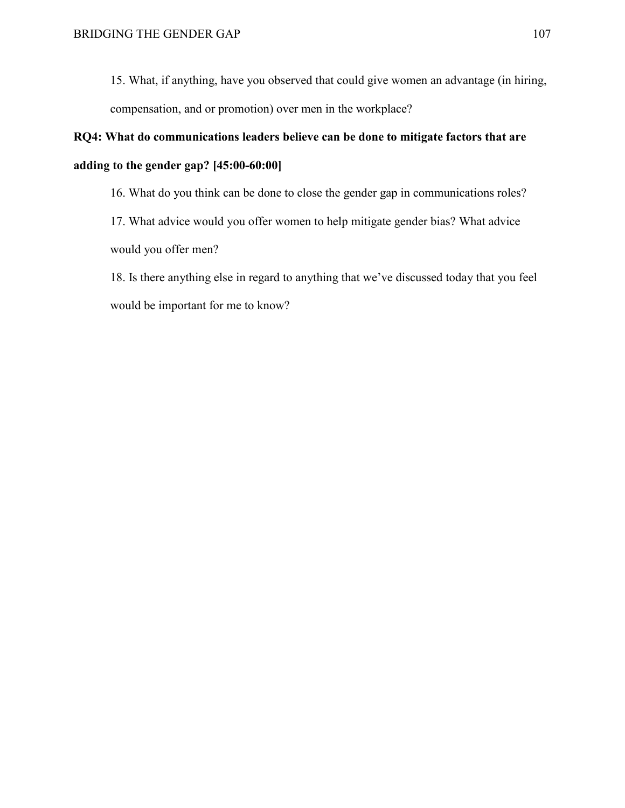15. What, if anything, have you observed that could give women an advantage (in hiring, compensation, and or promotion) over men in the workplace?

# **RQ4: What do communications leaders believe can be done to mitigate factors that are adding to the gender gap? [45:00-60:00]**

16. What do you think can be done to close the gender gap in communications roles?

17. What advice would you offer women to help mitigate gender bias? What advice would you offer men?

18. Is there anything else in regard to anything that we've discussed today that you feel would be important for me to know?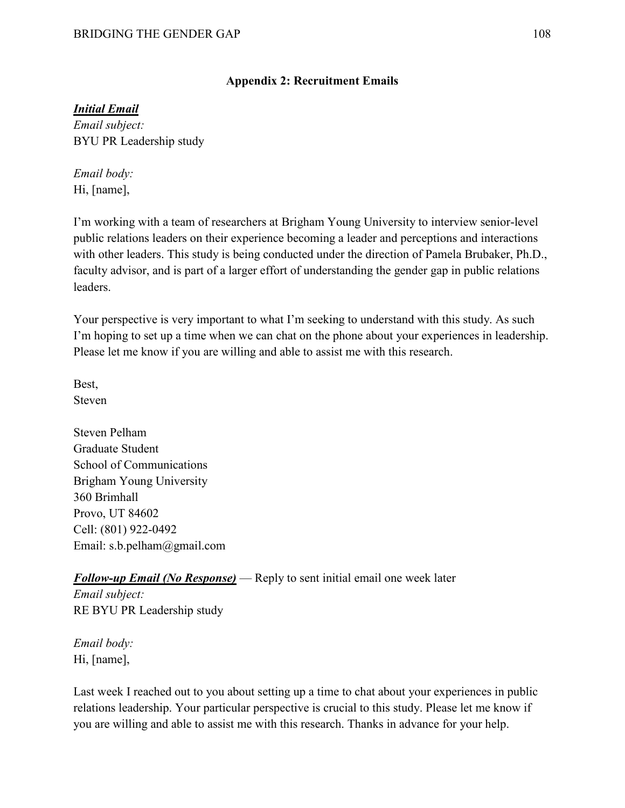### **Appendix 2: Recruitment Emails**

### *Initial Email*

*Email subject:* BYU PR Leadership study

*Email body:* Hi, [name],

I'm working with a team of researchers at Brigham Young University to interview senior-level public relations leaders on their experience becoming a leader and perceptions and interactions with other leaders. This study is being conducted under the direction of Pamela Brubaker, Ph.D., faculty advisor, and is part of a larger effort of understanding the gender gap in public relations leaders.

Your perspective is very important to what I'm seeking to understand with this study. As such I'm hoping to set up a time when we can chat on the phone about your experiences in leadership. Please let me know if you are willing and able to assist me with this research.

Best, Steven

Steven Pelham Graduate Student School of Communications Brigham Young University 360 Brimhall Provo, UT 84602 Cell: (801) 922-0492 Email: s.b.pelham@gmail.com

### *Follow-up Email (No Response)* — Reply to sent initial email one week later

*Email subject:* RE BYU PR Leadership study

*Email body:* Hi, [name],

Last week I reached out to you about setting up a time to chat about your experiences in public relations leadership. Your particular perspective is crucial to this study. Please let me know if you are willing and able to assist me with this research. Thanks in advance for your help.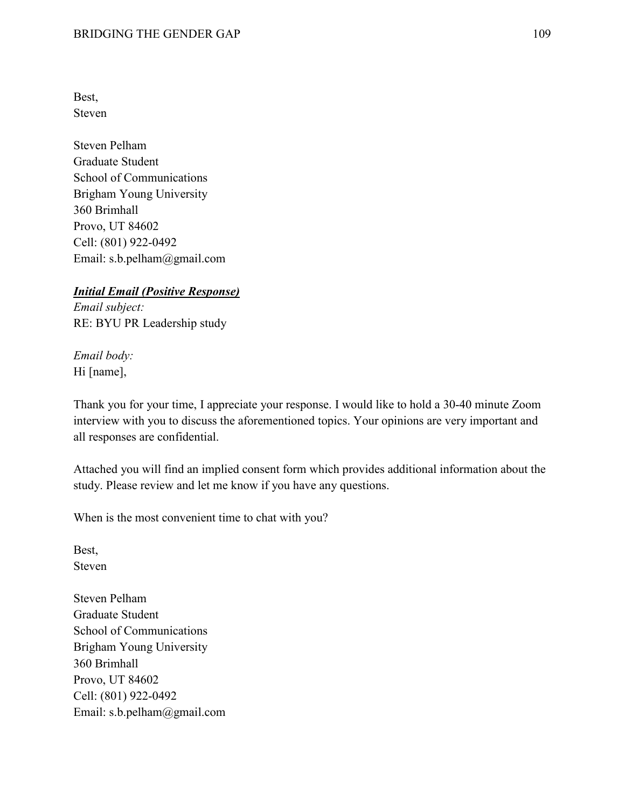Best, Steven

Steven Pelham Graduate Student School of Communications Brigham Young University 360 Brimhall Provo, UT 84602 Cell: (801) 922-0492 Email: s.b.pelham@gmail.com

### *Initial Email (Positive Response)*

*Email subject:* RE: BYU PR Leadership study

*Email body:* Hi [name],

Thank you for your time, I appreciate your response. I would like to hold a 30-40 minute Zoom interview with you to discuss the aforementioned topics. Your opinions are very important and all responses are confidential.

Attached you will find an implied consent form which provides additional information about the study. Please review and let me know if you have any questions.

When is the most convenient time to chat with you?

Best, Steven

Steven Pelham Graduate Student School of Communications Brigham Young University 360 Brimhall Provo, UT 84602 Cell: (801) 922-0492 Email: s.b.pelham@gmail.com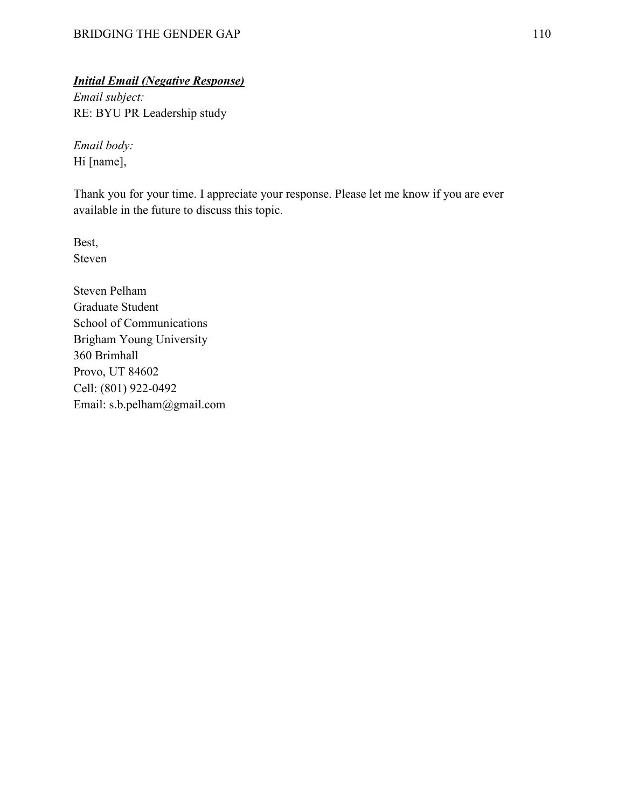## *Initial Email (Negative Response)*

*Email subject:* RE: BYU PR Leadership study

*Email body:* Hi [name],

Thank you for your time. I appreciate your response. Please let me know if you are ever available in the future to discuss this topic.

Best, Steven

Steven Pelham Graduate Student School of Communications Brigham Young University 360 Brimhall Provo, UT 84602 Cell: (801) 922-0492 Email: s.b.pelham@gmail.com